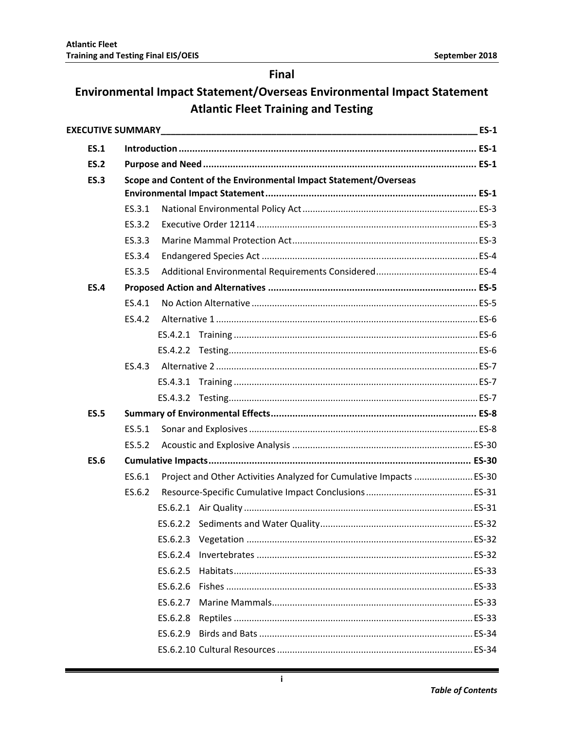## **Final**

## Environmental Impact Statement/Overseas Environmental Impact Statement **Atlantic Fleet Training and Testing**

|             |        |          |                                                                     | <b>ES-1</b> |  |
|-------------|--------|----------|---------------------------------------------------------------------|-------------|--|
| <b>ES.1</b> |        |          |                                                                     |             |  |
| <b>ES.2</b> |        |          |                                                                     |             |  |
| <b>ES.3</b> |        |          | Scope and Content of the Environmental Impact Statement/Overseas    |             |  |
|             |        |          |                                                                     |             |  |
|             | ES.3.1 |          |                                                                     |             |  |
|             | ES.3.2 |          |                                                                     |             |  |
|             | ES.3.3 |          |                                                                     |             |  |
|             | ES.3.4 |          |                                                                     |             |  |
|             | ES.3.5 |          |                                                                     |             |  |
| <b>ES.4</b> |        |          |                                                                     |             |  |
|             | ES.4.1 |          |                                                                     |             |  |
|             | ES.4.2 |          |                                                                     |             |  |
|             |        |          |                                                                     |             |  |
|             |        |          |                                                                     |             |  |
|             | ES.4.3 |          |                                                                     |             |  |
|             |        |          |                                                                     |             |  |
|             |        |          |                                                                     |             |  |
| <b>ES.5</b> |        |          |                                                                     |             |  |
|             | ES.5.1 |          |                                                                     |             |  |
|             | ES.5.2 |          |                                                                     |             |  |
| <b>ES.6</b> |        |          |                                                                     |             |  |
|             | ES.6.1 |          | Project and Other Activities Analyzed for Cumulative Impacts  ES-30 |             |  |
|             | ES.6.2 |          |                                                                     |             |  |
|             |        |          |                                                                     |             |  |
|             |        |          |                                                                     |             |  |
|             |        |          |                                                                     |             |  |
|             |        | ES.6.2.4 |                                                                     |             |  |
|             |        | ES.6.2.5 |                                                                     |             |  |
|             |        | ES.6.2.6 |                                                                     |             |  |
|             |        | ES.6.2.7 |                                                                     |             |  |
|             |        | ES.6.2.8 |                                                                     |             |  |
|             |        | ES.6.2.9 |                                                                     |             |  |
|             |        |          |                                                                     |             |  |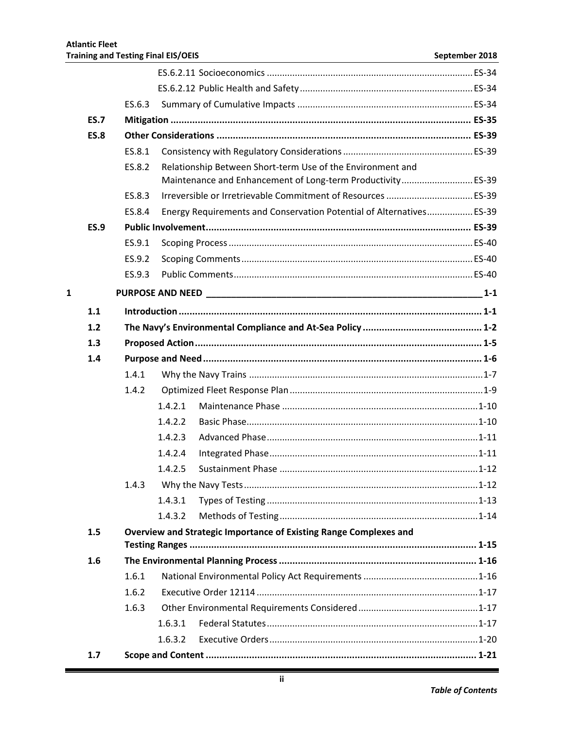|              |             | ES.6.3 |         |                                                                      |         |  |  |
|--------------|-------------|--------|---------|----------------------------------------------------------------------|---------|--|--|
|              | <b>ES.7</b> |        |         |                                                                      |         |  |  |
|              | <b>ES.8</b> |        |         |                                                                      |         |  |  |
|              |             | ES.8.1 |         |                                                                      |         |  |  |
|              |             | ES.8.2 |         | Relationship Between Short-term Use of the Environment and           |         |  |  |
|              |             |        |         | Maintenance and Enhancement of Long-term Productivity ES-39          |         |  |  |
|              |             | FS.8.3 |         |                                                                      |         |  |  |
|              |             | ES.8.4 |         | Energy Requirements and Conservation Potential of Alternatives ES-39 |         |  |  |
|              | <b>ES.9</b> |        |         |                                                                      |         |  |  |
|              |             | ES.9.1 |         |                                                                      |         |  |  |
|              |             | ES.9.2 |         |                                                                      |         |  |  |
|              |             | ES.9.3 |         |                                                                      |         |  |  |
| $\mathbf{1}$ |             |        |         |                                                                      | $1 - 1$ |  |  |
|              | 1.1         |        |         |                                                                      |         |  |  |
|              | 1.2         |        |         |                                                                      |         |  |  |
|              | 1.3         |        |         |                                                                      |         |  |  |
|              | 1.4         |        |         |                                                                      |         |  |  |
|              |             | 1.4.1  |         |                                                                      |         |  |  |
|              |             | 1.4.2  |         |                                                                      |         |  |  |
|              |             |        | 1.4.2.1 |                                                                      |         |  |  |
|              |             |        | 1.4.2.2 |                                                                      |         |  |  |
|              |             |        | 1.4.2.3 |                                                                      |         |  |  |
|              |             |        | 1.4.2.4 |                                                                      |         |  |  |
|              |             |        | 1.4.2.5 |                                                                      |         |  |  |
|              |             | 1.4.3  |         |                                                                      |         |  |  |
|              |             |        | 1.4.3.1 |                                                                      |         |  |  |
|              |             |        | 1.4.3.2 |                                                                      |         |  |  |
|              | 1.5         |        |         | Overview and Strategic Importance of Existing Range Complexes and    |         |  |  |
|              |             |        |         |                                                                      |         |  |  |
|              | 1.6         |        |         |                                                                      |         |  |  |
|              |             | 1.6.1  |         |                                                                      |         |  |  |
|              |             | 1.6.2  |         |                                                                      |         |  |  |
|              |             | 1.6.3  |         |                                                                      |         |  |  |
|              |             |        | 1.6.3.1 |                                                                      |         |  |  |
|              |             |        | 1.6.3.2 |                                                                      |         |  |  |
|              | 1.7         |        |         |                                                                      |         |  |  |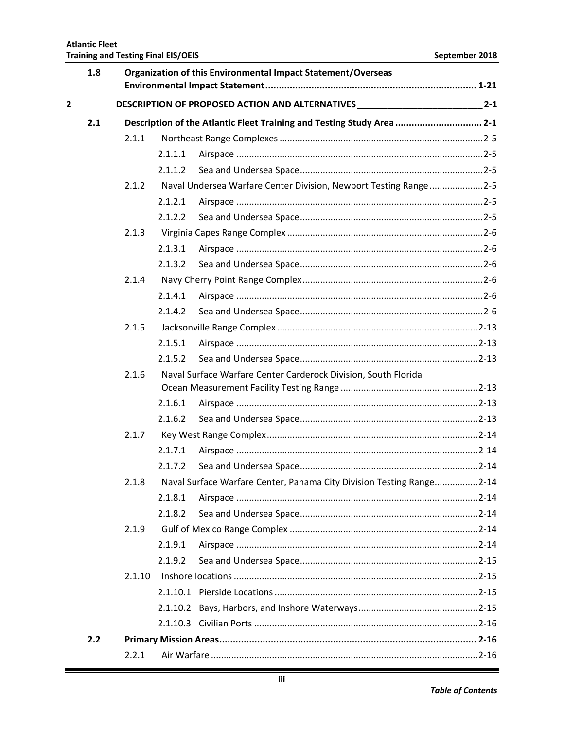|                | 1.8 | Organization of this Environmental Impact Statement/Overseas |         |                                                                                  |         |  |  |
|----------------|-----|--------------------------------------------------------------|---------|----------------------------------------------------------------------------------|---------|--|--|
| $\overline{2}$ |     |                                                              |         | DESCRIPTION OF PROPOSED ACTION AND ALTERNATIVES ________________________________ | $2 - 1$ |  |  |
|                | 2.1 |                                                              |         | Description of the Atlantic Fleet Training and Testing Study Area 2-1            |         |  |  |
|                |     | 2.1.1                                                        |         |                                                                                  |         |  |  |
|                |     |                                                              | 2.1.1.1 |                                                                                  |         |  |  |
|                |     |                                                              | 2.1.1.2 |                                                                                  |         |  |  |
|                |     | 2.1.2                                                        |         | Naval Undersea Warfare Center Division, Newport Testing Range2-5                 |         |  |  |
|                |     |                                                              | 2.1.2.1 |                                                                                  |         |  |  |
|                |     |                                                              | 2.1.2.2 |                                                                                  |         |  |  |
|                |     | 2.1.3                                                        |         |                                                                                  |         |  |  |
|                |     |                                                              | 2.1.3.1 |                                                                                  |         |  |  |
|                |     |                                                              | 2.1.3.2 |                                                                                  |         |  |  |
|                |     | 2.1.4                                                        |         |                                                                                  |         |  |  |
|                |     |                                                              | 2.1.4.1 |                                                                                  |         |  |  |
|                |     |                                                              | 2.1.4.2 |                                                                                  |         |  |  |
|                |     | 2.1.5                                                        |         |                                                                                  |         |  |  |
|                |     |                                                              | 2.1.5.1 |                                                                                  |         |  |  |
|                |     |                                                              | 2.1.5.2 |                                                                                  |         |  |  |
|                |     | 2.1.6                                                        |         | Naval Surface Warfare Center Carderock Division, South Florida                   |         |  |  |
|                |     |                                                              | 2.1.6.1 |                                                                                  |         |  |  |
|                |     |                                                              | 2.1.6.2 |                                                                                  |         |  |  |
|                |     | 2.1.7                                                        |         |                                                                                  |         |  |  |
|                |     |                                                              | 2.1.7.1 |                                                                                  |         |  |  |
|                |     |                                                              | 2.1.7.2 |                                                                                  |         |  |  |
|                |     | 2.1.8                                                        |         | Naval Surface Warfare Center, Panama City Division Testing Range2-14             |         |  |  |
|                |     |                                                              | 2.1.8.1 |                                                                                  |         |  |  |
|                |     |                                                              | 2.1.8.2 |                                                                                  |         |  |  |
|                |     | 2.1.9                                                        |         |                                                                                  |         |  |  |
|                |     |                                                              | 2.1.9.1 |                                                                                  |         |  |  |
|                |     |                                                              | 2.1.9.2 |                                                                                  |         |  |  |
|                |     | 2.1.10                                                       |         |                                                                                  |         |  |  |
|                |     |                                                              |         |                                                                                  |         |  |  |
|                |     |                                                              |         |                                                                                  |         |  |  |
|                |     |                                                              |         |                                                                                  |         |  |  |
|                | 2.2 |                                                              |         |                                                                                  |         |  |  |
|                |     | 2.2.1                                                        |         |                                                                                  |         |  |  |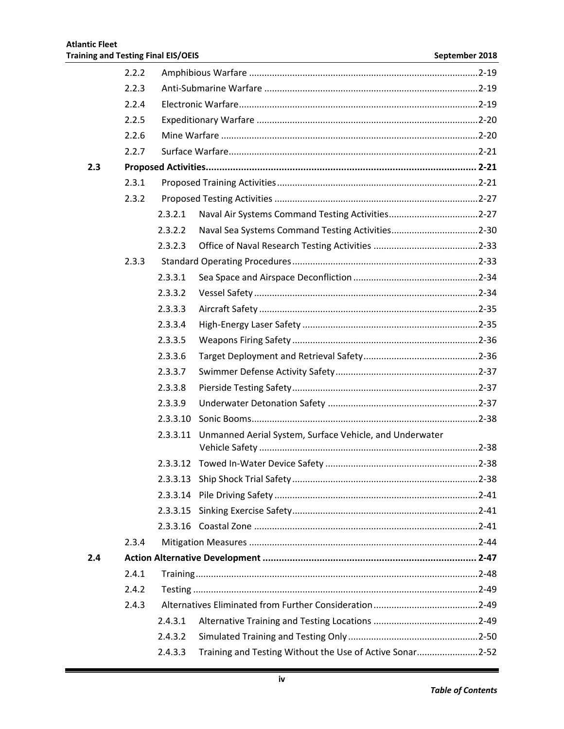|     | 2.2.2 |          |                                                          |  |
|-----|-------|----------|----------------------------------------------------------|--|
|     | 2.2.3 |          |                                                          |  |
|     | 2.2.4 |          |                                                          |  |
|     | 2.2.5 |          |                                                          |  |
|     | 2.2.6 |          |                                                          |  |
|     | 2.2.7 |          |                                                          |  |
| 2.3 |       |          |                                                          |  |
|     | 2.3.1 |          |                                                          |  |
|     | 2.3.2 |          |                                                          |  |
|     |       | 2.3.2.1  |                                                          |  |
|     |       | 2.3.2.2  |                                                          |  |
|     |       | 2.3.2.3  |                                                          |  |
|     | 2.3.3 |          |                                                          |  |
|     |       | 2.3.3.1  |                                                          |  |
|     |       | 2.3.3.2  |                                                          |  |
|     |       | 2.3.3.3  |                                                          |  |
|     |       | 2.3.3.4  |                                                          |  |
|     |       | 2.3.3.5  |                                                          |  |
|     |       | 2.3.3.6  |                                                          |  |
|     |       | 2.3.3.7  |                                                          |  |
|     |       | 2.3.3.8  |                                                          |  |
|     |       | 2.3.3.9  |                                                          |  |
|     |       | 2.3.3.10 |                                                          |  |
|     |       | 2.3.3.11 | Unmanned Aerial System, Surface Vehicle, and Underwater  |  |
|     |       |          |                                                          |  |
|     |       |          |                                                          |  |
|     |       |          |                                                          |  |
|     |       |          |                                                          |  |
|     |       | 2.3.3.15 |                                                          |  |
|     |       |          |                                                          |  |
|     | 2.3.4 |          |                                                          |  |
| 2.4 |       |          |                                                          |  |
|     | 2.4.1 |          |                                                          |  |
|     | 2.4.2 |          |                                                          |  |
|     | 2.4.3 |          |                                                          |  |
|     |       | 2.4.3.1  |                                                          |  |
|     |       | 2.4.3.2  |                                                          |  |
|     |       | 2.4.3.3  | Training and Testing Without the Use of Active Sonar2-52 |  |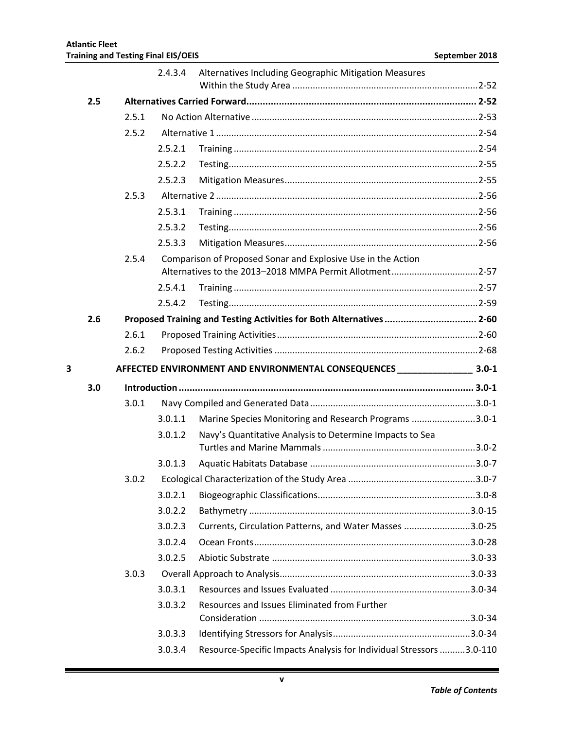|   |     |       | 2.4.3.4            | Alternatives Including Geographic Mitigation Measures                |            |
|---|-----|-------|--------------------|----------------------------------------------------------------------|------------|
|   | 2.5 |       |                    |                                                                      |            |
|   |     | 2.5.1 |                    |                                                                      |            |
|   |     | 2.5.2 |                    |                                                                      |            |
|   |     |       | 2.5.2.1            |                                                                      |            |
|   |     |       | 2.5.2.2            |                                                                      |            |
|   |     |       | 2.5.2.3            |                                                                      |            |
|   |     | 2.5.3 |                    |                                                                      |            |
|   |     |       | 2.5.3.1            |                                                                      |            |
|   |     |       | 2.5.3.2            |                                                                      |            |
|   |     |       | 2.5.3.3            |                                                                      |            |
|   |     | 2.5.4 |                    | Comparison of Proposed Sonar and Explosive Use in the Action         |            |
|   |     |       |                    | Alternatives to the 2013-2018 MMPA Permit Allotment2-57              |            |
|   |     |       | 2.5.4.1            |                                                                      |            |
|   |     |       | 2.5.4.2            |                                                                      |            |
|   | 2.6 |       |                    | Proposed Training and Testing Activities for Both Alternatives  2-60 |            |
|   |     | 2.6.1 |                    |                                                                      |            |
|   |     | 2.6.2 |                    |                                                                      |            |
| 3 |     |       |                    |                                                                      |            |
|   | 3.0 |       |                    |                                                                      |            |
|   |     | 3.0.1 |                    |                                                                      |            |
|   |     |       | 3.0.1.1            | Marine Species Monitoring and Research Programs 3.0-1                |            |
|   |     |       | 3.0.1.2            | Navy's Quantitative Analysis to Determine Impacts to Sea             |            |
|   |     |       |                    |                                                                      |            |
|   |     |       | 3.0.1.3            |                                                                      |            |
|   |     | 3.0.2 |                    |                                                                      | $.3.0 - 7$ |
|   |     |       | 3.0.2.1            |                                                                      |            |
|   |     |       | 3.0.2.2            |                                                                      |            |
|   |     |       | 3.0.2.3            | Currents, Circulation Patterns, and Water Masses 3.0-25              |            |
|   |     |       | 3.0.2.4            |                                                                      |            |
|   |     |       | 3.0.2.5            |                                                                      |            |
|   |     | 3.0.3 |                    |                                                                      |            |
|   |     |       | 3.0.3.1            |                                                                      |            |
|   |     |       | 3.0.3.2            | Resources and Issues Eliminated from Further                         |            |
|   |     |       |                    |                                                                      |            |
|   |     |       |                    |                                                                      |            |
|   |     |       | 3.0.3.3<br>3.0.3.4 | Resource-Specific Impacts Analysis for Individual Stressors 3.0-110  |            |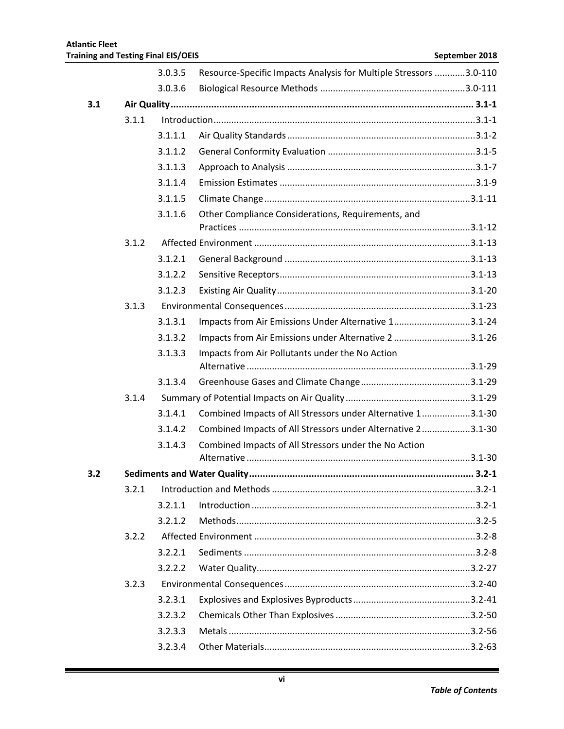|     |       | 3.0.3.5 | Resource-Specific Impacts Analysis for Multiple Stressors 3.0-110 |           |
|-----|-------|---------|-------------------------------------------------------------------|-----------|
|     |       | 3.0.3.6 |                                                                   |           |
| 3.1 |       |         |                                                                   |           |
|     | 3.1.1 |         |                                                                   |           |
|     |       | 3.1.1.1 |                                                                   |           |
|     |       | 3.1.1.2 |                                                                   |           |
|     |       | 3.1.1.3 |                                                                   |           |
|     |       | 3.1.1.4 |                                                                   |           |
|     |       | 3.1.1.5 |                                                                   |           |
|     |       | 3.1.1.6 | Other Compliance Considerations, Requirements, and                |           |
|     | 3.1.2 |         |                                                                   |           |
|     |       | 3.1.2.1 |                                                                   |           |
|     |       | 3.1.2.2 |                                                                   |           |
|     |       | 3.1.2.3 |                                                                   |           |
|     | 3.1.3 |         |                                                                   |           |
|     |       | 3.1.3.1 | Impacts from Air Emissions Under Alternative 13.1-24              |           |
|     |       | 3.1.3.2 | Impacts from Air Emissions under Alternative 23.1-26              |           |
|     |       | 3.1.3.3 | Impacts from Air Pollutants under the No Action                   |           |
|     |       |         |                                                                   |           |
|     |       | 3.1.3.4 |                                                                   |           |
|     | 3.1.4 |         |                                                                   |           |
|     |       | 3.1.4.1 | Combined Impacts of All Stressors under Alternative 13.1-30       |           |
|     |       | 3.1.4.2 | Combined Impacts of All Stressors under Alternative 23.1-30       |           |
|     |       | 3.1.4.3 | Combined Impacts of All Stressors under the No Action             |           |
|     |       |         |                                                                   |           |
| 3.2 |       |         |                                                                   | $3.2 - 1$ |
|     | 3.2.1 |         |                                                                   |           |
|     |       | 3.2.1.1 |                                                                   |           |
|     |       | 3.2.1.2 |                                                                   |           |
|     | 3.2.2 |         |                                                                   |           |
|     |       | 3.2.2.1 |                                                                   |           |
|     |       | 3.2.2.2 |                                                                   |           |
|     | 3.2.3 |         |                                                                   |           |
|     |       | 3.2.3.1 |                                                                   |           |
|     |       | 3.2.3.2 |                                                                   |           |
|     |       | 3.2.3.3 |                                                                   |           |
|     |       | 3.2.3.4 |                                                                   |           |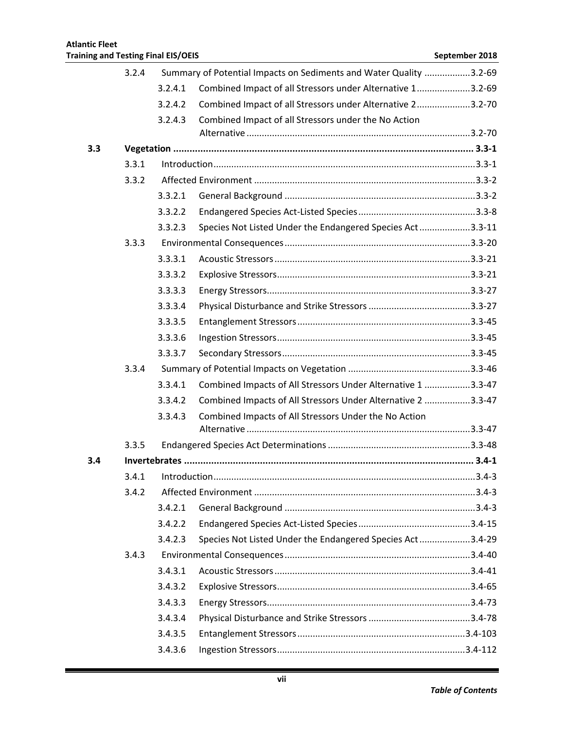|     | 3.2.4 |               | Summary of Potential Impacts on Sediments and Water Quality 3.2-69 |           |
|-----|-------|---------------|--------------------------------------------------------------------|-----------|
|     |       | 3.2.4.1       | Combined Impact of all Stressors under Alternative 13.2-69         |           |
|     |       | 3.2.4.2       | Combined Impact of all Stressors under Alternative 23.2-70         |           |
|     |       | 3.2.4.3       | Combined Impact of all Stressors under the No Action               |           |
|     |       |               |                                                                    |           |
| 3.3 |       |               |                                                                    |           |
|     | 3.3.1 |               |                                                                    |           |
|     | 3.3.2 |               |                                                                    |           |
|     |       | 3.3.2.1       |                                                                    |           |
|     |       | 3.3.2.2       |                                                                    |           |
|     |       | 3.3.2.3       | Species Not Listed Under the Endangered Species Act3.3-11          |           |
|     | 3.3.3 |               |                                                                    |           |
|     |       | 3.3.3.1       |                                                                    |           |
|     |       | 3.3.3.2       |                                                                    |           |
|     |       | 3.3.3.3       |                                                                    |           |
|     |       | 3.3.3.4       |                                                                    |           |
|     |       | 3.3.3.5       |                                                                    |           |
|     |       | 3.3.3.6       |                                                                    |           |
|     |       | 3.3.3.7       |                                                                    |           |
|     | 3.3.4 |               |                                                                    |           |
|     |       | 3.3.4.1       | Combined Impacts of All Stressors Under Alternative 1 3.3-47       |           |
|     |       | 3.3.4.2       | Combined Impacts of All Stressors Under Alternative 2 3.3-47       |           |
|     |       | 3.3.4.3       | Combined Impacts of All Stressors Under the No Action              |           |
|     |       |               |                                                                    |           |
|     | 3.3.5 |               |                                                                    |           |
| 3.4 |       |               |                                                                    |           |
|     | 3.4.1 | Introduction. |                                                                    | $3.4 - 3$ |
|     | 3.4.2 |               |                                                                    |           |
|     |       | 3.4.2.1       |                                                                    |           |
|     |       | 3.4.2.2       |                                                                    |           |
|     |       | 3.4.2.3       | Species Not Listed Under the Endangered Species Act3.4-29          |           |
|     | 3.4.3 |               |                                                                    |           |
|     |       | 3.4.3.1       |                                                                    |           |
|     |       | 3.4.3.2       |                                                                    |           |
|     |       | 3.4.3.3       |                                                                    |           |
|     |       | 3.4.3.4       |                                                                    |           |
|     |       | 3.4.3.5       |                                                                    |           |
|     |       | 3.4.3.6       |                                                                    |           |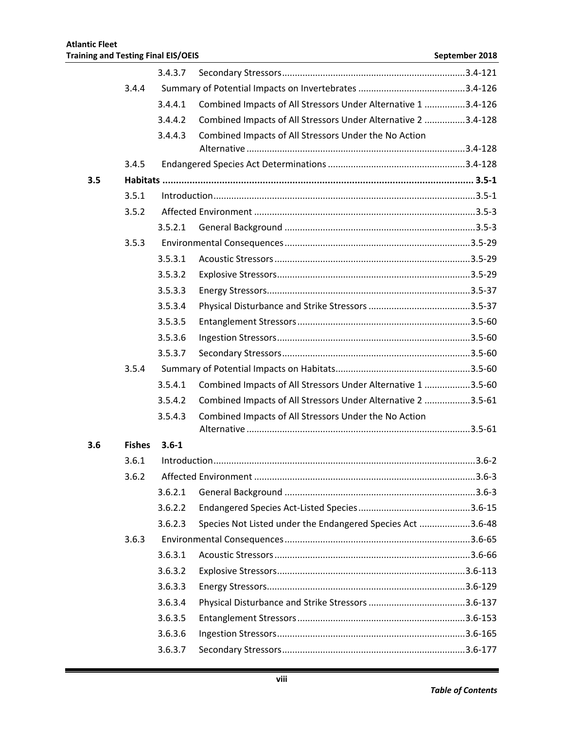|     |               | 3.4.3.7   |                                                               |  |
|-----|---------------|-----------|---------------------------------------------------------------|--|
|     | 3.4.4         |           |                                                               |  |
|     |               | 3.4.4.1   | Combined Impacts of All Stressors Under Alternative 1 3.4-126 |  |
|     |               | 3.4.4.2   | Combined Impacts of All Stressors Under Alternative 2 3.4-128 |  |
|     |               | 3.4.4.3   | Combined Impacts of All Stressors Under the No Action         |  |
|     |               |           |                                                               |  |
|     | 3.4.5         |           |                                                               |  |
| 3.5 |               |           |                                                               |  |
|     | 3.5.1         |           |                                                               |  |
|     | 3.5.2         |           |                                                               |  |
|     |               | 3.5.2.1   |                                                               |  |
|     | 3.5.3         |           |                                                               |  |
|     |               | 3.5.3.1   |                                                               |  |
|     |               | 3.5.3.2   |                                                               |  |
|     |               | 3.5.3.3   |                                                               |  |
|     |               | 3.5.3.4   |                                                               |  |
|     |               | 3.5.3.5   |                                                               |  |
|     |               | 3.5.3.6   |                                                               |  |
|     |               | 3.5.3.7   |                                                               |  |
|     | 3.5.4         |           |                                                               |  |
|     |               | 3.5.4.1   | Combined Impacts of All Stressors Under Alternative 1 3.5-60  |  |
|     |               | 3.5.4.2   | Combined Impacts of All Stressors Under Alternative 2 3.5-61  |  |
|     |               | 3.5.4.3   | Combined Impacts of All Stressors Under the No Action         |  |
|     |               |           |                                                               |  |
| 3.6 | <b>Fishes</b> | $3.6 - 1$ |                                                               |  |
|     | 3.6.1         |           |                                                               |  |
|     | 3.6.2         |           |                                                               |  |
|     |               | 3.6.2.1   |                                                               |  |
|     |               | 3.6.2.2   |                                                               |  |
|     |               | 3.6.2.3   | Species Not Listed under the Endangered Species Act 3.6-48    |  |
|     | 3.6.3         |           |                                                               |  |
|     |               | 3.6.3.1   |                                                               |  |
|     |               | 3.6.3.2   |                                                               |  |
|     |               | 3.6.3.3   |                                                               |  |
|     |               | 3.6.3.4   |                                                               |  |
|     |               | 3.6.3.5   |                                                               |  |
|     |               | 3.6.3.6   |                                                               |  |
|     |               | 3.6.3.7   |                                                               |  |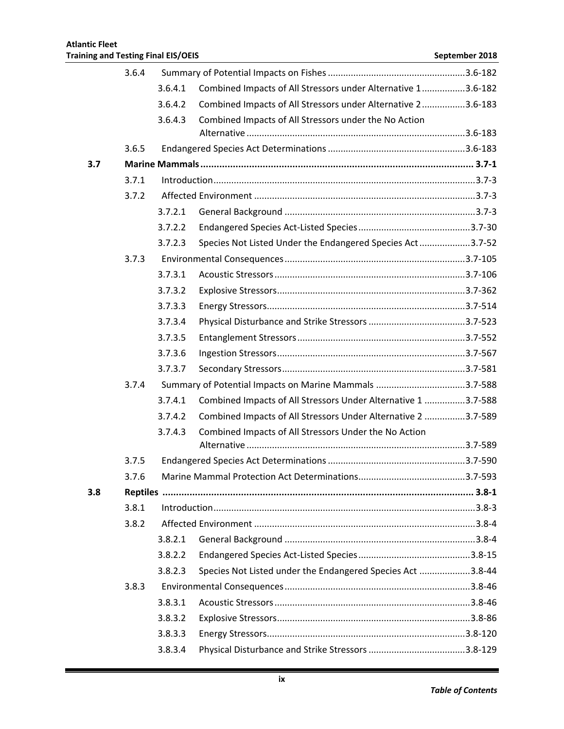|     | 3.6.4 |         |                                                               |          |
|-----|-------|---------|---------------------------------------------------------------|----------|
|     |       | 3.6.4.1 | Combined Impacts of All Stressors under Alternative 13.6-182  |          |
|     |       | 3.6.4.2 | Combined Impacts of All Stressors under Alternative 23.6-183  |          |
|     |       | 3.6.4.3 | Combined Impacts of All Stressors under the No Action         |          |
|     |       |         |                                                               |          |
|     | 3.6.5 |         |                                                               |          |
| 3.7 |       |         |                                                               |          |
|     | 3.7.1 |         |                                                               |          |
|     | 3.7.2 |         |                                                               |          |
|     |       | 3.7.2.1 |                                                               |          |
|     |       | 3.7.2.2 |                                                               |          |
|     |       | 3.7.2.3 | Species Not Listed Under the Endangered Species Act3.7-52     |          |
|     | 3.7.3 |         |                                                               |          |
|     |       | 3.7.3.1 |                                                               |          |
|     |       | 3.7.3.2 |                                                               |          |
|     |       | 3.7.3.3 |                                                               |          |
|     |       | 3.7.3.4 |                                                               |          |
|     |       | 3.7.3.5 |                                                               |          |
|     |       | 3.7.3.6 |                                                               |          |
|     |       | 3.7.3.7 |                                                               |          |
|     | 3.7.4 |         | Summary of Potential Impacts on Marine Mammals 3.7-588        |          |
|     |       | 3.7.4.1 | Combined Impacts of All Stressors Under Alternative 1 3.7-588 |          |
|     |       | 3.7.4.2 | Combined Impacts of All Stressors Under Alternative 2 3.7-589 |          |
|     |       | 3.7.4.3 | Combined Impacts of All Stressors Under the No Action         |          |
|     |       |         |                                                               |          |
|     | 3.7.5 |         |                                                               |          |
|     | 3.7.6 |         |                                                               | .3.7-593 |
| 3.8 |       |         |                                                               |          |
|     | 3.8.1 |         |                                                               |          |
|     | 3.8.2 |         |                                                               |          |
|     |       | 3.8.2.1 |                                                               |          |
|     |       | 3.8.2.2 |                                                               |          |
|     |       | 3.8.2.3 | Species Not Listed under the Endangered Species Act 3.8-44    |          |
|     | 3.8.3 |         |                                                               |          |
|     |       | 3.8.3.1 |                                                               |          |
|     |       | 3.8.3.2 |                                                               |          |
|     |       | 3.8.3.3 |                                                               |          |
|     |       | 3.8.3.4 |                                                               |          |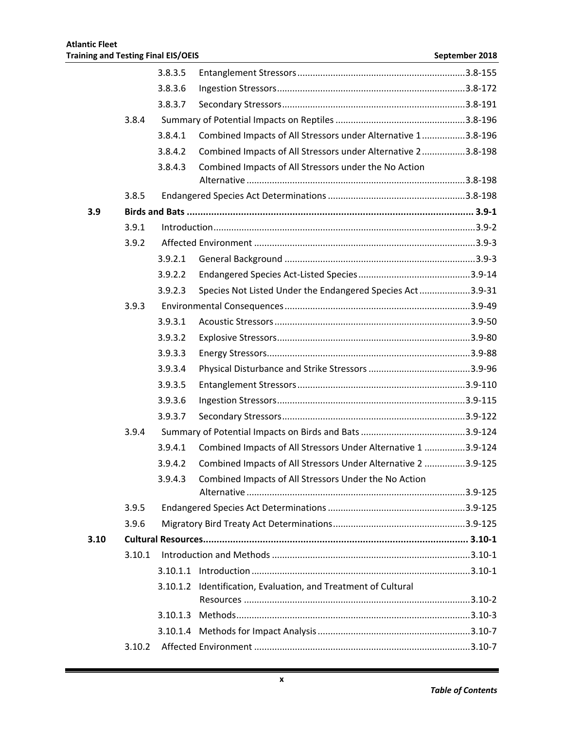|      |        | 3.8.3.5 |                                                                |  |
|------|--------|---------|----------------------------------------------------------------|--|
|      |        | 3.8.3.6 |                                                                |  |
|      |        | 3.8.3.7 |                                                                |  |
|      | 3.8.4  |         |                                                                |  |
|      |        | 3.8.4.1 | Combined Impacts of All Stressors under Alternative 13.8-196   |  |
|      |        | 3.8.4.2 | Combined Impacts of All Stressors under Alternative 23.8-198   |  |
|      |        | 3.8.4.3 | Combined Impacts of All Stressors under the No Action          |  |
|      |        |         |                                                                |  |
|      | 3.8.5  |         |                                                                |  |
| 3.9  |        |         |                                                                |  |
|      | 3.9.1  |         |                                                                |  |
|      | 3.9.2  |         |                                                                |  |
|      |        | 3.9.2.1 |                                                                |  |
|      |        | 3.9.2.2 |                                                                |  |
|      |        | 3.9.2.3 | Species Not Listed Under the Endangered Species Act3.9-31      |  |
|      | 3.9.3  |         |                                                                |  |
|      |        | 3.9.3.1 |                                                                |  |
|      |        | 3.9.3.2 |                                                                |  |
|      |        | 3.9.3.3 |                                                                |  |
|      |        | 3.9.3.4 |                                                                |  |
|      |        | 3.9.3.5 |                                                                |  |
|      |        | 3.9.3.6 |                                                                |  |
|      |        | 3.9.3.7 |                                                                |  |
|      | 3.9.4  |         |                                                                |  |
|      |        | 3.9.4.1 | Combined Impacts of All Stressors Under Alternative 1 3.9-124  |  |
|      |        | 3.9.4.2 | Combined Impacts of All Stressors Under Alternative 2 3.9-125  |  |
|      |        | 3.9.4.3 | Combined Impacts of All Stressors Under the No Action          |  |
|      |        |         |                                                                |  |
|      | 3.9.5  |         |                                                                |  |
|      | 3.9.6  |         |                                                                |  |
| 3.10 |        |         |                                                                |  |
|      | 3.10.1 |         |                                                                |  |
|      |        |         |                                                                |  |
|      |        |         | 3.10.1.2 Identification, Evaluation, and Treatment of Cultural |  |
|      |        |         |                                                                |  |
|      |        |         |                                                                |  |
|      | 3.10.2 |         |                                                                |  |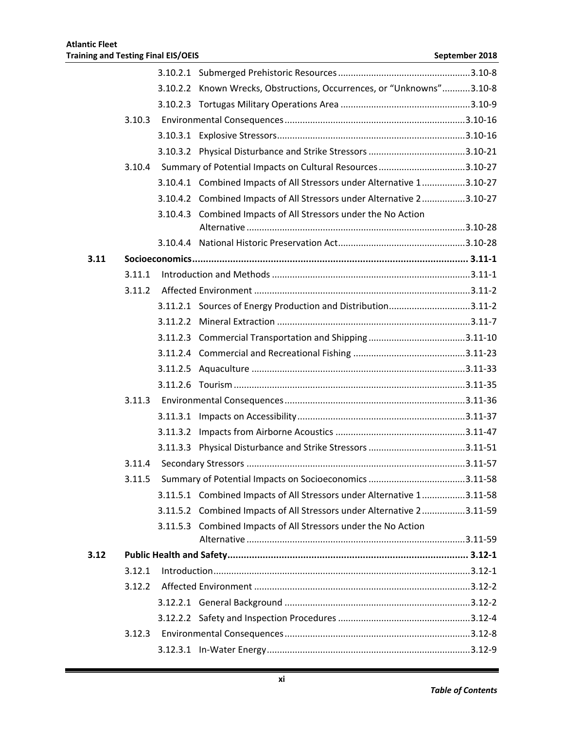|      |        |          | 3.10.2.2 Known Wrecks, Obstructions, Occurrences, or "Unknowns"3.10-8 |  |
|------|--------|----------|-----------------------------------------------------------------------|--|
|      |        |          |                                                                       |  |
|      | 3.10.3 |          |                                                                       |  |
|      |        |          |                                                                       |  |
|      |        |          |                                                                       |  |
|      | 3.10.4 |          | Summary of Potential Impacts on Cultural Resources 3.10-27            |  |
|      |        |          | 3.10.4.1 Combined Impacts of All Stressors under Alternative 13.10-27 |  |
|      |        |          | 3.10.4.2 Combined Impacts of All Stressors under Alternative 23.10-27 |  |
|      |        | 3.10.4.3 | Combined Impacts of All Stressors under the No Action                 |  |
|      |        |          |                                                                       |  |
|      |        |          |                                                                       |  |
| 3.11 |        |          |                                                                       |  |
|      | 3.11.1 |          |                                                                       |  |
|      | 3.11.2 |          |                                                                       |  |
|      |        |          | 3.11.2.1 Sources of Energy Production and Distribution3.11-2          |  |
|      |        |          |                                                                       |  |
|      |        |          |                                                                       |  |
|      |        |          |                                                                       |  |
|      |        |          |                                                                       |  |
|      |        |          |                                                                       |  |
|      | 3.11.3 |          |                                                                       |  |
|      |        |          |                                                                       |  |
|      |        |          |                                                                       |  |
|      |        |          |                                                                       |  |
|      | 3.11.4 |          |                                                                       |  |
|      | 3.11.5 |          |                                                                       |  |
|      |        |          | 3.11.5.1 Combined Impacts of All Stressors under Alternative 13.11-58 |  |
|      |        |          | 3.11.5.2 Combined Impacts of All Stressors under Alternative 23.11-59 |  |
|      |        |          | 3.11.5.3 Combined Impacts of All Stressors under the No Action        |  |
|      |        |          |                                                                       |  |
| 3.12 |        |          |                                                                       |  |
|      | 3.12.1 |          |                                                                       |  |
|      | 3.12.2 |          |                                                                       |  |
|      |        |          |                                                                       |  |
|      |        |          |                                                                       |  |
|      | 3.12.3 |          |                                                                       |  |
|      |        |          |                                                                       |  |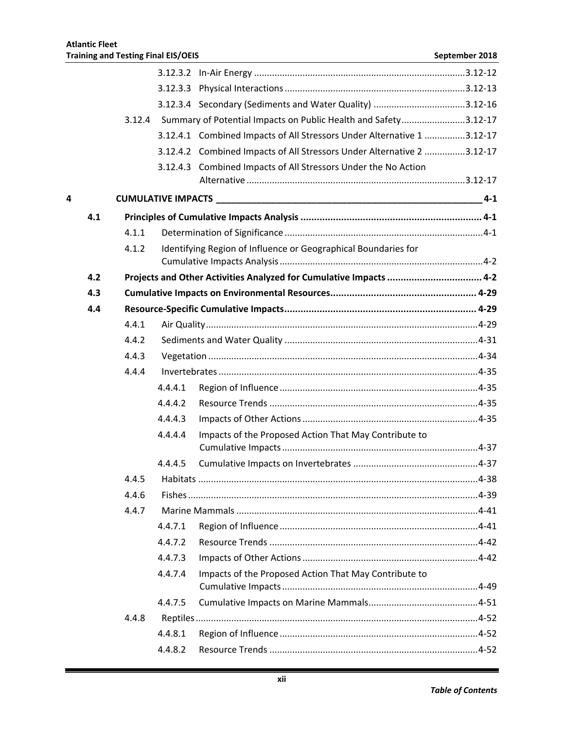|   |     |        | 3.12.3.3 |                                                                        |         |
|---|-----|--------|----------|------------------------------------------------------------------------|---------|
|   |     |        |          |                                                                        |         |
|   |     | 3.12.4 |          | Summary of Potential Impacts on Public Health and Safety3.12-17        |         |
|   |     |        |          | 3.12.4.1 Combined Impacts of All Stressors Under Alternative 1 3.12-17 |         |
|   |     |        |          | 3.12.4.2 Combined Impacts of All Stressors Under Alternative 2 3.12-17 |         |
|   |     |        |          | 3.12.4.3 Combined Impacts of All Stressors Under the No Action         |         |
| 4 |     |        |          |                                                                        | $4 - 1$ |
|   | 4.1 |        |          |                                                                        |         |
|   |     | 4.1.1  |          |                                                                        |         |
|   |     | 4.1.2  |          | Identifying Region of Influence or Geographical Boundaries for         |         |
|   |     |        |          |                                                                        |         |
|   | 4.2 |        |          | Projects and Other Activities Analyzed for Cumulative Impacts  4-2     |         |
|   | 4.3 |        |          |                                                                        |         |
|   | 4.4 |        |          |                                                                        |         |
|   |     | 4.4.1  |          |                                                                        |         |
|   |     | 4.4.2  |          |                                                                        |         |
|   |     | 4.4.3  |          |                                                                        |         |
|   |     | 4.4.4  |          |                                                                        |         |
|   |     |        | 4.4.4.1  |                                                                        |         |
|   |     |        | 4.4.4.2  |                                                                        |         |
|   |     |        | 4.4.4.3  |                                                                        |         |
|   |     |        | 4.4.4.4  | Impacts of the Proposed Action That May Contribute to                  |         |
|   |     |        | 4.4.4.5  |                                                                        |         |
|   |     | 4.4.5  |          |                                                                        |         |
|   |     | 4.4.6  |          |                                                                        |         |
|   |     | 4.4.7  |          |                                                                        |         |
|   |     |        | 4.4.7.1  |                                                                        |         |
|   |     |        | 4.4.7.2  |                                                                        |         |
|   |     |        | 4.4.7.3  |                                                                        |         |
|   |     |        | 4.4.7.4  | Impacts of the Proposed Action That May Contribute to                  |         |
|   |     |        | 4.4.7.5  |                                                                        |         |
|   |     | 4.4.8  |          |                                                                        |         |
|   |     |        | 4.4.8.1  |                                                                        |         |
|   |     |        | 4.4.8.2  |                                                                        |         |
|   |     |        |          |                                                                        |         |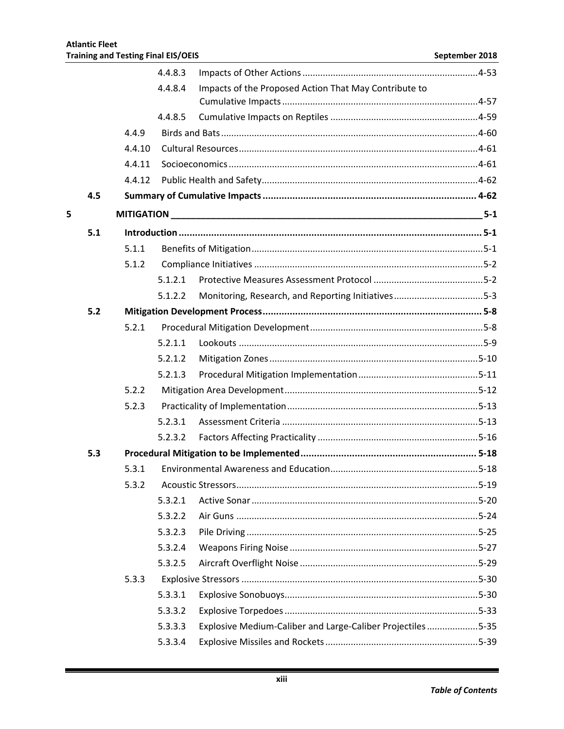|   |     |        | 4.4.8.3 |                                                            |       |  |
|---|-----|--------|---------|------------------------------------------------------------|-------|--|
|   |     |        | 4.4.8.4 | Impacts of the Proposed Action That May Contribute to      |       |  |
|   |     |        | 4.4.8.5 |                                                            |       |  |
|   |     | 4.4.9  |         |                                                            |       |  |
|   |     | 4.4.10 |         |                                                            |       |  |
|   |     | 4.4.11 |         |                                                            |       |  |
|   |     | 4.4.12 |         |                                                            |       |  |
|   | 4.5 |        |         |                                                            |       |  |
| 5 |     |        |         |                                                            | $5-1$ |  |
|   | 5.1 |        |         |                                                            |       |  |
|   |     | 5.1.1  |         |                                                            |       |  |
|   |     | 5.1.2  |         |                                                            |       |  |
|   |     |        | 5.1.2.1 |                                                            |       |  |
|   |     |        | 5.1.2.2 | Monitoring, Research, and Reporting Initiatives5-3         |       |  |
|   | 5.2 |        |         |                                                            |       |  |
|   |     |        |         |                                                            |       |  |
|   |     | 5.2.1  | 5.2.1.1 |                                                            |       |  |
|   |     |        |         |                                                            |       |  |
|   |     |        | 5.2.1.2 |                                                            |       |  |
|   |     | 5.2.2  | 5.2.1.3 |                                                            |       |  |
|   |     | 5.2.3  |         |                                                            |       |  |
|   |     |        | 5.2.3.1 |                                                            |       |  |
|   |     |        |         |                                                            |       |  |
|   |     |        | 5.2.3.2 |                                                            |       |  |
|   | 5.3 | 5.3.1  |         |                                                            |       |  |
|   |     |        |         |                                                            |       |  |
|   |     | 5.3.2  |         |                                                            |       |  |
|   |     |        | 5.3.2.1 |                                                            |       |  |
|   |     |        | 5.3.2.2 |                                                            |       |  |
|   |     |        | 5.3.2.3 |                                                            |       |  |
|   |     |        | 5.3.2.4 |                                                            |       |  |
|   |     |        | 5.3.2.5 |                                                            |       |  |
|   |     | 5.3.3  |         |                                                            |       |  |
|   |     |        | 5.3.3.1 |                                                            |       |  |
|   |     |        | 5.3.3.2 |                                                            |       |  |
|   |     |        | 5.3.3.3 | Explosive Medium-Caliber and Large-Caliber Projectiles5-35 |       |  |
|   |     |        | 5.3.3.4 |                                                            |       |  |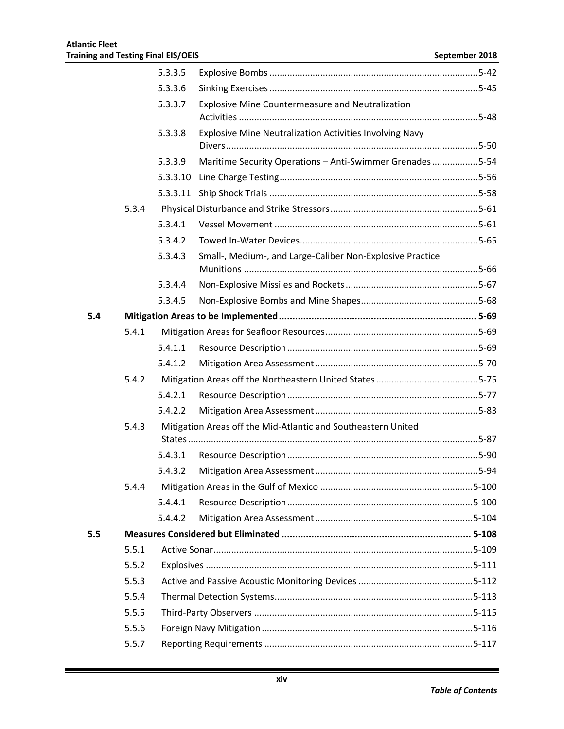|     |       | 5.3.3.5  |                                                               |  |
|-----|-------|----------|---------------------------------------------------------------|--|
|     |       | 5.3.3.6  |                                                               |  |
|     |       | 5.3.3.7  | <b>Explosive Mine Countermeasure and Neutralization</b>       |  |
|     |       | 5.3.3.8  | Explosive Mine Neutralization Activities Involving Navy       |  |
|     |       | 5.3.3.9  | Maritime Security Operations - Anti-Swimmer Grenades5-54      |  |
|     |       | 5.3.3.10 |                                                               |  |
|     |       |          |                                                               |  |
|     | 5.3.4 |          |                                                               |  |
|     |       | 5.3.4.1  |                                                               |  |
|     |       | 5.3.4.2  |                                                               |  |
|     |       | 5.3.4.3  | Small-, Medium-, and Large-Caliber Non-Explosive Practice     |  |
|     |       | 5.3.4.4  |                                                               |  |
|     |       | 5.3.4.5  |                                                               |  |
| 5.4 |       |          |                                                               |  |
|     | 5.4.1 |          |                                                               |  |
|     |       | 5.4.1.1  |                                                               |  |
|     |       | 5.4.1.2  |                                                               |  |
|     | 5.4.2 |          |                                                               |  |
|     |       | 5.4.2.1  |                                                               |  |
|     |       | 5.4.2.2  |                                                               |  |
|     | 5.4.3 |          | Mitigation Areas off the Mid-Atlantic and Southeastern United |  |
|     |       |          |                                                               |  |
|     |       | 5.4.3.1  |                                                               |  |
|     |       | 5.4.3.2  |                                                               |  |
|     | 5.4.4 |          |                                                               |  |
|     |       | 5.4.4.1  |                                                               |  |
|     |       | 5.4.4.2  |                                                               |  |
| 5.5 |       |          |                                                               |  |
|     | 5.5.1 |          |                                                               |  |
|     | 5.5.2 |          |                                                               |  |
|     | 5.5.3 |          |                                                               |  |
|     | 5.5.4 |          |                                                               |  |
|     | 5.5.5 |          |                                                               |  |
|     | 5.5.6 |          |                                                               |  |
|     | 5.5.7 |          |                                                               |  |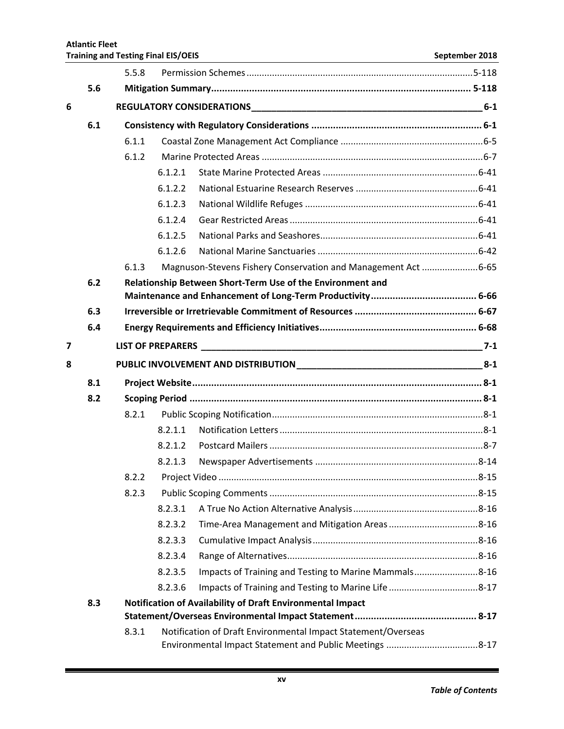|                | 5.6 |       |         |                                                               |         |
|----------------|-----|-------|---------|---------------------------------------------------------------|---------|
| 6              |     |       |         |                                                               |         |
|                | 6.1 |       |         |                                                               |         |
|                |     | 6.1.1 |         |                                                               |         |
|                |     | 6.1.2 |         |                                                               |         |
|                |     |       | 6.1.2.1 |                                                               |         |
|                |     |       | 6.1.2.2 |                                                               |         |
|                |     |       | 6.1.2.3 |                                                               |         |
|                |     |       | 6.1.2.4 |                                                               |         |
|                |     |       | 6.1.2.5 |                                                               |         |
|                |     |       | 6.1.2.6 |                                                               |         |
|                |     | 6.1.3 |         | Magnuson-Stevens Fishery Conservation and Management Act 6-65 |         |
|                | 6.2 |       |         | Relationship Between Short-Term Use of the Environment and    |         |
|                |     |       |         |                                                               |         |
|                | 6.3 |       |         |                                                               |         |
|                | 6.4 |       |         |                                                               |         |
| $\overline{7}$ |     |       |         |                                                               | $7 - 1$ |
| 8              |     |       |         |                                                               |         |
|                | 8.1 |       |         |                                                               |         |
|                | 8.2 |       |         |                                                               |         |
|                |     | 8.2.1 |         |                                                               |         |
|                |     |       | 8.2.1.1 |                                                               |         |
|                |     |       | 8.2.1.2 |                                                               |         |
|                |     |       | 8.2.1.3 |                                                               |         |
|                |     | 8.2.2 |         |                                                               |         |
|                |     | 8.2.3 |         |                                                               |         |
|                |     |       | 8.2.3.1 |                                                               |         |
|                |     |       | 8.2.3.2 |                                                               |         |
|                |     |       | 8.2.3.3 |                                                               |         |
|                |     |       | 8.2.3.4 |                                                               |         |
|                |     |       | 8.2.3.5 | Impacts of Training and Testing to Marine Mammals8-16         |         |
|                |     |       | 8.2.3.6 |                                                               |         |
|                | 8.3 |       |         | Notification of Availability of Draft Environmental Impact    |         |
|                |     |       |         |                                                               |         |
|                |     | 8.3.1 |         | Notification of Draft Environmental Impact Statement/Overseas |         |

**Training and Testing Final EIS/OEIS September 2018** 

5.5.8 Permission Schemes.........................................................................................5-118

**Atlantic Fleet** 

Environmental Impact Statement and Public Meetings ....................................8-17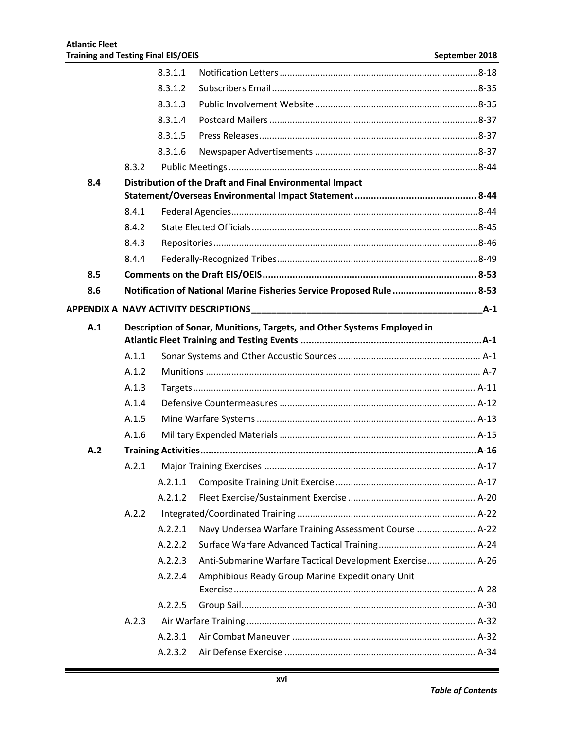|     |       | 8.3.1.1 |                                                                                                                                                                                                                                |       |
|-----|-------|---------|--------------------------------------------------------------------------------------------------------------------------------------------------------------------------------------------------------------------------------|-------|
|     |       | 8.3.1.2 |                                                                                                                                                                                                                                |       |
|     |       | 8.3.1.3 |                                                                                                                                                                                                                                |       |
|     |       | 8.3.1.4 |                                                                                                                                                                                                                                |       |
|     |       | 8.3.1.5 |                                                                                                                                                                                                                                |       |
|     |       | 8.3.1.6 |                                                                                                                                                                                                                                |       |
|     | 8.3.2 |         |                                                                                                                                                                                                                                |       |
| 8.4 |       |         | Distribution of the Draft and Final Environmental Impact                                                                                                                                                                       |       |
|     |       |         |                                                                                                                                                                                                                                |       |
|     | 8.4.1 |         |                                                                                                                                                                                                                                |       |
|     | 8.4.2 |         |                                                                                                                                                                                                                                |       |
|     | 8.4.3 |         |                                                                                                                                                                                                                                |       |
|     | 8.4.4 |         |                                                                                                                                                                                                                                |       |
| 8.5 |       |         |                                                                                                                                                                                                                                |       |
| 8.6 |       |         | Notification of National Marine Fisheries Service Proposed Rule  8-53                                                                                                                                                          |       |
|     |       |         | APPENDIX A NAVY ACTIVITY DESCRIPTIONS AND THE RESERVE TO A REPORT OF RESERVE TO A REPORT OF RESERVE TO A REPORT OF RESERVE TO A REPORT OF RESERVE TO A REPORT OF RESERVE TO A REPORT OF REPORT OF REPORT OF REPORT OF REPORT O | $A-1$ |
| A.1 |       |         | Description of Sonar, Munitions, Targets, and Other Systems Employed in                                                                                                                                                        |       |
|     |       |         |                                                                                                                                                                                                                                |       |
|     | A.1.1 |         |                                                                                                                                                                                                                                |       |
|     | A.1.2 |         |                                                                                                                                                                                                                                |       |
|     | A.1.3 |         |                                                                                                                                                                                                                                |       |
|     | A.1.4 |         |                                                                                                                                                                                                                                |       |
|     | A.1.5 |         |                                                                                                                                                                                                                                |       |
|     | A.1.6 |         |                                                                                                                                                                                                                                |       |
| A.2 |       |         |                                                                                                                                                                                                                                |       |
|     | A.2.1 |         |                                                                                                                                                                                                                                |       |
|     |       | A.2.1.1 |                                                                                                                                                                                                                                |       |
|     |       | A.2.1.2 |                                                                                                                                                                                                                                |       |
|     | A.2.2 |         |                                                                                                                                                                                                                                |       |
|     |       | A.2.2.1 | Navy Undersea Warfare Training Assessment Course  A-22                                                                                                                                                                         |       |
|     |       | A.2.2.2 |                                                                                                                                                                                                                                |       |
|     |       | A.2.2.3 | Anti-Submarine Warfare Tactical Development Exercise A-26                                                                                                                                                                      |       |
|     |       | A.2.2.4 | Amphibious Ready Group Marine Expeditionary Unit                                                                                                                                                                               |       |
|     |       |         |                                                                                                                                                                                                                                |       |
|     |       | A.2.2.5 |                                                                                                                                                                                                                                |       |
|     | A.2.3 |         |                                                                                                                                                                                                                                |       |
|     |       | A.2.3.1 |                                                                                                                                                                                                                                |       |
|     |       | A.2.3.2 |                                                                                                                                                                                                                                |       |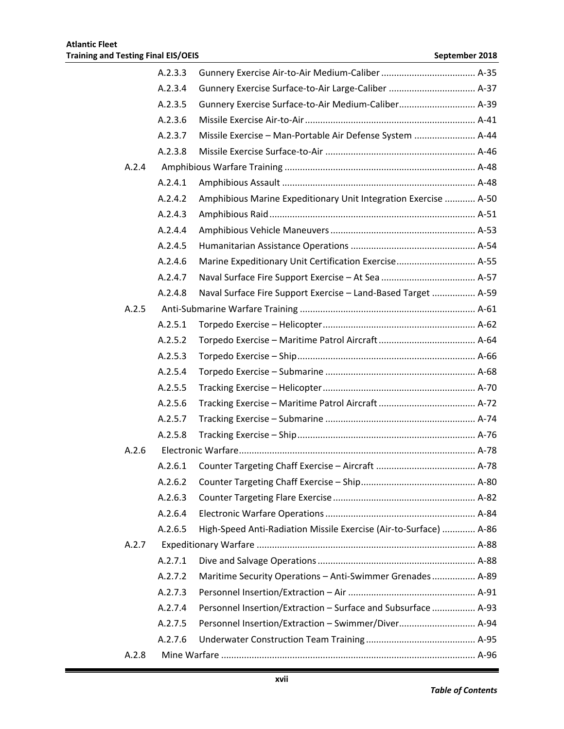|       | A.2.3.3 |                                                                   |  |
|-------|---------|-------------------------------------------------------------------|--|
|       | A.2.3.4 | Gunnery Exercise Surface-to-Air Large-Caliber  A-37               |  |
|       | A.2.3.5 | Gunnery Exercise Surface-to-Air Medium-Caliber A-39               |  |
|       | A.2.3.6 |                                                                   |  |
|       | A.2.3.7 | Missile Exercise - Man-Portable Air Defense System  A-44          |  |
|       | A.2.3.8 |                                                                   |  |
| A.2.4 |         |                                                                   |  |
|       | A.2.4.1 |                                                                   |  |
|       | A.2.4.2 | Amphibious Marine Expeditionary Unit Integration Exercise  A-50   |  |
|       | A.2.4.3 |                                                                   |  |
|       | A.2.4.4 |                                                                   |  |
|       | A.2.4.5 |                                                                   |  |
|       | A.2.4.6 | Marine Expeditionary Unit Certification Exercise A-55             |  |
|       | A.2.4.7 |                                                                   |  |
|       | A.2.4.8 | Naval Surface Fire Support Exercise - Land-Based Target  A-59     |  |
| A.2.5 |         |                                                                   |  |
|       | A.2.5.1 |                                                                   |  |
|       | A.2.5.2 |                                                                   |  |
|       | A.2.5.3 |                                                                   |  |
|       | A.2.5.4 |                                                                   |  |
|       | A.2.5.5 |                                                                   |  |
|       | A.2.5.6 |                                                                   |  |
|       | A.2.5.7 |                                                                   |  |
|       | A.2.5.8 |                                                                   |  |
| A.2.6 |         |                                                                   |  |
|       | A.2.6.1 |                                                                   |  |
|       | A.2.6.2 |                                                                   |  |
|       | A.2.6.3 |                                                                   |  |
|       | A.2.6.4 |                                                                   |  |
|       | A.2.6.5 | High-Speed Anti-Radiation Missile Exercise (Air-to-Surface)  A-86 |  |
| A.2.7 |         |                                                                   |  |
|       | A.2.7.1 |                                                                   |  |
|       | A.2.7.2 | Maritime Security Operations - Anti-Swimmer Grenades A-89         |  |
|       | A.2.7.3 |                                                                   |  |
|       | A.2.7.4 | Personnel Insertion/Extraction - Surface and Subsurface  A-93     |  |
|       | A.2.7.5 | Personnel Insertion/Extraction - Swimmer/Diver A-94               |  |
|       | A.2.7.6 |                                                                   |  |
| A.2.8 |         |                                                                   |  |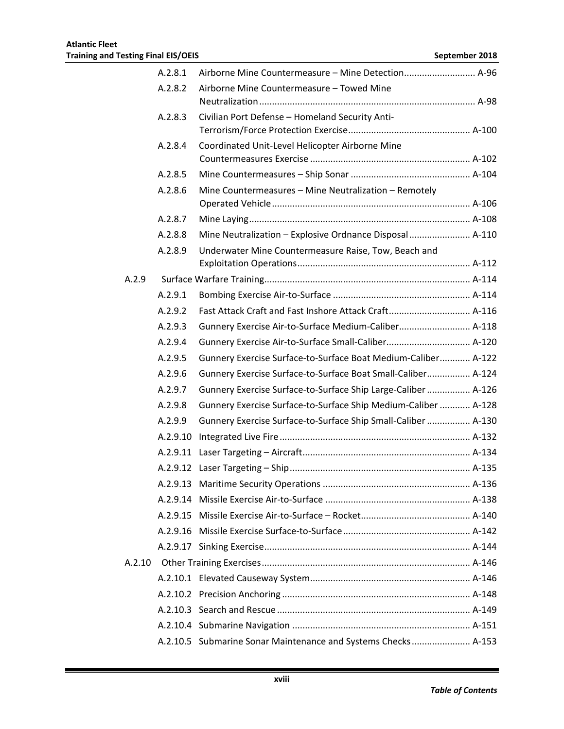|        | A.2.8.1  | Airborne Mine Countermeasure - Mine Detection A-96             |  |
|--------|----------|----------------------------------------------------------------|--|
|        | A.2.8.2  | Airborne Mine Countermeasure - Towed Mine                      |  |
|        |          |                                                                |  |
|        | A.2.8.3  | Civilian Port Defense - Homeland Security Anti-                |  |
|        |          |                                                                |  |
|        | A.2.8.4  | Coordinated Unit-Level Helicopter Airborne Mine                |  |
|        | A.2.8.5  |                                                                |  |
|        | A.2.8.6  | Mine Countermeasures - Mine Neutralization - Remotely          |  |
|        |          |                                                                |  |
|        | A.2.8.7  |                                                                |  |
|        | A.2.8.8  | Mine Neutralization - Explosive Ordnance Disposal A-110        |  |
|        | A.2.8.9  | Underwater Mine Countermeasure Raise, Tow, Beach and           |  |
|        |          |                                                                |  |
| A.2.9  |          |                                                                |  |
|        | A.2.9.1  |                                                                |  |
|        | A.2.9.2  | Fast Attack Craft and Fast Inshore Attack Craft A-116          |  |
|        | A.2.9.3  | Gunnery Exercise Air-to-Surface Medium-Caliber A-118           |  |
|        | A.2.9.4  | Gunnery Exercise Air-to-Surface Small-Caliber A-120            |  |
|        | A.2.9.5  | Gunnery Exercise Surface-to-Surface Boat Medium-Caliber A-122  |  |
|        | A.2.9.6  | Gunnery Exercise Surface-to-Surface Boat Small-Caliber A-124   |  |
|        | A.2.9.7  | Gunnery Exercise Surface-to-Surface Ship Large-Caliber  A-126  |  |
|        | A.2.9.8  | Gunnery Exercise Surface-to-Surface Ship Medium-Caliber  A-128 |  |
|        | A.2.9.9  | Gunnery Exercise Surface-to-Surface Ship Small-Caliber  A-130  |  |
|        | A.2.9.10 |                                                                |  |
|        | A.2.9.11 |                                                                |  |
|        | A.2.9.12 |                                                                |  |
|        |          |                                                                |  |
|        |          |                                                                |  |
|        |          |                                                                |  |
|        |          |                                                                |  |
|        |          |                                                                |  |
| A.2.10 |          |                                                                |  |
|        |          |                                                                |  |
|        |          |                                                                |  |
|        |          |                                                                |  |
|        |          |                                                                |  |
|        |          | A.2.10.5 Submarine Sonar Maintenance and Systems Checks A-153  |  |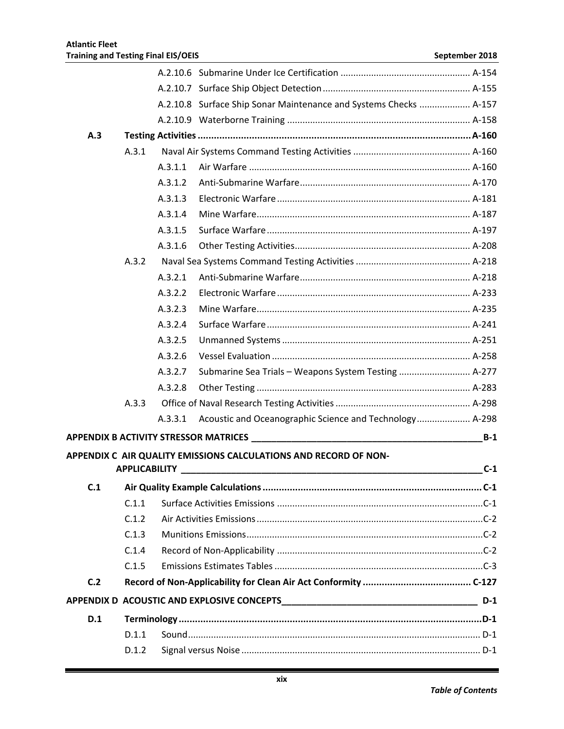|     |                      |         | A.2.10.8 Surface Ship Sonar Maintenance and Systems Checks  A-157                                              |       |
|-----|----------------------|---------|----------------------------------------------------------------------------------------------------------------|-------|
|     |                      |         |                                                                                                                |       |
| A.3 |                      |         |                                                                                                                |       |
|     | A.3.1                |         |                                                                                                                |       |
|     |                      | A.3.1.1 |                                                                                                                |       |
|     |                      | A.3.1.2 |                                                                                                                |       |
|     |                      | A.3.1.3 |                                                                                                                |       |
|     |                      | A.3.1.4 |                                                                                                                |       |
|     |                      | A.3.1.5 |                                                                                                                |       |
|     |                      | A.3.1.6 |                                                                                                                |       |
|     | A.3.2                |         |                                                                                                                |       |
|     |                      | A.3.2.1 |                                                                                                                |       |
|     |                      | A.3.2.2 |                                                                                                                |       |
|     |                      | A.3.2.3 |                                                                                                                |       |
|     |                      | A.3.2.4 |                                                                                                                |       |
|     |                      | A.3.2.5 |                                                                                                                |       |
|     |                      | A.3.2.6 |                                                                                                                |       |
|     |                      | A.3.2.7 | Submarine Sea Trials - Weapons System Testing  A-277                                                           |       |
|     |                      | A.3.2.8 |                                                                                                                |       |
|     | A.3.3                |         |                                                                                                                |       |
|     |                      | A.3.3.1 |                                                                                                                |       |
|     |                      |         | APPENDIX B ACTIVITY STRESSOR MATRICES AND THE RESERVE TO A RESERVE THE RESERVE TO A RESERVE THE RESERVE TO A R | $B-1$ |
|     |                      |         | APPENDIX C AIR QUALITY EMISSIONS CALCULATIONS AND RECORD OF NON-                                               |       |
|     | <b>APPLICABILITY</b> |         |                                                                                                                | $C-1$ |
| C.1 |                      |         |                                                                                                                |       |
|     | C.1.1                |         |                                                                                                                |       |
|     | C.1.2                |         |                                                                                                                |       |
|     | C.1.3                |         |                                                                                                                |       |
|     | C.1.4                |         |                                                                                                                |       |
|     | C.1.5                |         |                                                                                                                |       |
| C.2 |                      |         |                                                                                                                |       |
|     |                      |         |                                                                                                                | $D-1$ |
| D.1 |                      |         |                                                                                                                |       |
|     | D.1.1                |         |                                                                                                                |       |
|     | D.1.2                |         |                                                                                                                |       |
|     |                      |         |                                                                                                                |       |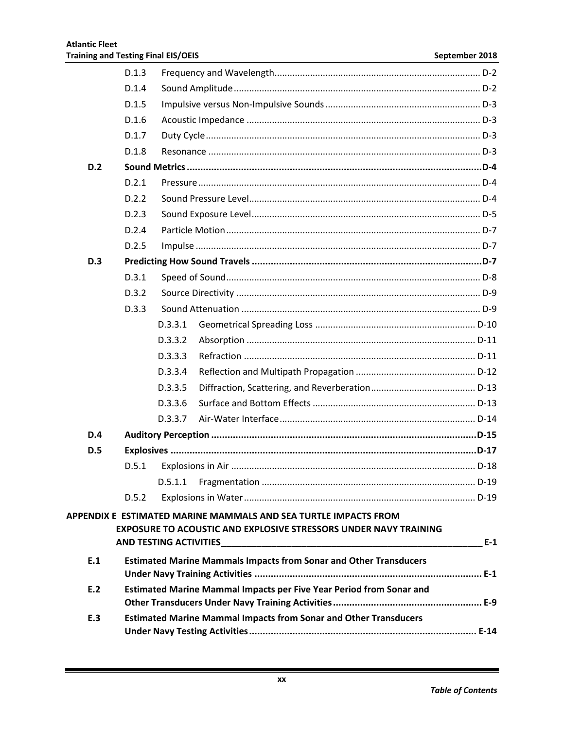|            | D.1.3                                                                   |         |                                                                                                                                            |       |  |  |
|------------|-------------------------------------------------------------------------|---------|--------------------------------------------------------------------------------------------------------------------------------------------|-------|--|--|
|            | D.1.4                                                                   |         |                                                                                                                                            |       |  |  |
|            | D.1.5                                                                   |         |                                                                                                                                            |       |  |  |
|            | D.1.6                                                                   |         |                                                                                                                                            |       |  |  |
|            | D.1.7                                                                   |         |                                                                                                                                            |       |  |  |
|            | D.1.8                                                                   |         |                                                                                                                                            |       |  |  |
| D.2        |                                                                         |         |                                                                                                                                            |       |  |  |
|            | D.2.1                                                                   |         |                                                                                                                                            |       |  |  |
|            | D.2.2                                                                   |         |                                                                                                                                            |       |  |  |
|            | D.2.3                                                                   |         |                                                                                                                                            |       |  |  |
|            | D.2.4                                                                   |         |                                                                                                                                            |       |  |  |
|            | D.2.5                                                                   |         |                                                                                                                                            |       |  |  |
| <b>D.3</b> |                                                                         |         |                                                                                                                                            |       |  |  |
|            | D.3.1                                                                   |         |                                                                                                                                            |       |  |  |
|            | D.3.2                                                                   |         |                                                                                                                                            |       |  |  |
|            | D.3.3                                                                   |         |                                                                                                                                            |       |  |  |
|            |                                                                         | D.3.3.1 |                                                                                                                                            |       |  |  |
|            |                                                                         | D.3.3.2 |                                                                                                                                            |       |  |  |
|            |                                                                         | D.3.3.3 |                                                                                                                                            |       |  |  |
|            |                                                                         | D.3.3.4 |                                                                                                                                            |       |  |  |
|            |                                                                         | D.3.3.5 |                                                                                                                                            |       |  |  |
|            |                                                                         | D.3.3.6 |                                                                                                                                            |       |  |  |
|            |                                                                         | D.3.3.7 |                                                                                                                                            |       |  |  |
| D.4        |                                                                         |         |                                                                                                                                            |       |  |  |
| D.5        |                                                                         |         |                                                                                                                                            |       |  |  |
|            | D.5.1                                                                   |         |                                                                                                                                            |       |  |  |
|            |                                                                         |         |                                                                                                                                            |       |  |  |
|            | D.5.2                                                                   |         |                                                                                                                                            |       |  |  |
|            |                                                                         |         | APPENDIX E ESTIMATED MARINE MAMMALS AND SEA TURTLE IMPACTS FROM<br><b>EXPOSURE TO ACOUSTIC AND EXPLOSIVE STRESSORS UNDER NAVY TRAINING</b> |       |  |  |
|            |                                                                         |         |                                                                                                                                            | $E-1$ |  |  |
| E.1        |                                                                         |         | <b>Estimated Marine Mammals Impacts from Sonar and Other Transducers</b>                                                                   |       |  |  |
| E.2        |                                                                         |         | Estimated Marine Mammal Impacts per Five Year Period from Sonar and                                                                        |       |  |  |
|            |                                                                         |         |                                                                                                                                            |       |  |  |
| E.3        | <b>Estimated Marine Mammal Impacts from Sonar and Other Transducers</b> |         |                                                                                                                                            |       |  |  |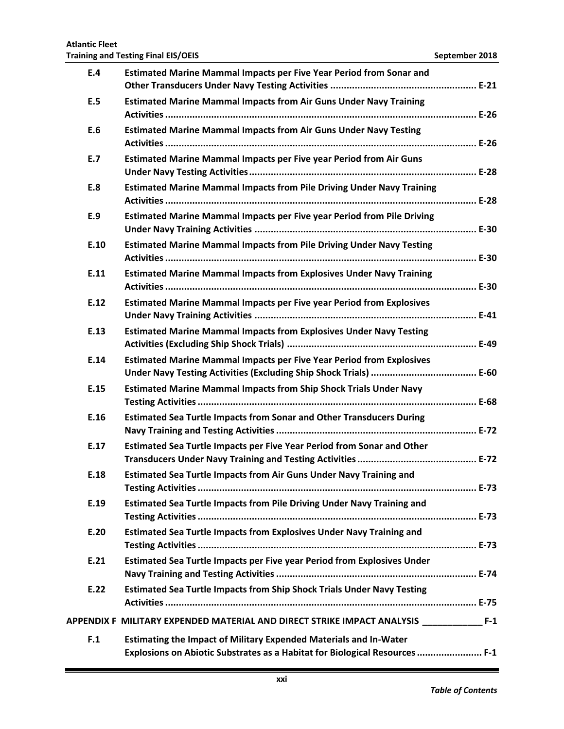## **E.4 Estimated Marine Mammal Impacts per Five Year Period from Sonar and Other Transducers Under Navy Testing Activities ...................................................... E-21 E.5 Estimated Marine Mammal Impacts from Air Guns Under Navy Training Activities................................................................................................................... E-26 E.6 Estimated Marine Mammal Impacts from Air Guns Under Navy Testing Activities................................................................................................................... E-26 E.7 Estimated Marine Mammal Impacts per Five year Period from Air Guns Under Navy Testing Activities.................................................................................... E-28 E.8 Estimated Marine Mammal Impacts from Pile Driving Under Navy Training Activities................................................................................................................... E-28 E.9 Estimated Marine Mammal Impacts per Five year Period from Pile Driving Under Navy Training Activities .................................................................................. E-30 E.10 Estimated Marine Mammal Impacts from Pile Driving Under Navy Testing Activities................................................................................................................... E-30 E.11 Estimated Marine Mammal Impacts from Explosives Under Navy Training Activities................................................................................................................... E-30 E.12 Estimated Marine Mammal Impacts per Five year Period from Explosives Under Navy Training Activities .................................................................................. E-41 E.13 Estimated Marine Mammal Impacts from Explosives Under Navy Testing Activities (Excluding Ship Shock Trials) ...................................................................... E-49 E.14 Estimated Marine Mammal Impacts per Five Year Period from Explosives Under Navy Testing Activities (Excluding Ship Shock Trials) ....................................... E-60 E.15 Estimated Marine Mammal Impacts from Ship Shock Trials Under Navy Testing Activities....................................................................................................... E-68 E.16 Estimated Sea Turtle Impacts from Sonar and Other Transducers During Navy Training and Testing Activities.......................................................................... E-72 E.17 Estimated Sea Turtle Impacts per Five Year Period from Sonar and Other Transducers Under Navy Training and Testing Activities............................................ E-72 E.18 Estimated Sea Turtle Impacts from Air Guns Under Navy Training and Testing Activities....................................................................................................... E-73 E.19 Estimated Sea Turtle Impacts from Pile Driving Under Navy Training and Testing Activities....................................................................................................... E-73 E.20 Estimated Sea Turtle Impacts from Explosives Under Navy Training and Testing Activities....................................................................................................... E-73 E.21 Estimated Sea Turtle Impacts per Five year Period from Explosives Under Navy Training and Testing Activities.......................................................................... E-74 E.22 Estimated Sea Turtle Impacts from Ship Shock Trials Under Navy Testing Activities................................................................................................................... E-75**

#### **Atlantic Fleet Training and Testing Final EIS/OEIS September 2018 September 2018**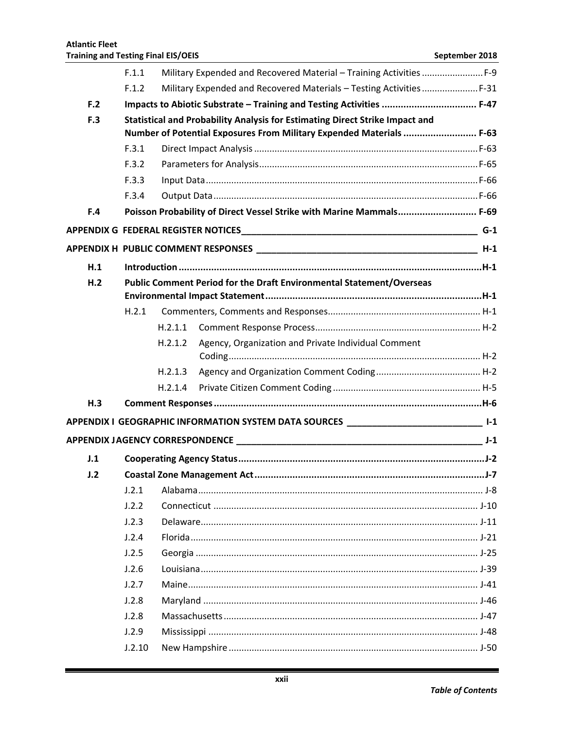|                | F.1.1  |                                                                      |                                                                                                                                                      |       |  |  |  |
|----------------|--------|----------------------------------------------------------------------|------------------------------------------------------------------------------------------------------------------------------------------------------|-------|--|--|--|
|                | F.1.2  |                                                                      | Military Expended and Recovered Materials - Testing Activities  F-31                                                                                 |       |  |  |  |
| F.2            |        |                                                                      | Impacts to Abiotic Substrate - Training and Testing Activities  F-47                                                                                 |       |  |  |  |
| F.3            |        |                                                                      | Statistical and Probability Analysis for Estimating Direct Strike Impact and<br>Number of Potential Exposures From Military Expended Materials  F-63 |       |  |  |  |
|                | F.3.1  |                                                                      |                                                                                                                                                      |       |  |  |  |
|                | F.3.2  |                                                                      |                                                                                                                                                      |       |  |  |  |
|                | F.3.3  |                                                                      |                                                                                                                                                      |       |  |  |  |
|                | F.3.4  |                                                                      |                                                                                                                                                      |       |  |  |  |
| F.4            |        |                                                                      | Poisson Probability of Direct Vessel Strike with Marine Mammals F-69                                                                                 |       |  |  |  |
|                |        |                                                                      |                                                                                                                                                      |       |  |  |  |
|                |        |                                                                      |                                                                                                                                                      |       |  |  |  |
| H.1            |        |                                                                      |                                                                                                                                                      |       |  |  |  |
| H <sub>2</sub> |        | Public Comment Period for the Draft Environmental Statement/Overseas |                                                                                                                                                      |       |  |  |  |
|                |        |                                                                      |                                                                                                                                                      |       |  |  |  |
|                | H.2.1  |                                                                      |                                                                                                                                                      |       |  |  |  |
|                |        | H.2.1.1                                                              |                                                                                                                                                      |       |  |  |  |
|                |        | H.2.1.2                                                              | Agency, Organization and Private Individual Comment                                                                                                  |       |  |  |  |
|                |        | H.2.1.3                                                              |                                                                                                                                                      |       |  |  |  |
|                |        | H.2.1.4                                                              |                                                                                                                                                      |       |  |  |  |
| H.3            |        |                                                                      |                                                                                                                                                      |       |  |  |  |
|                |        |                                                                      | APPENDIX I  GEOGRAPHIC INFORMATION SYSTEM DATA SOURCES _________________________________ I-1                                                         |       |  |  |  |
|                |        |                                                                      |                                                                                                                                                      | $J-1$ |  |  |  |
| J.1            |        |                                                                      |                                                                                                                                                      |       |  |  |  |
| J.2            |        |                                                                      |                                                                                                                                                      |       |  |  |  |
|                | J.2.1  |                                                                      |                                                                                                                                                      |       |  |  |  |
|                | J.2.2  |                                                                      |                                                                                                                                                      |       |  |  |  |
|                | J.2.3  |                                                                      |                                                                                                                                                      |       |  |  |  |
|                | J.2.4  |                                                                      |                                                                                                                                                      |       |  |  |  |
|                | J.2.5  |                                                                      |                                                                                                                                                      |       |  |  |  |
|                | J.2.6  |                                                                      |                                                                                                                                                      |       |  |  |  |
|                | J.2.7  |                                                                      |                                                                                                                                                      |       |  |  |  |
|                | J.2.8  |                                                                      |                                                                                                                                                      |       |  |  |  |
|                | J.2.8  |                                                                      |                                                                                                                                                      |       |  |  |  |
|                | J.2.9  |                                                                      |                                                                                                                                                      |       |  |  |  |
|                | J.2.10 |                                                                      |                                                                                                                                                      |       |  |  |  |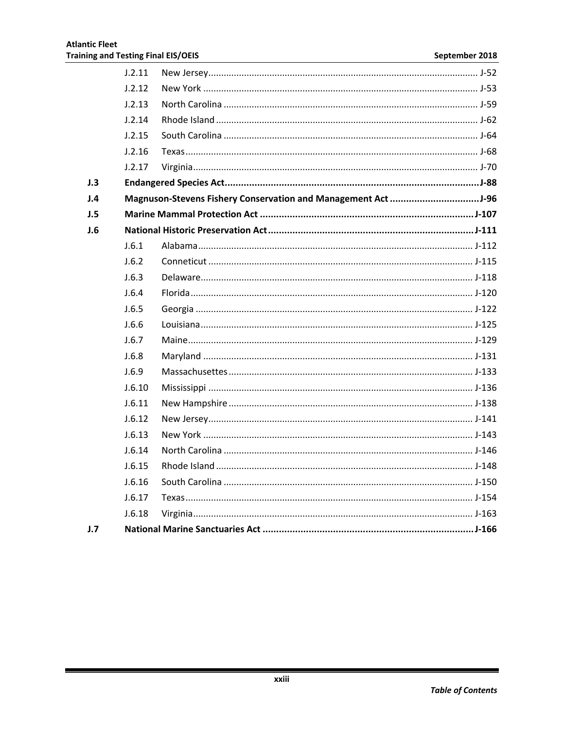|     | J.2.11 |  |
|-----|--------|--|
|     | J.2.12 |  |
|     | J.2.13 |  |
|     | J.2.14 |  |
|     | J.2.15 |  |
|     | J.2.16 |  |
|     | J.2.17 |  |
| J.3 |        |  |
| J.4 |        |  |
| J.5 |        |  |
| J.6 |        |  |
|     | J.6.1  |  |
|     | J.6.2  |  |
|     | J.6.3  |  |
|     | J.6.4  |  |
|     | J.6.5  |  |
|     | J.6.6  |  |
|     | J.6.7  |  |
|     | J.6.8  |  |
|     | J.6.9  |  |
|     | J.6.10 |  |
|     | J.6.11 |  |
|     | J.6.12 |  |
|     | J.6.13 |  |
|     | J.6.14 |  |
|     | J.6.15 |  |
|     | J.6.16 |  |
|     | J.6.17 |  |
|     | J.6.18 |  |
| J.7 |        |  |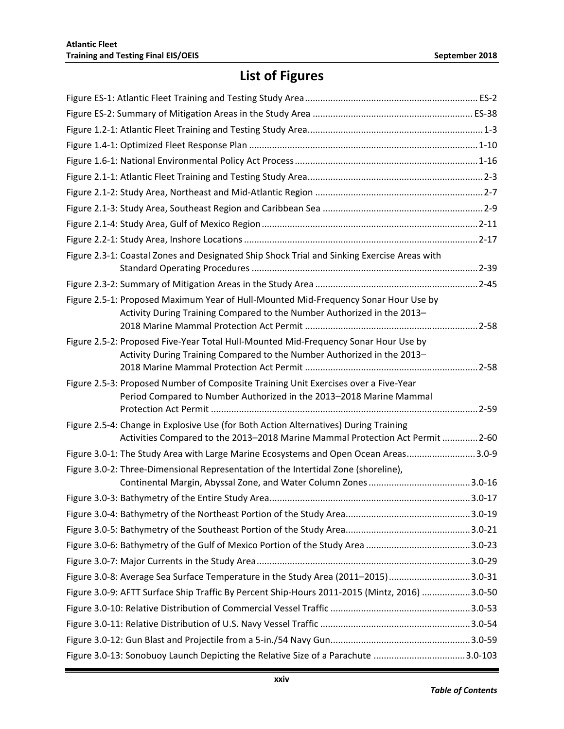# **List of Figures**

| Figure 2.3-1: Coastal Zones and Designated Ship Shock Trial and Sinking Exercise Areas with                                                                    |  |
|----------------------------------------------------------------------------------------------------------------------------------------------------------------|--|
|                                                                                                                                                                |  |
|                                                                                                                                                                |  |
| Figure 2.5-1: Proposed Maximum Year of Hull-Mounted Mid-Frequency Sonar Hour Use by                                                                            |  |
| Activity During Training Compared to the Number Authorized in the 2013-                                                                                        |  |
|                                                                                                                                                                |  |
| Figure 2.5-2: Proposed Five-Year Total Hull-Mounted Mid-Frequency Sonar Hour Use by<br>Activity During Training Compared to the Number Authorized in the 2013- |  |
|                                                                                                                                                                |  |
| Figure 2.5-3: Proposed Number of Composite Training Unit Exercises over a Five-Year                                                                            |  |
| Period Compared to Number Authorized in the 2013-2018 Marine Mammal                                                                                            |  |
|                                                                                                                                                                |  |
| Figure 2.5-4: Change in Explosive Use (for Both Action Alternatives) During Training                                                                           |  |
| Activities Compared to the 2013-2018 Marine Mammal Protection Act Permit  2-60                                                                                 |  |
| Figure 3.0-1: The Study Area with Large Marine Ecosystems and Open Ocean Areas3.0-9                                                                            |  |
| Figure 3.0-2: Three-Dimensional Representation of the Intertidal Zone (shoreline),                                                                             |  |
|                                                                                                                                                                |  |
|                                                                                                                                                                |  |
|                                                                                                                                                                |  |
|                                                                                                                                                                |  |
|                                                                                                                                                                |  |
| Figure 3.0-8: Average Sea Surface Temperature in the Study Area (2011-2015)3.0-31                                                                              |  |
| Figure 3.0-9: AFTT Surface Ship Traffic By Percent Ship-Hours 2011-2015 (Mintz, 2016) 3.0-50                                                                   |  |
|                                                                                                                                                                |  |
|                                                                                                                                                                |  |
|                                                                                                                                                                |  |
|                                                                                                                                                                |  |
| Figure 3.0-13: Sonobuoy Launch Depicting the Relative Size of a Parachute 3.0-103                                                                              |  |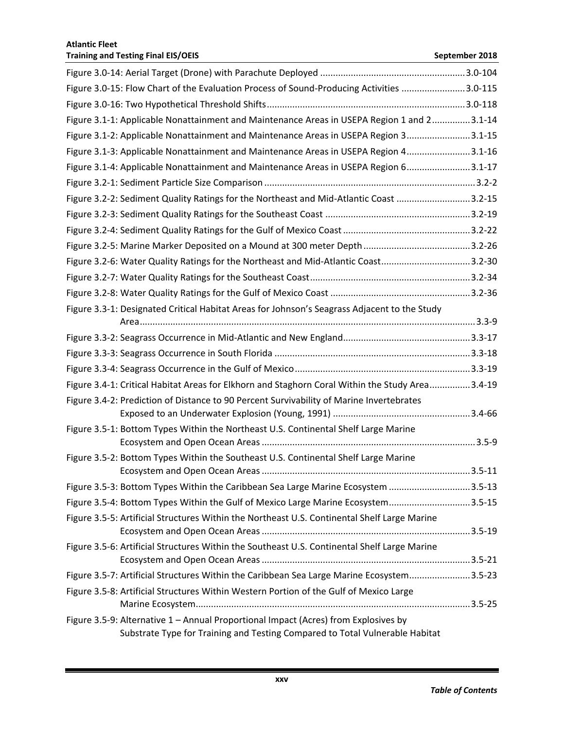| Figure 3.0-15: Flow Chart of the Evaluation Process of Sound-Producing Activities 3.0-115       |  |
|-------------------------------------------------------------------------------------------------|--|
|                                                                                                 |  |
| Figure 3.1-1: Applicable Nonattainment and Maintenance Areas in USEPA Region 1 and 23.1-14      |  |
| Figure 3.1-2: Applicable Nonattainment and Maintenance Areas in USEPA Region 33.1-15            |  |
| Figure 3.1-3: Applicable Nonattainment and Maintenance Areas in USEPA Region 43.1-16            |  |
| Figure 3.1-4: Applicable Nonattainment and Maintenance Areas in USEPA Region 63.1-17            |  |
|                                                                                                 |  |
| Figure 3.2-2: Sediment Quality Ratings for the Northeast and Mid-Atlantic Coast 3.2-15          |  |
|                                                                                                 |  |
|                                                                                                 |  |
|                                                                                                 |  |
| Figure 3.2-6: Water Quality Ratings for the Northeast and Mid-Atlantic Coast3.2-30              |  |
|                                                                                                 |  |
|                                                                                                 |  |
| Figure 3.3-1: Designated Critical Habitat Areas for Johnson's Seagrass Adjacent to the Study    |  |
|                                                                                                 |  |
|                                                                                                 |  |
|                                                                                                 |  |
|                                                                                                 |  |
| Figure 3.4-1: Critical Habitat Areas for Elkhorn and Staghorn Coral Within the Study Area3.4-19 |  |
| Figure 3.4-2: Prediction of Distance to 90 Percent Survivability of Marine Invertebrates        |  |
|                                                                                                 |  |
| Figure 3.5-1: Bottom Types Within the Northeast U.S. Continental Shelf Large Marine             |  |
|                                                                                                 |  |
| Figure 3.5-2: Bottom Types Within the Southeast U.S. Continental Shelf Large Marine             |  |
| Figure 3.5-3: Bottom Types Within the Caribbean Sea Large Marine Ecosystem 3.5-13               |  |
| Figure 3.5-4: Bottom Types Within the Gulf of Mexico Large Marine Ecosystem3.5-15               |  |
| Figure 3.5-5: Artificial Structures Within the Northeast U.S. Continental Shelf Large Marine    |  |
|                                                                                                 |  |
| Figure 3.5-6: Artificial Structures Within the Southeast U.S. Continental Shelf Large Marine    |  |
|                                                                                                 |  |
| Figure 3.5-7: Artificial Structures Within the Caribbean Sea Large Marine Ecosystem3.5-23       |  |
| Figure 3.5-8: Artificial Structures Within Western Portion of the Gulf of Mexico Large          |  |
|                                                                                                 |  |
| Figure 3.5-9: Alternative 1 - Annual Proportional Impact (Acres) from Explosives by             |  |
| Substrate Type for Training and Testing Compared to Total Vulnerable Habitat                    |  |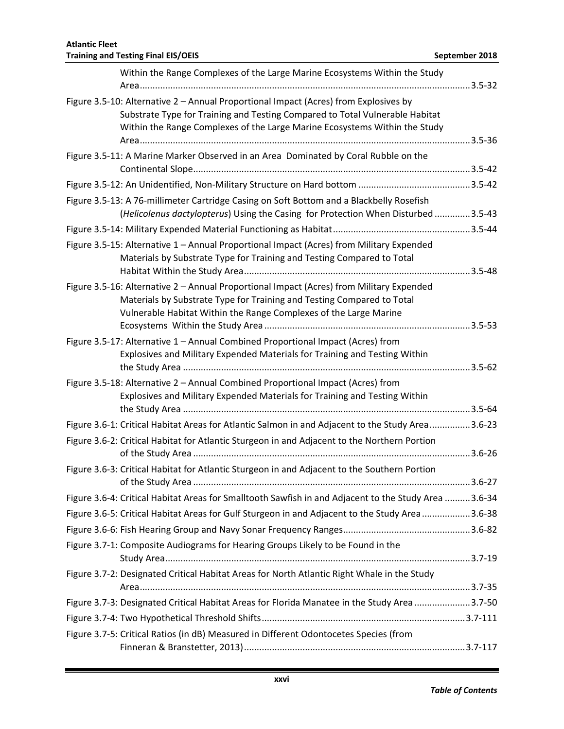| Within the Range Complexes of the Large Marine Ecosystems Within the Study                                                                                                                                                                         |  |
|----------------------------------------------------------------------------------------------------------------------------------------------------------------------------------------------------------------------------------------------------|--|
| Figure 3.5-10: Alternative 2 - Annual Proportional Impact (Acres) from Explosives by<br>Substrate Type for Training and Testing Compared to Total Vulnerable Habitat<br>Within the Range Complexes of the Large Marine Ecosystems Within the Study |  |
| Figure 3.5-11: A Marine Marker Observed in an Area Dominated by Coral Rubble on the                                                                                                                                                                |  |
|                                                                                                                                                                                                                                                    |  |
| Figure 3.5-13: A 76-millimeter Cartridge Casing on Soft Bottom and a Blackbelly Rosefish<br>(Helicolenus dactylopterus) Using the Casing for Protection When Disturbed 3.5-43                                                                      |  |
|                                                                                                                                                                                                                                                    |  |
| Figure 3.5-15: Alternative 1 - Annual Proportional Impact (Acres) from Military Expended<br>Materials by Substrate Type for Training and Testing Compared to Total                                                                                 |  |
| Figure 3.5-16: Alternative 2 - Annual Proportional Impact (Acres) from Military Expended<br>Materials by Substrate Type for Training and Testing Compared to Total<br>Vulnerable Habitat Within the Range Complexes of the Large Marine            |  |
| Figure 3.5-17: Alternative 1 - Annual Combined Proportional Impact (Acres) from<br>Explosives and Military Expended Materials for Training and Testing Within                                                                                      |  |
| Figure 3.5-18: Alternative 2 - Annual Combined Proportional Impact (Acres) from<br>Explosives and Military Expended Materials for Training and Testing Within                                                                                      |  |
| Figure 3.6-1: Critical Habitat Areas for Atlantic Salmon in and Adjacent to the Study Area3.6-23                                                                                                                                                   |  |
| Figure 3.6-2: Critical Habitat for Atlantic Sturgeon in and Adjacent to the Northern Portion                                                                                                                                                       |  |
| Figure 3.6-3: Critical Habitat for Atlantic Sturgeon in and Adjacent to the Southern Portion                                                                                                                                                       |  |
| Figure 3.6-4: Critical Habitat Areas for Smalltooth Sawfish in and Adjacent to the Study Area 3.6-34                                                                                                                                               |  |
| Figure 3.6-5: Critical Habitat Areas for Gulf Sturgeon in and Adjacent to the Study Area 3.6-38                                                                                                                                                    |  |
|                                                                                                                                                                                                                                                    |  |
| Figure 3.7-1: Composite Audiograms for Hearing Groups Likely to be Found in the                                                                                                                                                                    |  |
| Figure 3.7-2: Designated Critical Habitat Areas for North Atlantic Right Whale in the Study                                                                                                                                                        |  |
| Figure 3.7-3: Designated Critical Habitat Areas for Florida Manatee in the Study Area 3.7-50                                                                                                                                                       |  |
|                                                                                                                                                                                                                                                    |  |
| Figure 3.7-5: Critical Ratios (in dB) Measured in Different Odontocetes Species (from                                                                                                                                                              |  |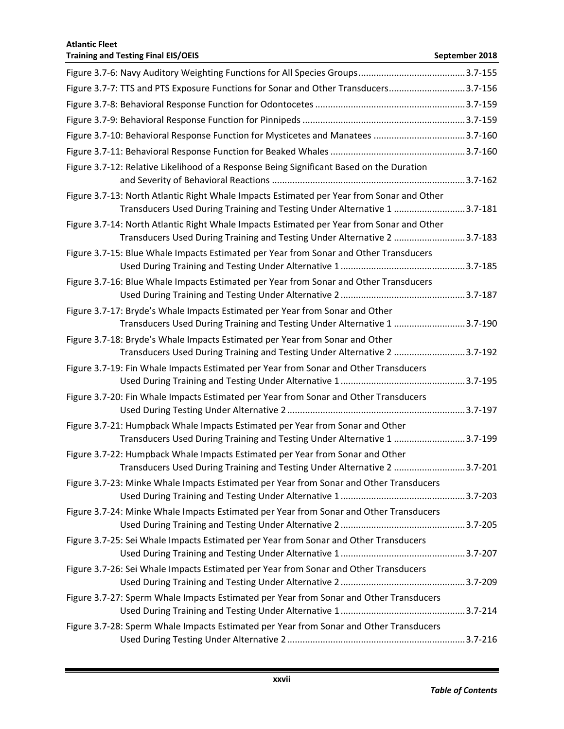| Figure 3.7-7: TTS and PTS Exposure Functions for Sonar and Other Transducers3.7-156                                                                                   |  |
|-----------------------------------------------------------------------------------------------------------------------------------------------------------------------|--|
|                                                                                                                                                                       |  |
|                                                                                                                                                                       |  |
| Figure 3.7-10: Behavioral Response Function for Mysticetes and Manatees 3.7-160                                                                                       |  |
|                                                                                                                                                                       |  |
| Figure 3.7-12: Relative Likelihood of a Response Being Significant Based on the Duration                                                                              |  |
| Figure 3.7-13: North Atlantic Right Whale Impacts Estimated per Year from Sonar and Other<br>Transducers Used During Training and Testing Under Alternative 1 3.7-181 |  |
| Figure 3.7-14: North Atlantic Right Whale Impacts Estimated per Year from Sonar and Other<br>Transducers Used During Training and Testing Under Alternative 2 3.7-183 |  |
| Figure 3.7-15: Blue Whale Impacts Estimated per Year from Sonar and Other Transducers                                                                                 |  |
| Figure 3.7-16: Blue Whale Impacts Estimated per Year from Sonar and Other Transducers                                                                                 |  |
| Figure 3.7-17: Bryde's Whale Impacts Estimated per Year from Sonar and Other<br>Transducers Used During Training and Testing Under Alternative 1 3.7-190              |  |
| Figure 3.7-18: Bryde's Whale Impacts Estimated per Year from Sonar and Other<br>Transducers Used During Training and Testing Under Alternative 2 3.7-192              |  |
| Figure 3.7-19: Fin Whale Impacts Estimated per Year from Sonar and Other Transducers                                                                                  |  |
| Figure 3.7-20: Fin Whale Impacts Estimated per Year from Sonar and Other Transducers                                                                                  |  |
| Figure 3.7-21: Humpback Whale Impacts Estimated per Year from Sonar and Other<br>Transducers Used During Training and Testing Under Alternative 1 3.7-199             |  |
| Figure 3.7-22: Humpback Whale Impacts Estimated per Year from Sonar and Other<br>Transducers Used During Training and Testing Under Alternative 2 3.7-201             |  |
| Figure 3.7-23: Minke Whale Impacts Estimated per Year from Sonar and Other Transducers                                                                                |  |
| Figure 3.7-24: Minke Whale Impacts Estimated per Year from Sonar and Other Transducers                                                                                |  |
| Figure 3.7-25: Sei Whale Impacts Estimated per Year from Sonar and Other Transducers                                                                                  |  |
| Figure 3.7-26: Sei Whale Impacts Estimated per Year from Sonar and Other Transducers                                                                                  |  |
| Figure 3.7-27: Sperm Whale Impacts Estimated per Year from Sonar and Other Transducers                                                                                |  |
| Figure 3.7-28: Sperm Whale Impacts Estimated per Year from Sonar and Other Transducers                                                                                |  |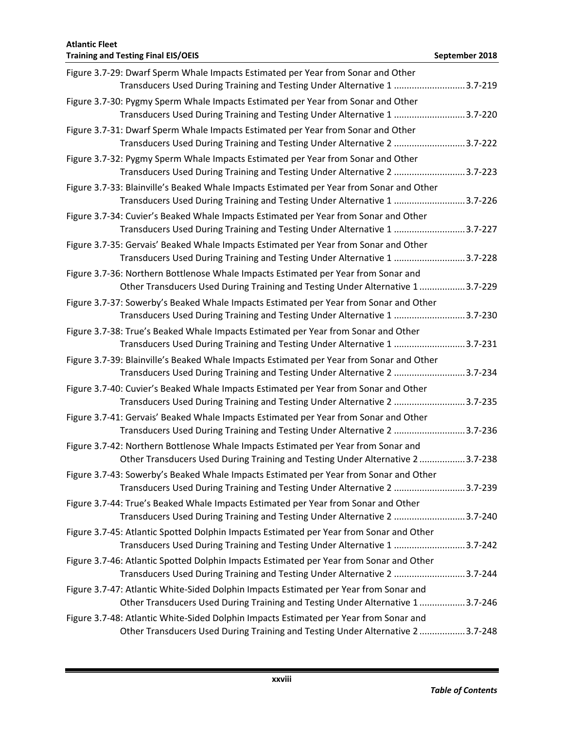| <b>Atlantic Fleet</b><br><b>Training and Testing Final EIS/OEIS</b>                                                                                                    | September 2018 |
|------------------------------------------------------------------------------------------------------------------------------------------------------------------------|----------------|
| Figure 3.7-29: Dwarf Sperm Whale Impacts Estimated per Year from Sonar and Other                                                                                       |                |
| Transducers Used During Training and Testing Under Alternative 1 3.7-219                                                                                               |                |
| Figure 3.7-30: Pygmy Sperm Whale Impacts Estimated per Year from Sonar and Other<br>Transducers Used During Training and Testing Under Alternative 1 3.7-220           |                |
| Figure 3.7-31: Dwarf Sperm Whale Impacts Estimated per Year from Sonar and Other<br>Transducers Used During Training and Testing Under Alternative 2 3.7-222           |                |
| Figure 3.7-32: Pygmy Sperm Whale Impacts Estimated per Year from Sonar and Other<br>Transducers Used During Training and Testing Under Alternative 2 3.7-223           |                |
| Figure 3.7-33: Blainville's Beaked Whale Impacts Estimated per Year from Sonar and Other<br>Transducers Used During Training and Testing Under Alternative 1 3.7-226   |                |
| Figure 3.7-34: Cuvier's Beaked Whale Impacts Estimated per Year from Sonar and Other<br>Transducers Used During Training and Testing Under Alternative 1 3.7-227       |                |
| Figure 3.7-35: Gervais' Beaked Whale Impacts Estimated per Year from Sonar and Other<br>Transducers Used During Training and Testing Under Alternative 1 3.7-228       |                |
| Figure 3.7-36: Northern Bottlenose Whale Impacts Estimated per Year from Sonar and<br>Other Transducers Used During Training and Testing Under Alternative 13.7-229    |                |
| Figure 3.7-37: Sowerby's Beaked Whale Impacts Estimated per Year from Sonar and Other<br>Transducers Used During Training and Testing Under Alternative 1 3.7-230      |                |
| Figure 3.7-38: True's Beaked Whale Impacts Estimated per Year from Sonar and Other<br>Transducers Used During Training and Testing Under Alternative 1 3.7-231         |                |
| Figure 3.7-39: Blainville's Beaked Whale Impacts Estimated per Year from Sonar and Other<br>Transducers Used During Training and Testing Under Alternative 2 3.7-234   |                |
| Figure 3.7-40: Cuvier's Beaked Whale Impacts Estimated per Year from Sonar and Other<br>Transducers Used During Training and Testing Under Alternative 2 3.7-235       |                |
| Figure 3.7-41: Gervais' Beaked Whale Impacts Estimated per Year from Sonar and Other<br>Transducers Used During Training and Testing Under Alternative 2 3.7-236       |                |
| Figure 3.7-42: Northern Bottlenose Whale Impacts Estimated per Year from Sonar and<br>Other Transducers Used During Training and Testing Under Alternative 23.7-238    |                |
| Figure 3.7-43: Sowerby's Beaked Whale Impacts Estimated per Year from Sonar and Other<br>Transducers Used During Training and Testing Under Alternative 2 3.7-239      |                |
| Figure 3.7-44: True's Beaked Whale Impacts Estimated per Year from Sonar and Other<br>Transducers Used During Training and Testing Under Alternative 2 3.7-240         |                |
| Figure 3.7-45: Atlantic Spotted Dolphin Impacts Estimated per Year from Sonar and Other<br>Transducers Used During Training and Testing Under Alternative 1 3.7-242    |                |
| Figure 3.7-46: Atlantic Spotted Dolphin Impacts Estimated per Year from Sonar and Other<br>Transducers Used During Training and Testing Under Alternative 2 3.7-244    |                |
| Figure 3.7-47: Atlantic White-Sided Dolphin Impacts Estimated per Year from Sonar and<br>Other Transducers Used During Training and Testing Under Alternative 13.7-246 |                |
| Figure 3.7-48: Atlantic White-Sided Dolphin Impacts Estimated per Year from Sonar and<br>Other Transducers Used During Training and Testing Under Alternative 23.7-248 |                |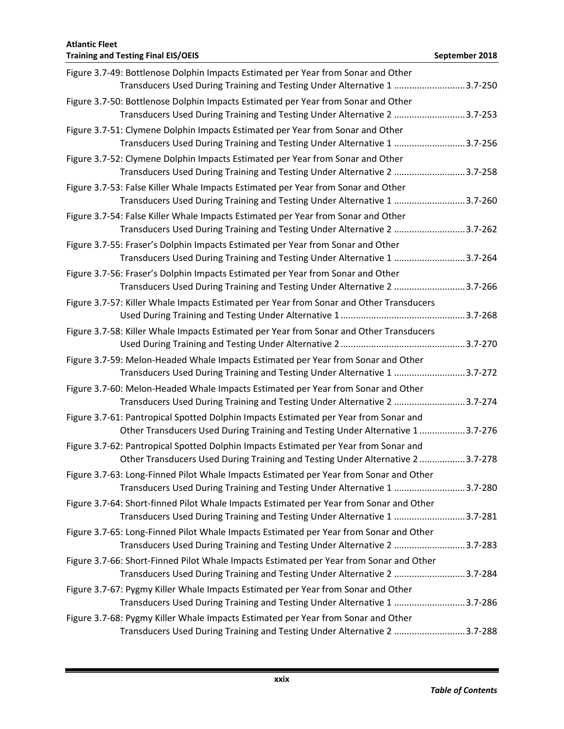| <b>Atlantic Fleet</b><br><b>Training and Testing Final EIS/OEIS</b>                                                                                                   | September 2018 |
|-----------------------------------------------------------------------------------------------------------------------------------------------------------------------|----------------|
| Figure 3.7-49: Bottlenose Dolphin Impacts Estimated per Year from Sonar and Other<br>Transducers Used During Training and Testing Under Alternative 1 3.7-250         |                |
| Figure 3.7-50: Bottlenose Dolphin Impacts Estimated per Year from Sonar and Other<br>Transducers Used During Training and Testing Under Alternative 2 3.7-253         |                |
| Figure 3.7-51: Clymene Dolphin Impacts Estimated per Year from Sonar and Other<br>Transducers Used During Training and Testing Under Alternative 1 3.7-256            |                |
| Figure 3.7-52: Clymene Dolphin Impacts Estimated per Year from Sonar and Other<br>Transducers Used During Training and Testing Under Alternative 2 3.7-258            |                |
| Figure 3.7-53: False Killer Whale Impacts Estimated per Year from Sonar and Other<br>Transducers Used During Training and Testing Under Alternative 1 3.7-260         |                |
| Figure 3.7-54: False Killer Whale Impacts Estimated per Year from Sonar and Other<br>Transducers Used During Training and Testing Under Alternative 2 3.7-262         |                |
| Figure 3.7-55: Fraser's Dolphin Impacts Estimated per Year from Sonar and Other<br>Transducers Used During Training and Testing Under Alternative 1 3.7-264           |                |
| Figure 3.7-56: Fraser's Dolphin Impacts Estimated per Year from Sonar and Other<br>Transducers Used During Training and Testing Under Alternative 2 3.7-266           |                |
| Figure 3.7-57: Killer Whale Impacts Estimated per Year from Sonar and Other Transducers                                                                               |                |
| Figure 3.7-58: Killer Whale Impacts Estimated per Year from Sonar and Other Transducers                                                                               |                |
| Figure 3.7-59: Melon-Headed Whale Impacts Estimated per Year from Sonar and Other<br>Transducers Used During Training and Testing Under Alternative 1 3.7-272         |                |
| Figure 3.7-60: Melon-Headed Whale Impacts Estimated per Year from Sonar and Other<br>Transducers Used During Training and Testing Under Alternative 2 3.7-274         |                |
| Figure 3.7-61: Pantropical Spotted Dolphin Impacts Estimated per Year from Sonar and<br>Other Transducers Used During Training and Testing Under Alternative 13.7-276 |                |
| Figure 3.7-62: Pantropical Spotted Dolphin Impacts Estimated per Year from Sonar and<br>Other Transducers Used During Training and Testing Under Alternative 23.7-278 |                |
| Figure 3.7-63: Long-Finned Pilot Whale Impacts Estimated per Year from Sonar and Other<br>Transducers Used During Training and Testing Under Alternative 1 3.7-280    |                |
| Figure 3.7-64: Short-finned Pilot Whale Impacts Estimated per Year from Sonar and Other<br>Transducers Used During Training and Testing Under Alternative 1 3.7-281   |                |
| Figure 3.7-65: Long-Finned Pilot Whale Impacts Estimated per Year from Sonar and Other<br>Transducers Used During Training and Testing Under Alternative 2 3.7-283    |                |
| Figure 3.7-66: Short-Finned Pilot Whale Impacts Estimated per Year from Sonar and Other<br>Transducers Used During Training and Testing Under Alternative 2 3.7-284   |                |
| Figure 3.7-67: Pygmy Killer Whale Impacts Estimated per Year from Sonar and Other<br>Transducers Used During Training and Testing Under Alternative 1 3.7-286         |                |
| Figure 3.7-68: Pygmy Killer Whale Impacts Estimated per Year from Sonar and Other<br>Transducers Used During Training and Testing Under Alternative 2 3.7-288         |                |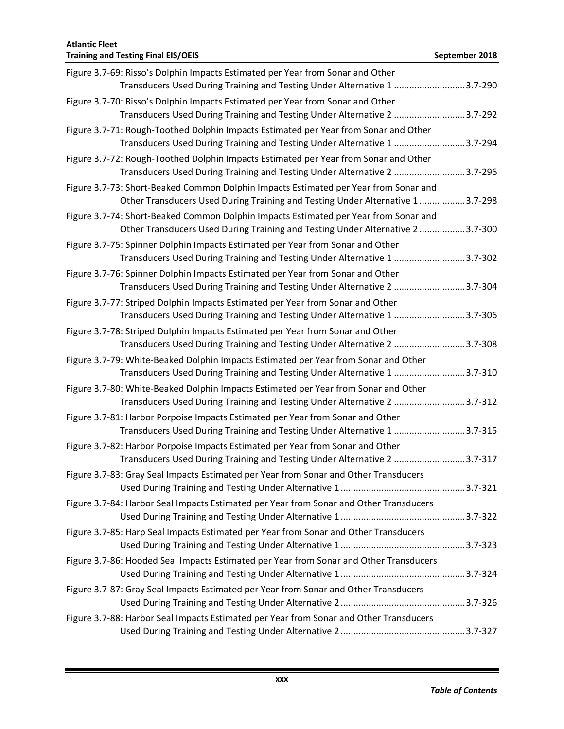## **Atlantic Fleet Training and Testing Final EIS/OEIS September 2018 September 2018** Figure 3.7-69: Risso's Dolphin Impacts Estimated per Year from Sonar and Other Transducers Used During Training and Testing Under Alternative 1 ............................3.7-290 Figure 3.7-70: Risso's Dolphin Impacts Estimated per Year from Sonar and Other Transducers Used During Training and Testing Under Alternative 2 ............................3.7-292 Figure 3.7-71: Rough-Toothed Dolphin Impacts Estimated per Year from Sonar and Other Transducers Used During Training and Testing Under Alternative 1 ............................3.7-294 Figure 3.7-72: Rough-Toothed Dolphin Impacts Estimated per Year from Sonar and Other Transducers Used During Training and Testing Under Alternative 2 ............................3.7-296 Figure 3.7-73: Short-Beaked Common Dolphin Impacts Estimated per Year from Sonar and Other Transducers Used During Training and Testing Under Alternative 1 ..................3.7-298 Figure 3.7-74: Short-Beaked Common Dolphin Impacts Estimated per Year from Sonar and Other Transducers Used During Training and Testing Under Alternative 2 ..................3.7-300 Figure 3.7-75: Spinner Dolphin Impacts Estimated per Year from Sonar and Other Transducers Used During Training and Testing Under Alternative 1 ............................3.7-302 Figure 3.7-76: Spinner Dolphin Impacts Estimated per Year from Sonar and Other Transducers Used During Training and Testing Under Alternative 2 ............................3.7-304 Figure 3.7-77: Striped Dolphin Impacts Estimated per Year from Sonar and Other Transducers Used During Training and Testing Under Alternative 1 ............................3.7-306 Figure 3.7-78: Striped Dolphin Impacts Estimated per Year from Sonar and Other Transducers Used During Training and Testing Under Alternative 2 ............................3.7-308 Figure 3.7-79: White-Beaked Dolphin Impacts Estimated per Year from Sonar and Other Transducers Used During Training and Testing Under Alternative 1 ............................3.7-310 Figure 3.7-80: White-Beaked Dolphin Impacts Estimated per Year from Sonar and Other Transducers Used During Training and Testing Under Alternative 2 ............................3.7-312 Figure 3.7-81: Harbor Porpoise Impacts Estimated per Year from Sonar and Other Transducers Used During Training and Testing Under Alternative 1 ............................3.7-315 Figure 3.7-82: Harbor Porpoise Impacts Estimated per Year from Sonar and Other Transducers Used During Training and Testing Under Alternative 2 ............................3.7-317 Figure 3.7-83: Gray Seal Impacts Estimated per Year from Sonar and Other Transducers Used During Training and Testing Under Alternative 1.................................................3.7-321 Figure 3.7-84: Harbor Seal Impacts Estimated per Year from Sonar and Other Transducers Used During Training and Testing Under Alternative 1.................................................3.7-322 Figure 3.7-85: Harp Seal Impacts Estimated per Year from Sonar and Other Transducers Used During Training and Testing Under Alternative 1.................................................3.7-323 Figure 3.7-86: Hooded Seal Impacts Estimated per Year from Sonar and Other Transducers Used During Training and Testing Under Alternative 1.................................................3.7-324 Figure 3.7-87: Gray Seal Impacts Estimated per Year from Sonar and Other Transducers Used During Training and Testing Under Alternative 2.................................................3.7-326 Figure 3.7-88: Harbor Seal Impacts Estimated per Year from Sonar and Other Transducers Used During Training and Testing Under Alternative 2.................................................3.7-327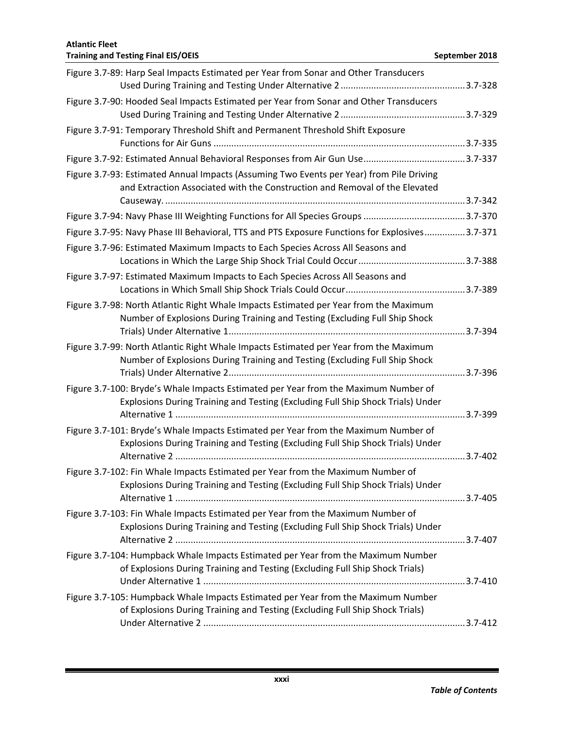| Figure 3.7-89: Harp Seal Impacts Estimated per Year from Sonar and Other Transducers                                                                                 |  |
|----------------------------------------------------------------------------------------------------------------------------------------------------------------------|--|
| Figure 3.7-90: Hooded Seal Impacts Estimated per Year from Sonar and Other Transducers                                                                               |  |
|                                                                                                                                                                      |  |
| Figure 3.7-91: Temporary Threshold Shift and Permanent Threshold Shift Exposure                                                                                      |  |
|                                                                                                                                                                      |  |
|                                                                                                                                                                      |  |
| Figure 3.7-93: Estimated Annual Impacts (Assuming Two Events per Year) from Pile Driving                                                                             |  |
| and Extraction Associated with the Construction and Removal of the Elevated                                                                                          |  |
|                                                                                                                                                                      |  |
|                                                                                                                                                                      |  |
| Figure 3.7-95: Navy Phase III Behavioral, TTS and PTS Exposure Functions for Explosives3.7-371                                                                       |  |
| Figure 3.7-96: Estimated Maximum Impacts to Each Species Across All Seasons and                                                                                      |  |
|                                                                                                                                                                      |  |
| Figure 3.7-97: Estimated Maximum Impacts to Each Species Across All Seasons and                                                                                      |  |
|                                                                                                                                                                      |  |
| Figure 3.7-98: North Atlantic Right Whale Impacts Estimated per Year from the Maximum<br>Number of Explosions During Training and Testing (Excluding Full Ship Shock |  |
|                                                                                                                                                                      |  |
| Figure 3.7-99: North Atlantic Right Whale Impacts Estimated per Year from the Maximum                                                                                |  |
| Number of Explosions During Training and Testing (Excluding Full Ship Shock                                                                                          |  |
|                                                                                                                                                                      |  |
| Figure 3.7-100: Bryde's Whale Impacts Estimated per Year from the Maximum Number of                                                                                  |  |
| Explosions During Training and Testing (Excluding Full Ship Shock Trials) Under                                                                                      |  |
|                                                                                                                                                                      |  |
| Figure 3.7-101: Bryde's Whale Impacts Estimated per Year from the Maximum Number of                                                                                  |  |
| Explosions During Training and Testing (Excluding Full Ship Shock Trials) Under                                                                                      |  |
|                                                                                                                                                                      |  |
| Figure 3.7-102: Fin Whale Impacts Estimated per Year from the Maximum Number of                                                                                      |  |
| Explosions During Training and Testing (Excluding Full Ship Shock Trials) Under                                                                                      |  |
| Figure 3.7-103: Fin Whale Impacts Estimated per Year from the Maximum Number of                                                                                      |  |
| Explosions During Training and Testing (Excluding Full Ship Shock Trials) Under                                                                                      |  |
|                                                                                                                                                                      |  |
| Figure 3.7-104: Humpback Whale Impacts Estimated per Year from the Maximum Number                                                                                    |  |
| of Explosions During Training and Testing (Excluding Full Ship Shock Trials)                                                                                         |  |
|                                                                                                                                                                      |  |
| Figure 3.7-105: Humpback Whale Impacts Estimated per Year from the Maximum Number                                                                                    |  |
| of Explosions During Training and Testing (Excluding Full Ship Shock Trials)                                                                                         |  |
|                                                                                                                                                                      |  |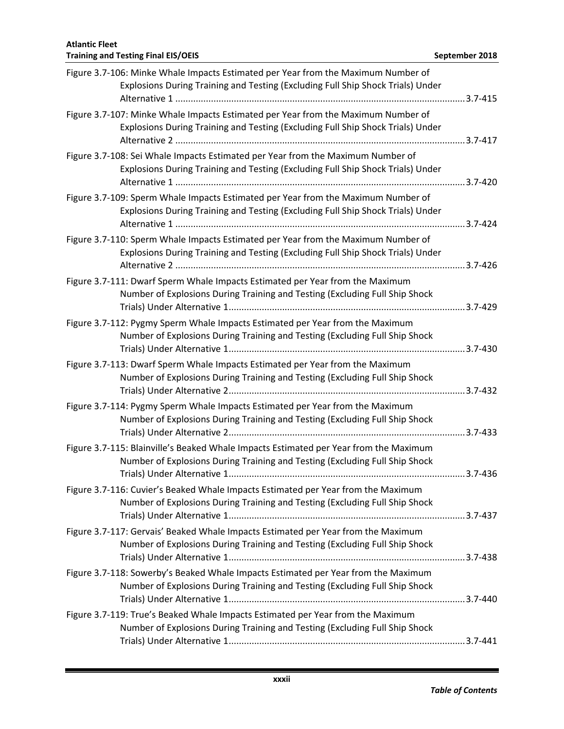| Figure 3.7-106: Minke Whale Impacts Estimated per Year from the Maximum Number of<br>Explosions During Training and Testing (Excluding Full Ship Shock Trials) Under |  |
|----------------------------------------------------------------------------------------------------------------------------------------------------------------------|--|
| Figure 3.7-107: Minke Whale Impacts Estimated per Year from the Maximum Number of<br>Explosions During Training and Testing (Excluding Full Ship Shock Trials) Under |  |
| Figure 3.7-108: Sei Whale Impacts Estimated per Year from the Maximum Number of<br>Explosions During Training and Testing (Excluding Full Ship Shock Trials) Under   |  |
| Figure 3.7-109: Sperm Whale Impacts Estimated per Year from the Maximum Number of<br>Explosions During Training and Testing (Excluding Full Ship Shock Trials) Under |  |
| Figure 3.7-110: Sperm Whale Impacts Estimated per Year from the Maximum Number of<br>Explosions During Training and Testing (Excluding Full Ship Shock Trials) Under |  |
| Figure 3.7-111: Dwarf Sperm Whale Impacts Estimated per Year from the Maximum<br>Number of Explosions During Training and Testing (Excluding Full Ship Shock         |  |
| Figure 3.7-112: Pygmy Sperm Whale Impacts Estimated per Year from the Maximum<br>Number of Explosions During Training and Testing (Excluding Full Ship Shock         |  |
| Figure 3.7-113: Dwarf Sperm Whale Impacts Estimated per Year from the Maximum<br>Number of Explosions During Training and Testing (Excluding Full Ship Shock         |  |
| Figure 3.7-114: Pygmy Sperm Whale Impacts Estimated per Year from the Maximum<br>Number of Explosions During Training and Testing (Excluding Full Ship Shock         |  |
| Figure 3.7-115: Blainville's Beaked Whale Impacts Estimated per Year from the Maximum<br>Number of Explosions During Training and Testing (Excluding Full Ship Shock |  |
| Figure 3.7-116: Cuvier's Beaked Whale Impacts Estimated per Year from the Maximum<br>Number of Explosions During Training and Testing (Excluding Full Ship Shock     |  |
| Figure 3.7-117: Gervais' Beaked Whale Impacts Estimated per Year from the Maximum<br>Number of Explosions During Training and Testing (Excluding Full Ship Shock     |  |
| Figure 3.7-118: Sowerby's Beaked Whale Impacts Estimated per Year from the Maximum<br>Number of Explosions During Training and Testing (Excluding Full Ship Shock    |  |
| Figure 3.7-119: True's Beaked Whale Impacts Estimated per Year from the Maximum<br>Number of Explosions During Training and Testing (Excluding Full Ship Shock       |  |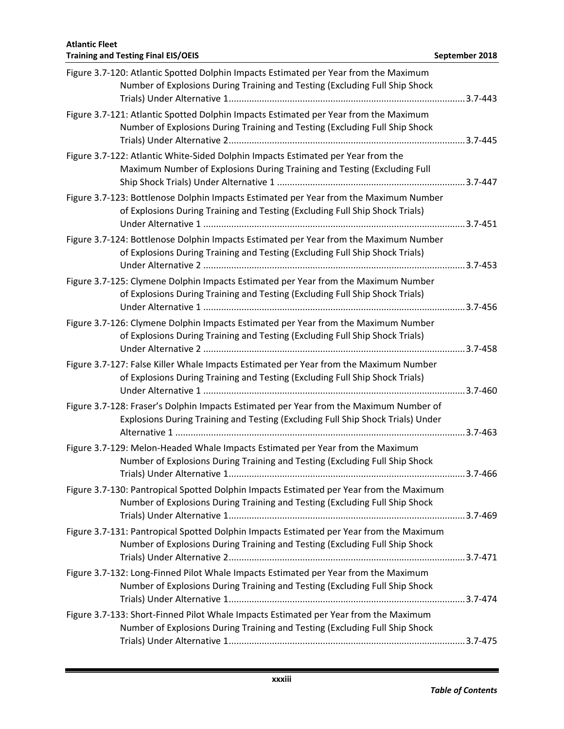| Figure 3.7-120: Atlantic Spotted Dolphin Impacts Estimated per Year from the Maximum<br>Number of Explosions During Training and Testing (Excluding Full Ship Shock       |  |
|---------------------------------------------------------------------------------------------------------------------------------------------------------------------------|--|
| Figure 3.7-121: Atlantic Spotted Dolphin Impacts Estimated per Year from the Maximum<br>Number of Explosions During Training and Testing (Excluding Full Ship Shock       |  |
| Figure 3.7-122: Atlantic White-Sided Dolphin Impacts Estimated per Year from the<br>Maximum Number of Explosions During Training and Testing (Excluding Full              |  |
| Figure 3.7-123: Bottlenose Dolphin Impacts Estimated per Year from the Maximum Number<br>of Explosions During Training and Testing (Excluding Full Ship Shock Trials)     |  |
| Figure 3.7-124: Bottlenose Dolphin Impacts Estimated per Year from the Maximum Number<br>of Explosions During Training and Testing (Excluding Full Ship Shock Trials)     |  |
| Figure 3.7-125: Clymene Dolphin Impacts Estimated per Year from the Maximum Number<br>of Explosions During Training and Testing (Excluding Full Ship Shock Trials)        |  |
| Figure 3.7-126: Clymene Dolphin Impacts Estimated per Year from the Maximum Number<br>of Explosions During Training and Testing (Excluding Full Ship Shock Trials)        |  |
| Figure 3.7-127: False Killer Whale Impacts Estimated per Year from the Maximum Number<br>of Explosions During Training and Testing (Excluding Full Ship Shock Trials)     |  |
| Figure 3.7-128: Fraser's Dolphin Impacts Estimated per Year from the Maximum Number of<br>Explosions During Training and Testing (Excluding Full Ship Shock Trials) Under |  |
| Figure 3.7-129: Melon-Headed Whale Impacts Estimated per Year from the Maximum<br>Number of Explosions During Training and Testing (Excluding Full Ship Shock             |  |
| Figure 3.7-130: Pantropical Spotted Dolphin Impacts Estimated per Year from the Maximum<br>Number of Explosions During Training and Testing (Excluding Full Ship Shock    |  |
| Figure 3.7-131: Pantropical Spotted Dolphin Impacts Estimated per Year from the Maximum<br>Number of Explosions During Training and Testing (Excluding Full Ship Shock    |  |
| Figure 3.7-132: Long-Finned Pilot Whale Impacts Estimated per Year from the Maximum<br>Number of Explosions During Training and Testing (Excluding Full Ship Shock        |  |
| Figure 3.7-133: Short-Finned Pilot Whale Impacts Estimated per Year from the Maximum<br>Number of Explosions During Training and Testing (Excluding Full Ship Shock       |  |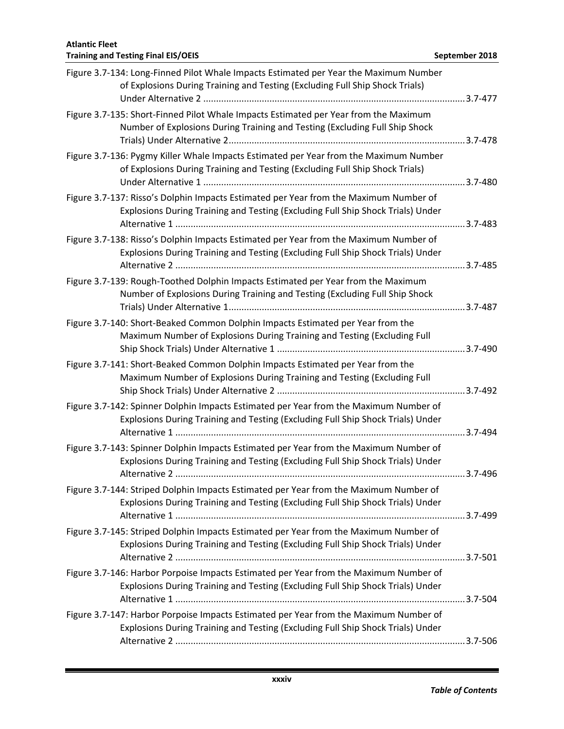| Figure 3.7-134: Long-Finned Pilot Whale Impacts Estimated per Year the Maximum Number<br>of Explosions During Training and Testing (Excluding Full Ship Shock Trials)    |  |
|--------------------------------------------------------------------------------------------------------------------------------------------------------------------------|--|
| Figure 3.7-135: Short-Finned Pilot Whale Impacts Estimated per Year from the Maximum<br>Number of Explosions During Training and Testing (Excluding Full Ship Shock      |  |
| Figure 3.7-136: Pygmy Killer Whale Impacts Estimated per Year from the Maximum Number<br>of Explosions During Training and Testing (Excluding Full Ship Shock Trials)    |  |
| Figure 3.7-137: Risso's Dolphin Impacts Estimated per Year from the Maximum Number of<br>Explosions During Training and Testing (Excluding Full Ship Shock Trials) Under |  |
| Figure 3.7-138: Risso's Dolphin Impacts Estimated per Year from the Maximum Number of<br>Explosions During Training and Testing (Excluding Full Ship Shock Trials) Under |  |
| Figure 3.7-139: Rough-Toothed Dolphin Impacts Estimated per Year from the Maximum<br>Number of Explosions During Training and Testing (Excluding Full Ship Shock         |  |
| Figure 3.7-140: Short-Beaked Common Dolphin Impacts Estimated per Year from the<br>Maximum Number of Explosions During Training and Testing (Excluding Full              |  |
| Figure 3.7-141: Short-Beaked Common Dolphin Impacts Estimated per Year from the<br>Maximum Number of Explosions During Training and Testing (Excluding Full              |  |
| Figure 3.7-142: Spinner Dolphin Impacts Estimated per Year from the Maximum Number of<br>Explosions During Training and Testing (Excluding Full Ship Shock Trials) Under |  |
| Figure 3.7-143: Spinner Dolphin Impacts Estimated per Year from the Maximum Number of<br>Explosions During Training and Testing (Excluding Full Ship Shock Trials) Under |  |
| Figure 3.7-144: Striped Dolphin Impacts Estimated per Year from the Maximum Number of<br>Explosions During Training and Testing (Excluding Full Ship Shock Trials) Under |  |
| Figure 3.7-145: Striped Dolphin Impacts Estimated per Year from the Maximum Number of<br>Explosions During Training and Testing (Excluding Full Ship Shock Trials) Under |  |
| Figure 3.7-146: Harbor Porpoise Impacts Estimated per Year from the Maximum Number of<br>Explosions During Training and Testing (Excluding Full Ship Shock Trials) Under |  |
| Figure 3.7-147: Harbor Porpoise Impacts Estimated per Year from the Maximum Number of<br>Explosions During Training and Testing (Excluding Full Ship Shock Trials) Under |  |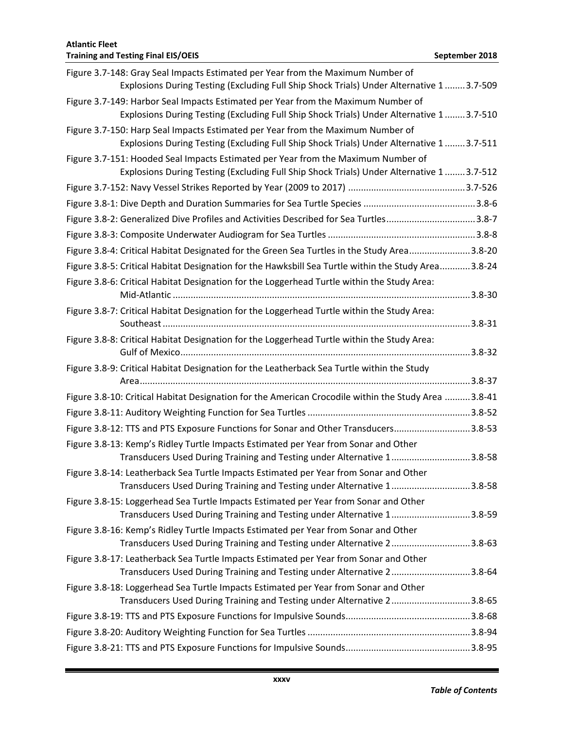## **Training and Testing Final EIS/OEIS September 2018 September 2018** Figure 3.7-148: Gray Seal Impacts Estimated per Year from the Maximum Number of Explosions During Testing (Excluding Full Ship Shock Trials) Under Alternative 1 ........3.7-509 Figure 3.7-149: Harbor Seal Impacts Estimated per Year from the Maximum Number of Explosions During Testing (Excluding Full Ship Shock Trials) Under Alternative 1 ........3.7-510 Figure 3.7-150: Harp Seal Impacts Estimated per Year from the Maximum Number of Explosions During Testing (Excluding Full Ship Shock Trials) Under Alternative 1 ........3.7-511 Figure 3.7-151: Hooded Seal Impacts Estimated per Year from the Maximum Number of Explosions During Testing (Excluding Full Ship Shock Trials) Under Alternative 1 ........3.7-512 Figure 3.7-152: Navy Vessel Strikes Reported by Year (2009 to 2017) ..............................................3.7-526 Figure 3.8-1: Dive Depth and Duration Summaries for Sea Turtle Species ............................................3.8-6 Figure 3.8-2: Generalized Dive Profiles and Activities Described for Sea Turtles...................................3.8-7 Figure 3.8-3: Composite Underwater Audiogram for Sea Turtles..........................................................3.8-8 Figure 3.8-4: Critical Habitat Designated for the Green Sea Turtles in the Study Area........................3.8-20 Figure 3.8-5: Critical Habitat Designation for the Hawksbill Sea Turtle within the Study Area............3.8-24 Figure 3.8-6: Critical Habitat Designation for the Loggerhead Turtle within the Study Area: Mid-Atlantic .....................................................................................................................3.8-30 Figure 3.8-7: Critical Habitat Designation for the Loggerhead Turtle within the Study Area: Southeast.........................................................................................................................3.8-31 Figure 3.8-8: Critical Habitat Designation for the Loggerhead Turtle within the Study Area: Gulf of Mexico..................................................................................................................3.8-32 Figure 3.8-9: Critical Habitat Designation for the Leatherback Sea Turtle within the Study Area..................................................................................................................................3.8-37 Figure 3.8-10: Critical Habitat Designation for the American Crocodile within the Study Area ..........3.8-41 Figure 3.8-11: Auditory Weighting Function for Sea Turtles................................................................3.8-52 Figure 3.8-12: TTS and PTS Exposure Functions for Sonar and Other Transducers..............................3.8-53 Figure 3.8-13: Kemp's Ridley Turtle Impacts Estimated per Year from Sonar and Other Transducers Used During Training and Testing under Alternative 1...............................3.8-58 Figure 3.8-14: Leatherback Sea Turtle Impacts Estimated per Year from Sonar and Other Transducers Used During Training and Testing under Alternative 1...............................3.8-58 Figure 3.8-15: Loggerhead Sea Turtle Impacts Estimated per Year from Sonar and Other Transducers Used During Training and Testing under Alternative 1...............................3.8-59 Figure 3.8-16: Kemp's Ridley Turtle Impacts Estimated per Year from Sonar and Other Transducers Used During Training and Testing under Alternative 2...............................3.8-63 Figure 3.8-17: Leatherback Sea Turtle Impacts Estimated per Year from Sonar and Other Transducers Used During Training and Testing under Alternative 2...............................3.8-64 Figure 3.8-18: Loggerhead Sea Turtle Impacts Estimated per Year from Sonar and Other Transducers Used During Training and Testing under Alternative 2...............................3.8-65 Figure 3.8-19: TTS and PTS Exposure Functions for Impulsive Sounds.................................................3.8-68 Figure 3.8-20: Auditory Weighting Function for Sea Turtles................................................................3.8-94 Figure 3.8-21: TTS and PTS Exposure Functions for Impulsive Sounds.................................................3.8-95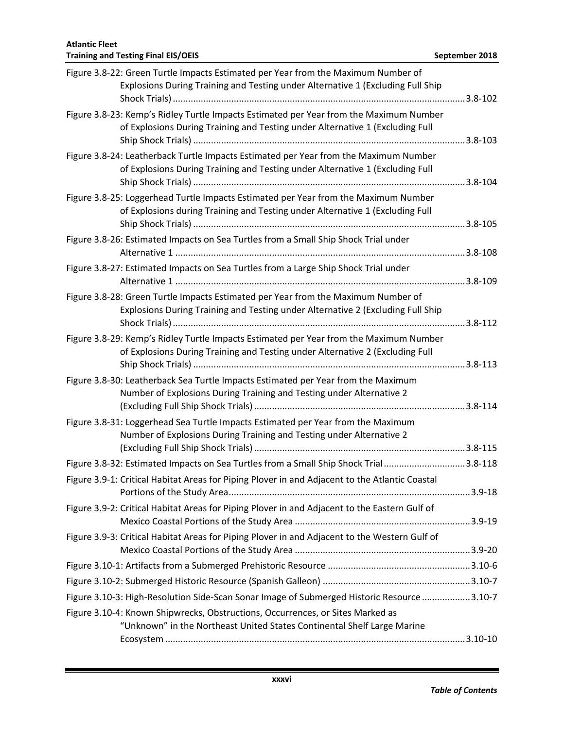| Figure 3.8-22: Green Turtle Impacts Estimated per Year from the Maximum Number of<br>Explosions During Training and Testing under Alternative 1 (Excluding Full Ship    |  |
|-------------------------------------------------------------------------------------------------------------------------------------------------------------------------|--|
| Figure 3.8-23: Kemp's Ridley Turtle Impacts Estimated per Year from the Maximum Number<br>of Explosions During Training and Testing under Alternative 1 (Excluding Full |  |
| Figure 3.8-24: Leatherback Turtle Impacts Estimated per Year from the Maximum Number<br>of Explosions During Training and Testing under Alternative 1 (Excluding Full   |  |
| Figure 3.8-25: Loggerhead Turtle Impacts Estimated per Year from the Maximum Number<br>of Explosions during Training and Testing under Alternative 1 (Excluding Full    |  |
| Figure 3.8-26: Estimated Impacts on Sea Turtles from a Small Ship Shock Trial under                                                                                     |  |
| Figure 3.8-27: Estimated Impacts on Sea Turtles from a Large Ship Shock Trial under                                                                                     |  |
| Figure 3.8-28: Green Turtle Impacts Estimated per Year from the Maximum Number of<br>Explosions During Training and Testing under Alternative 2 (Excluding Full Ship    |  |
| Figure 3.8-29: Kemp's Ridley Turtle Impacts Estimated per Year from the Maximum Number<br>of Explosions During Training and Testing under Alternative 2 (Excluding Full |  |
| Figure 3.8-30: Leatherback Sea Turtle Impacts Estimated per Year from the Maximum<br>Number of Explosions During Training and Testing under Alternative 2               |  |
| Figure 3.8-31: Loggerhead Sea Turtle Impacts Estimated per Year from the Maximum<br>Number of Explosions During Training and Testing under Alternative 2                |  |
| Figure 3.8-32: Estimated Impacts on Sea Turtles from a Small Ship Shock Trial3.8-118                                                                                    |  |
| Figure 3.9-1: Critical Habitat Areas for Piping Plover in and Adjacent to the Atlantic Coastal                                                                          |  |
| Figure 3.9-2: Critical Habitat Areas for Piping Plover in and Adjacent to the Eastern Gulf of                                                                           |  |
| Figure 3.9-3: Critical Habitat Areas for Piping Plover in and Adjacent to the Western Gulf of                                                                           |  |
|                                                                                                                                                                         |  |
|                                                                                                                                                                         |  |
| Figure 3.10-3: High-Resolution Side-Scan Sonar Image of Submerged Historic Resource 3.10-7                                                                              |  |
| Figure 3.10-4: Known Shipwrecks, Obstructions, Occurrences, or Sites Marked as<br>"Unknown" in the Northeast United States Continental Shelf Large Marine               |  |
|                                                                                                                                                                         |  |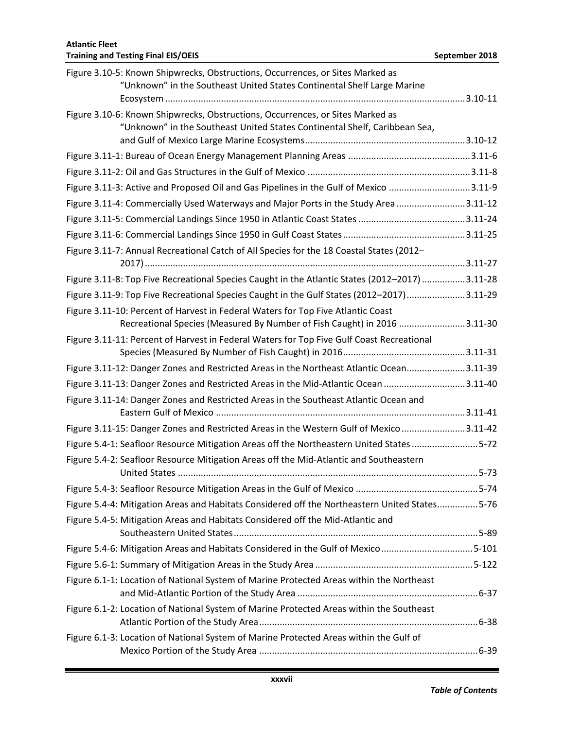| Figure 3.10-5: Known Shipwrecks, Obstructions, Occurrences, or Sites Marked as<br>"Unknown" in the Southeast United States Continental Shelf Large Marine    |  |
|--------------------------------------------------------------------------------------------------------------------------------------------------------------|--|
| Figure 3.10-6: Known Shipwrecks, Obstructions, Occurrences, or Sites Marked as<br>"Unknown" in the Southeast United States Continental Shelf, Caribbean Sea, |  |
|                                                                                                                                                              |  |
|                                                                                                                                                              |  |
| Figure 3.11-3: Active and Proposed Oil and Gas Pipelines in the Gulf of Mexico 3.11-9                                                                        |  |
| Figure 3.11-4: Commercially Used Waterways and Major Ports in the Study Area 3.11-12                                                                         |  |
|                                                                                                                                                              |  |
|                                                                                                                                                              |  |
| Figure 3.11-7: Annual Recreational Catch of All Species for the 18 Coastal States (2012-                                                                     |  |
|                                                                                                                                                              |  |
| Figure 3.11-8: Top Five Recreational Species Caught in the Atlantic States (2012-2017) 3.11-28                                                               |  |
| Figure 3.11-9: Top Five Recreational Species Caught in the Gulf States (2012-2017)3.11-29                                                                    |  |
| Figure 3.11-10: Percent of Harvest in Federal Waters for Top Five Atlantic Coast<br>Recreational Species (Measured By Number of Fish Caught) in 2016 3.11-30 |  |
| Figure 3.11-11: Percent of Harvest in Federal Waters for Top Five Gulf Coast Recreational                                                                    |  |
| Figure 3.11-12: Danger Zones and Restricted Areas in the Northeast Atlantic Ocean3.11-39                                                                     |  |
| Figure 3.11-13: Danger Zones and Restricted Areas in the Mid-Atlantic Ocean 3.11-40                                                                          |  |
| Figure 3.11-14: Danger Zones and Restricted Areas in the Southeast Atlantic Ocean and                                                                        |  |
| Figure 3.11-15: Danger Zones and Restricted Areas in the Western Gulf of Mexico3.11-42                                                                       |  |
| Figure 5.4-1: Seafloor Resource Mitigation Areas off the Northeastern United States 5-72                                                                     |  |
| Figure 5.4-2: Seafloor Resource Mitigation Areas off the Mid-Atlantic and Southeastern                                                                       |  |
|                                                                                                                                                              |  |
| Figure 5.4-4: Mitigation Areas and Habitats Considered off the Northeastern United States5-76                                                                |  |
| Figure 5.4-5: Mitigation Areas and Habitats Considered off the Mid-Atlantic and                                                                              |  |
| Figure 5.4-6: Mitigation Areas and Habitats Considered in the Gulf of Mexico 5-101                                                                           |  |
|                                                                                                                                                              |  |
| Figure 6.1-1: Location of National System of Marine Protected Areas within the Northeast                                                                     |  |
|                                                                                                                                                              |  |
| Figure 6.1-2: Location of National System of Marine Protected Areas within the Southeast                                                                     |  |
| Figure 6.1-3: Location of National System of Marine Protected Areas within the Gulf of                                                                       |  |
|                                                                                                                                                              |  |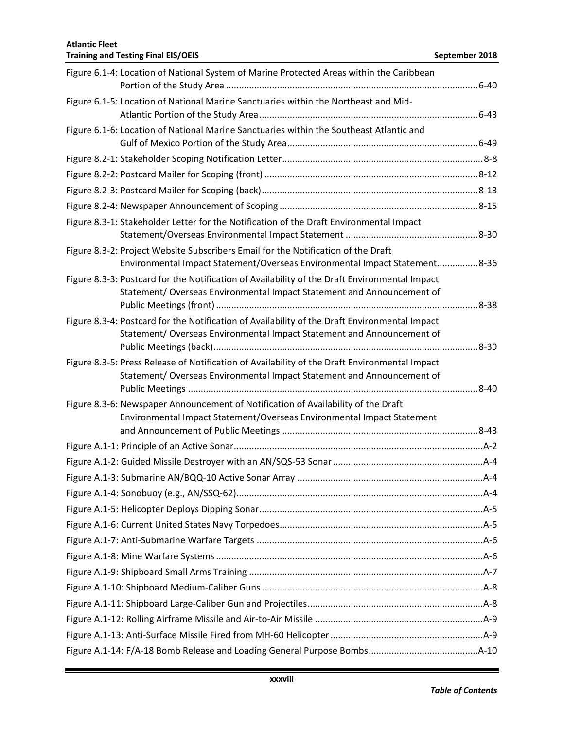| Figure 6.1-4: Location of National System of Marine Protected Areas within the Caribbean                                                                                |  |
|-------------------------------------------------------------------------------------------------------------------------------------------------------------------------|--|
| Figure 6.1-5: Location of National Marine Sanctuaries within the Northeast and Mid-                                                                                     |  |
| Figure 6.1-6: Location of National Marine Sanctuaries within the Southeast Atlantic and                                                                                 |  |
|                                                                                                                                                                         |  |
|                                                                                                                                                                         |  |
|                                                                                                                                                                         |  |
|                                                                                                                                                                         |  |
| Figure 8.3-1: Stakeholder Letter for the Notification of the Draft Environmental Impact                                                                                 |  |
| Figure 8.3-2: Project Website Subscribers Email for the Notification of the Draft                                                                                       |  |
| Environmental Impact Statement/Overseas Environmental Impact Statement8-36                                                                                              |  |
| Figure 8.3-3: Postcard for the Notification of Availability of the Draft Environmental Impact<br>Statement/ Overseas Environmental Impact Statement and Announcement of |  |
| Figure 8.3-4: Postcard for the Notification of Availability of the Draft Environmental Impact<br>Statement/ Overseas Environmental Impact Statement and Announcement of |  |
| Figure 8.3-5: Press Release of Notification of Availability of the Draft Environmental Impact<br>Statement/ Overseas Environmental Impact Statement and Announcement of |  |
| Figure 8.3-6: Newspaper Announcement of Notification of Availability of the Draft<br>Environmental Impact Statement/Overseas Environmental Impact Statement             |  |
|                                                                                                                                                                         |  |
|                                                                                                                                                                         |  |
|                                                                                                                                                                         |  |
|                                                                                                                                                                         |  |
|                                                                                                                                                                         |  |
|                                                                                                                                                                         |  |
|                                                                                                                                                                         |  |
|                                                                                                                                                                         |  |
|                                                                                                                                                                         |  |
|                                                                                                                                                                         |  |
|                                                                                                                                                                         |  |
|                                                                                                                                                                         |  |
|                                                                                                                                                                         |  |
|                                                                                                                                                                         |  |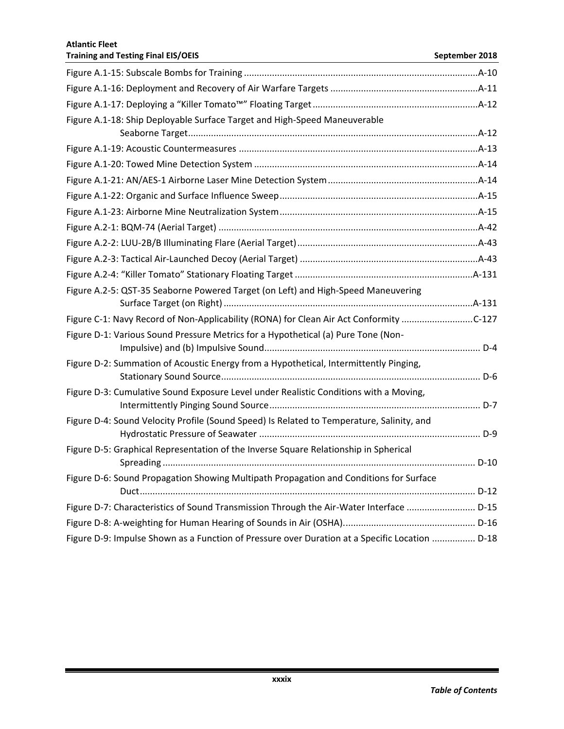| <b>Training and Testing Final EIS/OEIS</b>                                                     | September 2018 |
|------------------------------------------------------------------------------------------------|----------------|
|                                                                                                |                |
|                                                                                                |                |
|                                                                                                |                |
| Figure A.1-18: Ship Deployable Surface Target and High-Speed Maneuverable                      |                |
|                                                                                                |                |
|                                                                                                |                |
|                                                                                                |                |
|                                                                                                |                |
|                                                                                                |                |
|                                                                                                |                |
|                                                                                                |                |
|                                                                                                |                |
|                                                                                                |                |
|                                                                                                |                |
| Figure A.2-5: QST-35 Seaborne Powered Target (on Left) and High-Speed Maneuvering              |                |
|                                                                                                |                |
| Figure C-1: Navy Record of Non-Applicability (RONA) for Clean Air Act Conformity C-127         |                |
| Figure D-1: Various Sound Pressure Metrics for a Hypothetical (a) Pure Tone (Non-              |                |
| Figure D-2: Summation of Acoustic Energy from a Hypothetical, Intermittently Pinging,          |                |
| Figure D-3: Cumulative Sound Exposure Level under Realistic Conditions with a Moving,          |                |
| Figure D-4: Sound Velocity Profile (Sound Speed) Is Related to Temperature, Salinity, and      |                |
| Figure D-5: Graphical Representation of the Inverse Square Relationship in Spherical           | D-10           |
| Figure D-6: Sound Propagation Showing Multipath Propagation and Conditions for Surface         |                |
| Figure D-7: Characteristics of Sound Transmission Through the Air-Water Interface  D-15        |                |
|                                                                                                |                |
| Figure D-9: Impulse Shown as a Function of Pressure over Duration at a Specific Location  D-18 |                |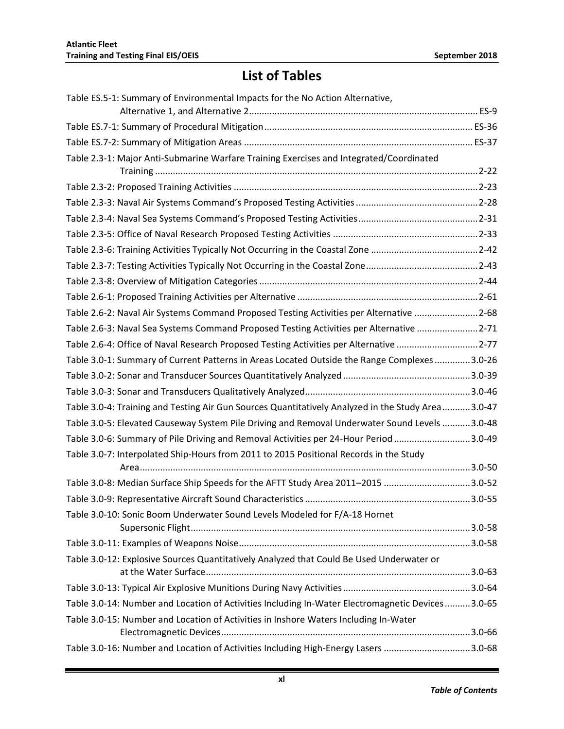# **List of Tables**

| Table ES.5-1: Summary of Environmental Impacts for the No Action Alternative,                     |
|---------------------------------------------------------------------------------------------------|
|                                                                                                   |
|                                                                                                   |
| Table 2.3-1: Major Anti-Submarine Warfare Training Exercises and Integrated/Coordinated           |
|                                                                                                   |
|                                                                                                   |
|                                                                                                   |
|                                                                                                   |
|                                                                                                   |
|                                                                                                   |
|                                                                                                   |
|                                                                                                   |
|                                                                                                   |
| Table 2.6-2: Naval Air Systems Command Proposed Testing Activities per Alternative 2-68           |
| Table 2.6-3: Naval Sea Systems Command Proposed Testing Activities per Alternative 2-71           |
| Table 2.6-4: Office of Naval Research Proposed Testing Activities per Alternative 2-77            |
| Table 3.0-1: Summary of Current Patterns in Areas Located Outside the Range Complexes 3.0-26      |
|                                                                                                   |
|                                                                                                   |
| Table 3.0-4: Training and Testing Air Gun Sources Quantitatively Analyzed in the Study Area3.0-47 |
| Table 3.0-5: Elevated Causeway System Pile Driving and Removal Underwater Sound Levels  3.0-48    |
| Table 3.0-6: Summary of Pile Driving and Removal Activities per 24-Hour Period 3.0-49             |
| Table 3.0-7: Interpolated Ship-Hours from 2011 to 2015 Positional Records in the Study            |
|                                                                                                   |
| Table 3.0-8: Median Surface Ship Speeds for the AFTT Study Area 2011-2015 3.0-52                  |
|                                                                                                   |
| Table 3.0-10: Sonic Boom Underwater Sound Levels Modeled for F/A-18 Hornet                        |
|                                                                                                   |
|                                                                                                   |
| Table 3.0-12: Explosive Sources Quantitatively Analyzed that Could Be Used Underwater or          |
|                                                                                                   |
| Table 3.0-14: Number and Location of Activities Including In-Water Electromagnetic Devices3.0-65  |
| Table 3.0-15: Number and Location of Activities in Inshore Waters Including In-Water              |
| Table 3.0-16: Number and Location of Activities Including High-Energy Lasers 3.0-68               |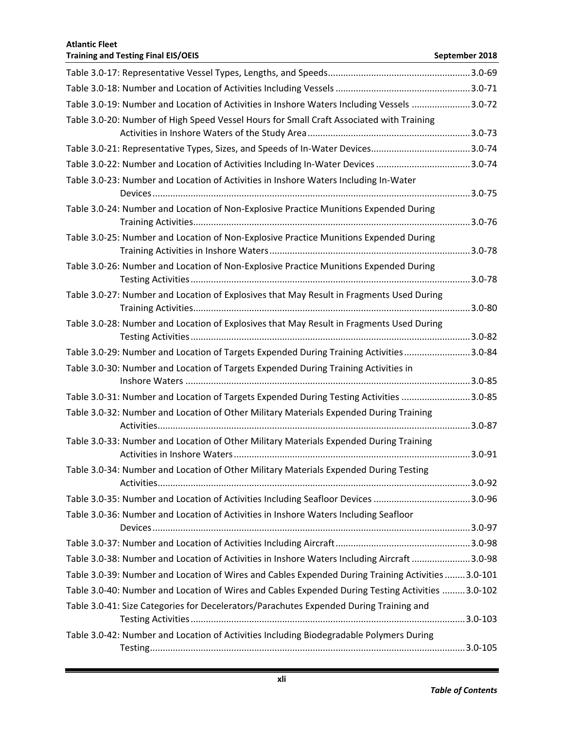| Table 3.0-19: Number and Location of Activities in Inshore Waters Including Vessels 3.0-72         |  |
|----------------------------------------------------------------------------------------------------|--|
| Table 3.0-20: Number of High Speed Vessel Hours for Small Craft Associated with Training           |  |
|                                                                                                    |  |
| Table 3.0-21: Representative Types, Sizes, and Speeds of In-Water Devices3.0-74                    |  |
| Table 3.0-22: Number and Location of Activities Including In-Water Devices 3.0-74                  |  |
| Table 3.0-23: Number and Location of Activities in Inshore Waters Including In-Water               |  |
| Table 3.0-24: Number and Location of Non-Explosive Practice Munitions Expended During              |  |
|                                                                                                    |  |
| Table 3.0-25: Number and Location of Non-Explosive Practice Munitions Expended During              |  |
| Table 3.0-26: Number and Location of Non-Explosive Practice Munitions Expended During              |  |
|                                                                                                    |  |
| Table 3.0-27: Number and Location of Explosives that May Result in Fragments Used During           |  |
|                                                                                                    |  |
| Table 3.0-28: Number and Location of Explosives that May Result in Fragments Used During           |  |
| Table 3.0-29: Number and Location of Targets Expended During Training Activities3.0-84             |  |
| Table 3.0-30: Number and Location of Targets Expended During Training Activities in                |  |
| Table 3.0-31: Number and Location of Targets Expended During Testing Activities 3.0-85             |  |
| Table 3.0-32: Number and Location of Other Military Materials Expended During Training             |  |
|                                                                                                    |  |
| Table 3.0-33: Number and Location of Other Military Materials Expended During Training             |  |
| Table 3.0-34: Number and Location of Other Military Materials Expended During Testing              |  |
|                                                                                                    |  |
| Table 3.0-35: Number and Location of Activities Including Seafloor Devices 3.0-96                  |  |
| Table 3.0-36: Number and Location of Activities in Inshore Waters Including Seafloor               |  |
|                                                                                                    |  |
|                                                                                                    |  |
| Table 3.0-38: Number and Location of Activities in Inshore Waters Including Aircraft 3.0-98        |  |
| Table 3.0-39: Number and Location of Wires and Cables Expended During Training Activities  3.0-101 |  |
| Table 3.0-40: Number and Location of Wires and Cables Expended During Testing Activities 3.0-102   |  |
| Table 3.0-41: Size Categories for Decelerators/Parachutes Expended During Training and             |  |
|                                                                                                    |  |
| Table 3.0-42: Number and Location of Activities Including Biodegradable Polymers During            |  |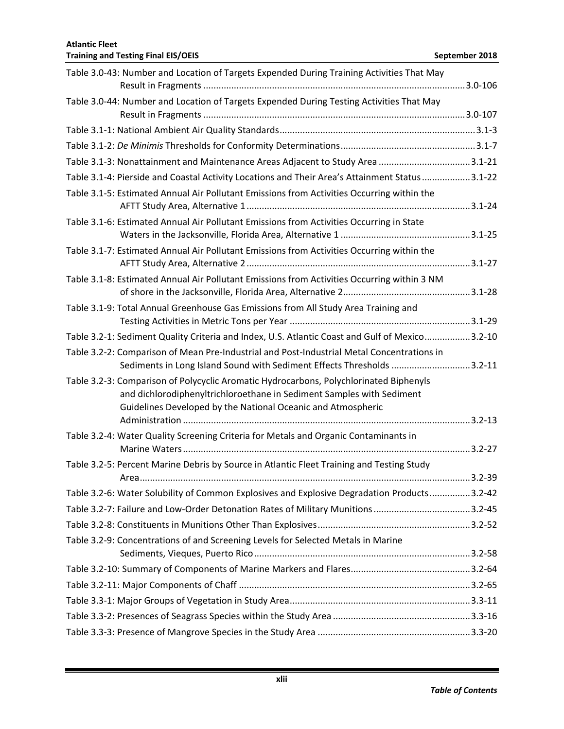| Table 3.0-43: Number and Location of Targets Expended During Training Activities That May                                                                       |            |
|-----------------------------------------------------------------------------------------------------------------------------------------------------------------|------------|
|                                                                                                                                                                 |            |
| Table 3.0-44: Number and Location of Targets Expended During Testing Activities That May                                                                        |            |
|                                                                                                                                                                 |            |
|                                                                                                                                                                 |            |
|                                                                                                                                                                 |            |
| Table 3.1-3: Nonattainment and Maintenance Areas Adjacent to Study Area 3.1-21                                                                                  |            |
| Table 3.1-4: Pierside and Coastal Activity Locations and Their Area's Attainment Status3.1-22                                                                   |            |
| Table 3.1-5: Estimated Annual Air Pollutant Emissions from Activities Occurring within the                                                                      |            |
| Table 3.1-6: Estimated Annual Air Pollutant Emissions from Activities Occurring in State                                                                        |            |
| Table 3.1-7: Estimated Annual Air Pollutant Emissions from Activities Occurring within the                                                                      |            |
| Table 3.1-8: Estimated Annual Air Pollutant Emissions from Activities Occurring within 3 NM                                                                     |            |
| Table 3.1-9: Total Annual Greenhouse Gas Emissions from All Study Area Training and                                                                             |            |
|                                                                                                                                                                 |            |
| Table 3.2-1: Sediment Quality Criteria and Index, U.S. Atlantic Coast and Gulf of Mexico3.2-10                                                                  |            |
| Table 3.2-2: Comparison of Mean Pre-Industrial and Post-Industrial Metal Concentrations in                                                                      |            |
| Sediments in Long Island Sound with Sediment Effects Thresholds 3.2-11                                                                                          |            |
| Table 3.2-3: Comparison of Polycyclic Aromatic Hydrocarbons, Polychlorinated Biphenyls<br>and dichlorodiphenyltrichloroethane in Sediment Samples with Sediment |            |
| Guidelines Developed by the National Oceanic and Atmospheric                                                                                                    |            |
| Table 3.2-4: Water Quality Screening Criteria for Metals and Organic Contaminants in                                                                            |            |
| Table 3.2-5: Percent Marine Debris by Source in Atlantic Fleet Training and Testing Study                                                                       |            |
|                                                                                                                                                                 | $3.2 - 39$ |
| Table 3.2-6: Water Solubility of Common Explosives and Explosive Degradation Products3.2-42                                                                     |            |
| Table 3.2-7: Failure and Low-Order Detonation Rates of Military Munitions 3.2-45                                                                                |            |
|                                                                                                                                                                 |            |
| Table 3.2-9: Concentrations of and Screening Levels for Selected Metals in Marine                                                                               |            |
|                                                                                                                                                                 |            |
|                                                                                                                                                                 |            |
|                                                                                                                                                                 |            |
|                                                                                                                                                                 |            |
|                                                                                                                                                                 |            |
|                                                                                                                                                                 |            |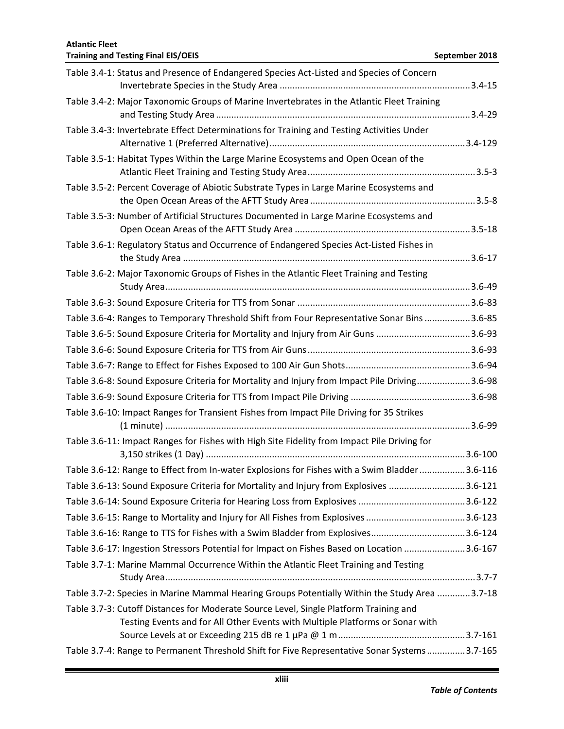| Table 3.4-1: Status and Presence of Endangered Species Act-Listed and Species of Concern      |  |
|-----------------------------------------------------------------------------------------------|--|
| Table 3.4-2: Major Taxonomic Groups of Marine Invertebrates in the Atlantic Fleet Training    |  |
|                                                                                               |  |
| Table 3.4-3: Invertebrate Effect Determinations for Training and Testing Activities Under     |  |
| Table 3.5-1: Habitat Types Within the Large Marine Ecosystems and Open Ocean of the           |  |
| Table 3.5-2: Percent Coverage of Abiotic Substrate Types in Large Marine Ecosystems and       |  |
| Table 3.5-3: Number of Artificial Structures Documented in Large Marine Ecosystems and        |  |
| Table 3.6-1: Regulatory Status and Occurrence of Endangered Species Act-Listed Fishes in      |  |
| Table 3.6-2: Major Taxonomic Groups of Fishes in the Atlantic Fleet Training and Testing      |  |
|                                                                                               |  |
| Table 3.6-4: Ranges to Temporary Threshold Shift from Four Representative Sonar Bins 3.6-85   |  |
| Table 3.6-5: Sound Exposure Criteria for Mortality and Injury from Air Guns 3.6-93            |  |
|                                                                                               |  |
|                                                                                               |  |
| Table 3.6-8: Sound Exposure Criteria for Mortality and Injury from Impact Pile Driving3.6-98  |  |
|                                                                                               |  |
| Table 3.6-10: Impact Ranges for Transient Fishes from Impact Pile Driving for 35 Strikes      |  |
|                                                                                               |  |
| Table 3.6-11: Impact Ranges for Fishes with High Site Fidelity from Impact Pile Driving for   |  |
| Table 3.6-12: Range to Effect from In-water Explosions for Fishes with a Swim Bladder3.6-116  |  |
| Table 3.6-13: Sound Exposure Criteria for Mortality and Injury from Explosives 3.6-121        |  |
|                                                                                               |  |
|                                                                                               |  |
| Table 3.6-16: Range to TTS for Fishes with a Swim Bladder from Explosives3.6-124              |  |
| Table 3.6-17: Ingestion Stressors Potential for Impact on Fishes Based on Location 3.6-167    |  |
| Table 3.7-1: Marine Mammal Occurrence Within the Atlantic Fleet Training and Testing          |  |
| Table 3.7-2: Species in Marine Mammal Hearing Groups Potentially Within the Study Area 3.7-18 |  |
| Table 3.7-3: Cutoff Distances for Moderate Source Level, Single Platform Training and         |  |
| Testing Events and for All Other Events with Multiple Platforms or Sonar with                 |  |
|                                                                                               |  |
| Table 3.7-4: Range to Permanent Threshold Shift for Five Representative Sonar Systems 3.7-165 |  |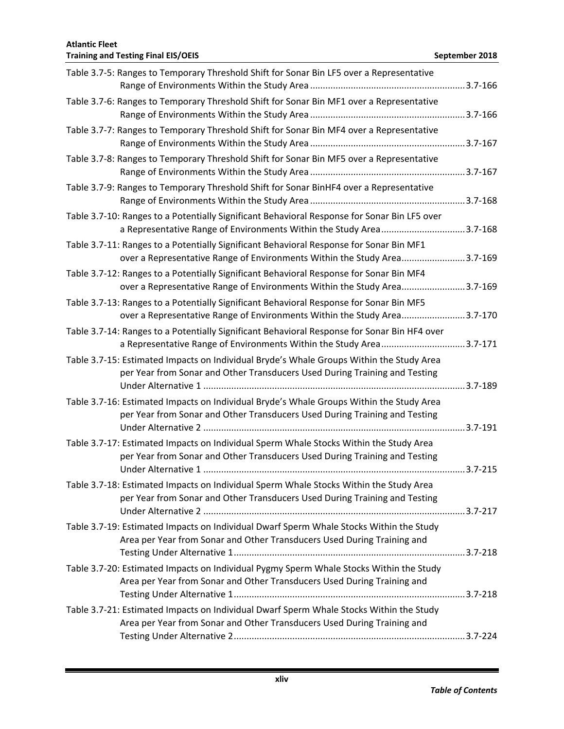| Table 3.7-5: Ranges to Temporary Threshold Shift for Sonar Bin LF5 over a Representative                                                                               |  |
|------------------------------------------------------------------------------------------------------------------------------------------------------------------------|--|
| Table 3.7-6: Ranges to Temporary Threshold Shift for Sonar Bin MF1 over a Representative                                                                               |  |
| Table 3.7-7: Ranges to Temporary Threshold Shift for Sonar Bin MF4 over a Representative                                                                               |  |
| Table 3.7-8: Ranges to Temporary Threshold Shift for Sonar Bin MF5 over a Representative                                                                               |  |
| Table 3.7-9: Ranges to Temporary Threshold Shift for Sonar BinHF4 over a Representative                                                                                |  |
| Table 3.7-10: Ranges to a Potentially Significant Behavioral Response for Sonar Bin LF5 over<br>a Representative Range of Environments Within the Study Area3.7-168    |  |
| Table 3.7-11: Ranges to a Potentially Significant Behavioral Response for Sonar Bin MF1<br>over a Representative Range of Environments Within the Study Area3.7-169    |  |
| Table 3.7-12: Ranges to a Potentially Significant Behavioral Response for Sonar Bin MF4<br>over a Representative Range of Environments Within the Study Area3.7-169    |  |
| Table 3.7-13: Ranges to a Potentially Significant Behavioral Response for Sonar Bin MF5<br>over a Representative Range of Environments Within the Study Area3.7-170    |  |
| Table 3.7-14: Ranges to a Potentially Significant Behavioral Response for Sonar Bin HF4 over<br>a Representative Range of Environments Within the Study Area3.7-171    |  |
| Table 3.7-15: Estimated Impacts on Individual Bryde's Whale Groups Within the Study Area<br>per Year from Sonar and Other Transducers Used During Training and Testing |  |
| Table 3.7-16: Estimated Impacts on Individual Bryde's Whale Groups Within the Study Area<br>per Year from Sonar and Other Transducers Used During Training and Testing |  |
| Table 3.7-17: Estimated Impacts on Individual Sperm Whale Stocks Within the Study Area<br>per Year from Sonar and Other Transducers Used During Training and Testing   |  |
| Table 3.7-18: Estimated Impacts on Individual Sperm Whale Stocks Within the Study Area<br>per Year from Sonar and Other Transducers Used During Training and Testing   |  |
| Table 3.7-19: Estimated Impacts on Individual Dwarf Sperm Whale Stocks Within the Study<br>Area per Year from Sonar and Other Transducers Used During Training and     |  |
| Table 3.7-20: Estimated Impacts on Individual Pygmy Sperm Whale Stocks Within the Study<br>Area per Year from Sonar and Other Transducers Used During Training and     |  |
| Table 3.7-21: Estimated Impacts on Individual Dwarf Sperm Whale Stocks Within the Study<br>Area per Year from Sonar and Other Transducers Used During Training and     |  |
|                                                                                                                                                                        |  |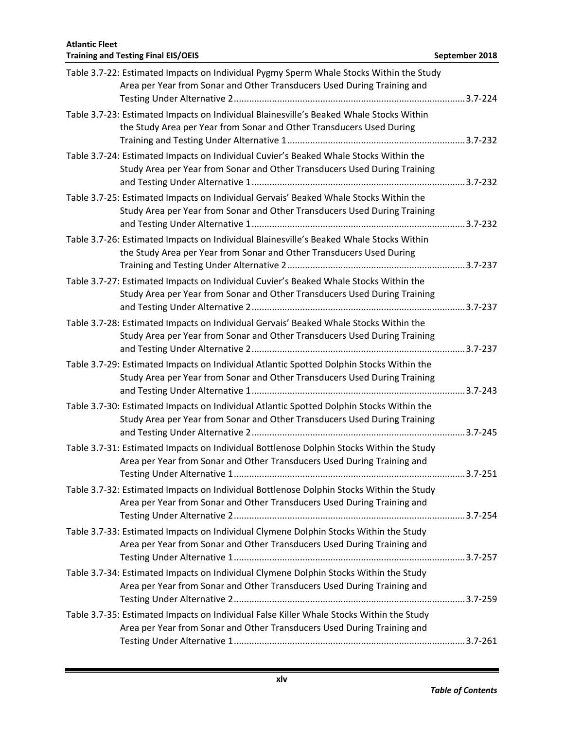| Table 3.7-22: Estimated Impacts on Individual Pygmy Sperm Whale Stocks Within the Study<br>Area per Year from Sonar and Other Transducers Used During Training and    |  |
|-----------------------------------------------------------------------------------------------------------------------------------------------------------------------|--|
| Table 3.7-23: Estimated Impacts on Individual Blainesville's Beaked Whale Stocks Within<br>the Study Area per Year from Sonar and Other Transducers Used During       |  |
| Table 3.7-24: Estimated Impacts on Individual Cuvier's Beaked Whale Stocks Within the<br>Study Area per Year from Sonar and Other Transducers Used During Training    |  |
| Table 3.7-25: Estimated Impacts on Individual Gervais' Beaked Whale Stocks Within the<br>Study Area per Year from Sonar and Other Transducers Used During Training    |  |
| Table 3.7-26: Estimated Impacts on Individual Blainesville's Beaked Whale Stocks Within<br>the Study Area per Year from Sonar and Other Transducers Used During       |  |
| Table 3.7-27: Estimated Impacts on Individual Cuvier's Beaked Whale Stocks Within the<br>Study Area per Year from Sonar and Other Transducers Used During Training    |  |
| Table 3.7-28: Estimated Impacts on Individual Gervais' Beaked Whale Stocks Within the<br>Study Area per Year from Sonar and Other Transducers Used During Training    |  |
| Table 3.7-29: Estimated Impacts on Individual Atlantic Spotted Dolphin Stocks Within the<br>Study Area per Year from Sonar and Other Transducers Used During Training |  |
| Table 3.7-30: Estimated Impacts on Individual Atlantic Spotted Dolphin Stocks Within the<br>Study Area per Year from Sonar and Other Transducers Used During Training |  |
| Table 3.7-31: Estimated Impacts on Individual Bottlenose Dolphin Stocks Within the Study<br>Area per Year from Sonar and Other Transducers Used During Training and   |  |
| Table 3.7-32: Estimated Impacts on Individual Bottlenose Dolphin Stocks Within the Study<br>Area per Year from Sonar and Other Transducers Used During Training and   |  |
| Table 3.7-33: Estimated Impacts on Individual Clymene Dolphin Stocks Within the Study<br>Area per Year from Sonar and Other Transducers Used During Training and      |  |
| Table 3.7-34: Estimated Impacts on Individual Clymene Dolphin Stocks Within the Study<br>Area per Year from Sonar and Other Transducers Used During Training and      |  |
| Table 3.7-35: Estimated Impacts on Individual False Killer Whale Stocks Within the Study<br>Area per Year from Sonar and Other Transducers Used During Training and   |  |
|                                                                                                                                                                       |  |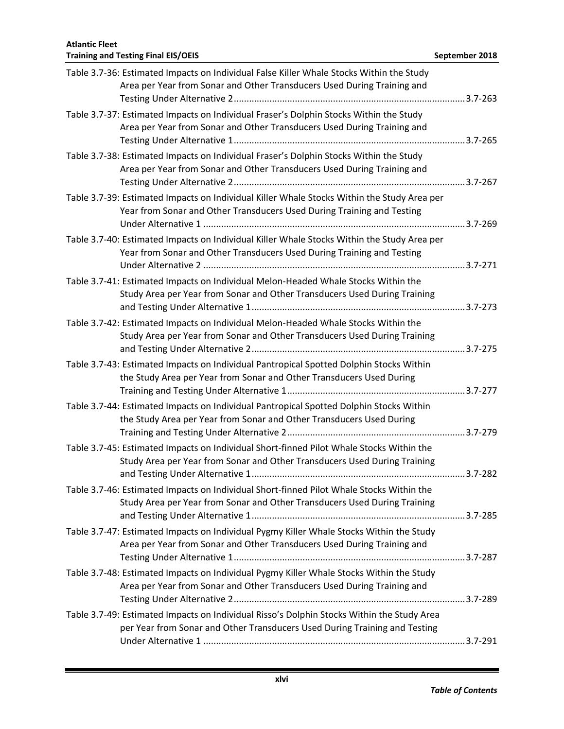| Table 3.7-36: Estimated Impacts on Individual False Killer Whale Stocks Within the Study<br>Area per Year from Sonar and Other Transducers Used During Training and      |  |
|--------------------------------------------------------------------------------------------------------------------------------------------------------------------------|--|
| Table 3.7-37: Estimated Impacts on Individual Fraser's Dolphin Stocks Within the Study<br>Area per Year from Sonar and Other Transducers Used During Training and        |  |
| Table 3.7-38: Estimated Impacts on Individual Fraser's Dolphin Stocks Within the Study<br>Area per Year from Sonar and Other Transducers Used During Training and        |  |
| Table 3.7-39: Estimated Impacts on Individual Killer Whale Stocks Within the Study Area per<br>Year from Sonar and Other Transducers Used During Training and Testing    |  |
| Table 3.7-40: Estimated Impacts on Individual Killer Whale Stocks Within the Study Area per<br>Year from Sonar and Other Transducers Used During Training and Testing    |  |
| Table 3.7-41: Estimated Impacts on Individual Melon-Headed Whale Stocks Within the<br>Study Area per Year from Sonar and Other Transducers Used During Training          |  |
| Table 3.7-42: Estimated Impacts on Individual Melon-Headed Whale Stocks Within the<br>Study Area per Year from Sonar and Other Transducers Used During Training          |  |
| Table 3.7-43: Estimated Impacts on Individual Pantropical Spotted Dolphin Stocks Within<br>the Study Area per Year from Sonar and Other Transducers Used During          |  |
| Table 3.7-44: Estimated Impacts on Individual Pantropical Spotted Dolphin Stocks Within<br>the Study Area per Year from Sonar and Other Transducers Used During          |  |
| Table 3.7-45: Estimated Impacts on Individual Short-finned Pilot Whale Stocks Within the<br>Study Area per Year from Sonar and Other Transducers Used During Training    |  |
| Table 3.7-46: Estimated Impacts on Individual Short-finned Pilot Whale Stocks Within the<br>Study Area per Year from Sonar and Other Transducers Used During Training    |  |
| Table 3.7-47: Estimated Impacts on Individual Pygmy Killer Whale Stocks Within the Study<br>Area per Year from Sonar and Other Transducers Used During Training and      |  |
| Table 3.7-48: Estimated Impacts on Individual Pygmy Killer Whale Stocks Within the Study<br>Area per Year from Sonar and Other Transducers Used During Training and      |  |
| Table 3.7-49: Estimated Impacts on Individual Risso's Dolphin Stocks Within the Study Area<br>per Year from Sonar and Other Transducers Used During Training and Testing |  |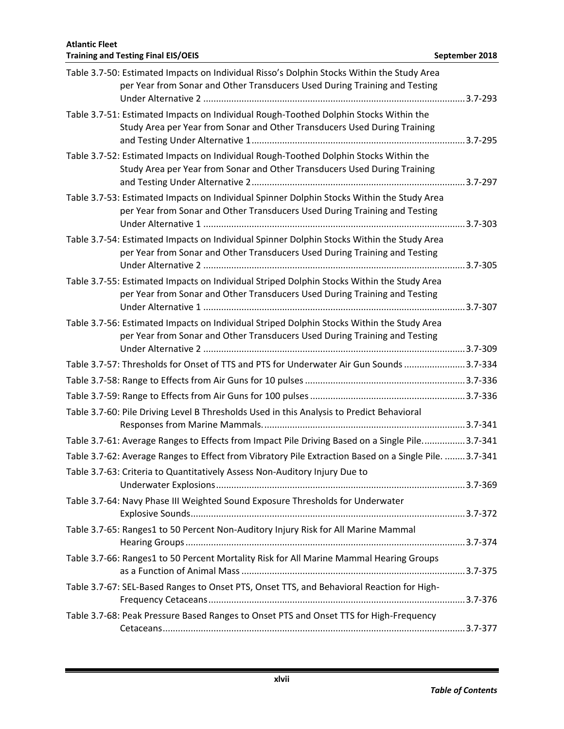| Table 3.7-50: Estimated Impacts on Individual Risso's Dolphin Stocks Within the Study Area<br>per Year from Sonar and Other Transducers Used During Training and Testing |  |
|--------------------------------------------------------------------------------------------------------------------------------------------------------------------------|--|
| Table 3.7-51: Estimated Impacts on Individual Rough-Toothed Dolphin Stocks Within the<br>Study Area per Year from Sonar and Other Transducers Used During Training       |  |
| Table 3.7-52: Estimated Impacts on Individual Rough-Toothed Dolphin Stocks Within the<br>Study Area per Year from Sonar and Other Transducers Used During Training       |  |
| Table 3.7-53: Estimated Impacts on Individual Spinner Dolphin Stocks Within the Study Area<br>per Year from Sonar and Other Transducers Used During Training and Testing |  |
| Table 3.7-54: Estimated Impacts on Individual Spinner Dolphin Stocks Within the Study Area<br>per Year from Sonar and Other Transducers Used During Training and Testing |  |
| Table 3.7-55: Estimated Impacts on Individual Striped Dolphin Stocks Within the Study Area<br>per Year from Sonar and Other Transducers Used During Training and Testing |  |
| Table 3.7-56: Estimated Impacts on Individual Striped Dolphin Stocks Within the Study Area<br>per Year from Sonar and Other Transducers Used During Training and Testing |  |
| Table 3.7-57: Thresholds for Onset of TTS and PTS for Underwater Air Gun Sounds 3.7-334                                                                                  |  |
|                                                                                                                                                                          |  |
|                                                                                                                                                                          |  |
| Table 3.7-60: Pile Driving Level B Thresholds Used in this Analysis to Predict Behavioral                                                                                |  |
| Table 3.7-61: Average Ranges to Effects from Impact Pile Driving Based on a Single Pile3.7-341                                                                           |  |
| Table 3.7-62: Average Ranges to Effect from Vibratory Pile Extraction Based on a Single Pile.  3.7-341                                                                   |  |
| Table 3.7-63: Criteria to Quantitatively Assess Non-Auditory Injury Due to                                                                                               |  |
| Table 3.7-64: Navy Phase III Weighted Sound Exposure Thresholds for Underwater                                                                                           |  |
| Table 3.7-65: Ranges1 to 50 Percent Non-Auditory Injury Risk for All Marine Mammal                                                                                       |  |
| Table 3.7-66: Ranges1 to 50 Percent Mortality Risk for All Marine Mammal Hearing Groups                                                                                  |  |
| Table 3.7-67: SEL-Based Ranges to Onset PTS, Onset TTS, and Behavioral Reaction for High-                                                                                |  |
| Table 3.7-68: Peak Pressure Based Ranges to Onset PTS and Onset TTS for High-Frequency                                                                                   |  |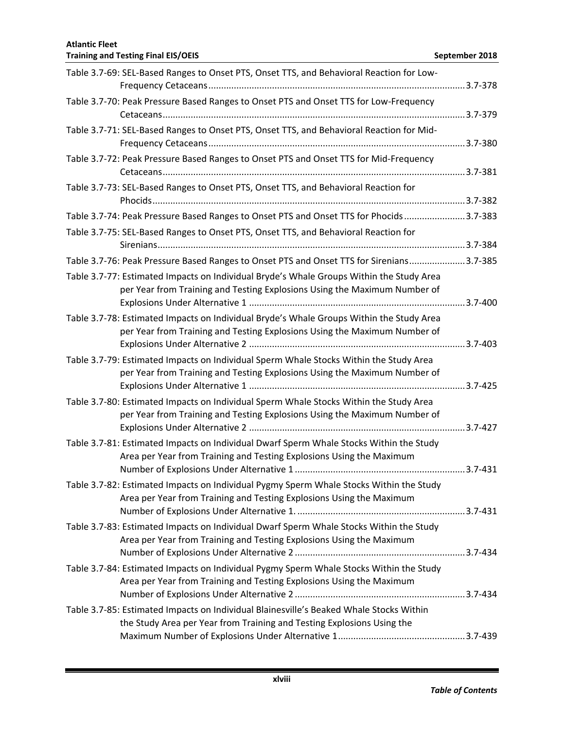| Table 3.7-69: SEL-Based Ranges to Onset PTS, Onset TTS, and Behavioral Reaction for Low-                                                                              |  |
|-----------------------------------------------------------------------------------------------------------------------------------------------------------------------|--|
| Table 3.7-70: Peak Pressure Based Ranges to Onset PTS and Onset TTS for Low-Frequency                                                                                 |  |
| Table 3.7-71: SEL-Based Ranges to Onset PTS, Onset TTS, and Behavioral Reaction for Mid-                                                                              |  |
| Table 3.7-72: Peak Pressure Based Ranges to Onset PTS and Onset TTS for Mid-Frequency                                                                                 |  |
| Table 3.7-73: SEL-Based Ranges to Onset PTS, Onset TTS, and Behavioral Reaction for                                                                                   |  |
| Table 3.7-74: Peak Pressure Based Ranges to Onset PTS and Onset TTS for Phocids 3.7-383                                                                               |  |
| Table 3.7-75: SEL-Based Ranges to Onset PTS, Onset TTS, and Behavioral Reaction for                                                                                   |  |
|                                                                                                                                                                       |  |
| Table 3.7-76: Peak Pressure Based Ranges to Onset PTS and Onset TTS for Sirenians3.7-385                                                                              |  |
| Table 3.7-77: Estimated Impacts on Individual Bryde's Whale Groups Within the Study Area<br>per Year from Training and Testing Explosions Using the Maximum Number of |  |
| Table 3.7-78: Estimated Impacts on Individual Bryde's Whale Groups Within the Study Area<br>per Year from Training and Testing Explosions Using the Maximum Number of |  |
| Table 3.7-79: Estimated Impacts on Individual Sperm Whale Stocks Within the Study Area<br>per Year from Training and Testing Explosions Using the Maximum Number of   |  |
| Table 3.7-80: Estimated Impacts on Individual Sperm Whale Stocks Within the Study Area<br>per Year from Training and Testing Explosions Using the Maximum Number of   |  |
| Table 3.7-81: Estimated Impacts on Individual Dwarf Sperm Whale Stocks Within the Study<br>Area per Year from Training and Testing Explosions Using the Maximum       |  |
| Table 3.7-82: Estimated Impacts on Individual Pygmy Sperm Whale Stocks Within the Study<br>Area per Year from Training and Testing Explosions Using the Maximum       |  |
| Table 3.7-83: Estimated Impacts on Individual Dwarf Sperm Whale Stocks Within the Study<br>Area per Year from Training and Testing Explosions Using the Maximum       |  |
| Table 3.7-84: Estimated Impacts on Individual Pygmy Sperm Whale Stocks Within the Study<br>Area per Year from Training and Testing Explosions Using the Maximum       |  |
| Table 3.7-85: Estimated Impacts on Individual Blainesville's Beaked Whale Stocks Within<br>the Study Area per Year from Training and Testing Explosions Using the     |  |
|                                                                                                                                                                       |  |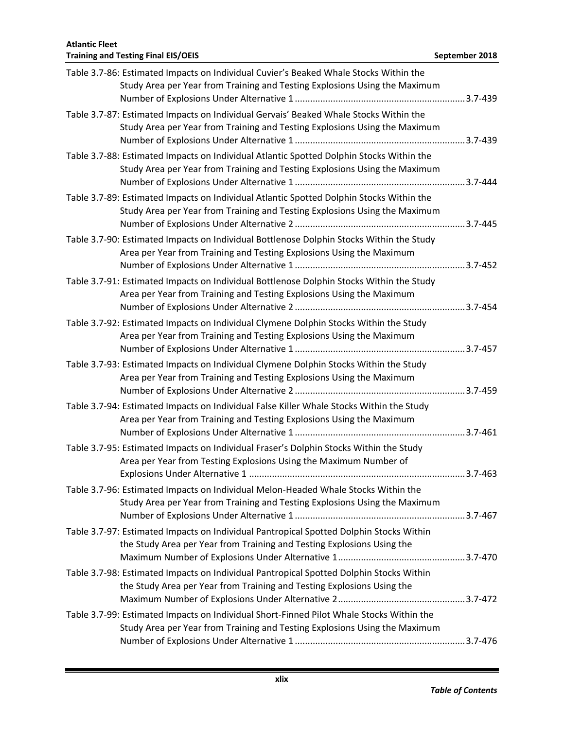| Table 3.7-86: Estimated Impacts on Individual Cuvier's Beaked Whale Stocks Within the<br>Study Area per Year from Training and Testing Explosions Using the Maximum    |  |
|------------------------------------------------------------------------------------------------------------------------------------------------------------------------|--|
| Table 3.7-87: Estimated Impacts on Individual Gervais' Beaked Whale Stocks Within the<br>Study Area per Year from Training and Testing Explosions Using the Maximum    |  |
| Table 3.7-88: Estimated Impacts on Individual Atlantic Spotted Dolphin Stocks Within the<br>Study Area per Year from Training and Testing Explosions Using the Maximum |  |
| Table 3.7-89: Estimated Impacts on Individual Atlantic Spotted Dolphin Stocks Within the<br>Study Area per Year from Training and Testing Explosions Using the Maximum |  |
| Table 3.7-90: Estimated Impacts on Individual Bottlenose Dolphin Stocks Within the Study<br>Area per Year from Training and Testing Explosions Using the Maximum       |  |
| Table 3.7-91: Estimated Impacts on Individual Bottlenose Dolphin Stocks Within the Study<br>Area per Year from Training and Testing Explosions Using the Maximum       |  |
| Table 3.7-92: Estimated Impacts on Individual Clymene Dolphin Stocks Within the Study<br>Area per Year from Training and Testing Explosions Using the Maximum          |  |
| Table 3.7-93: Estimated Impacts on Individual Clymene Dolphin Stocks Within the Study<br>Area per Year from Training and Testing Explosions Using the Maximum          |  |
| Table 3.7-94: Estimated Impacts on Individual False Killer Whale Stocks Within the Study<br>Area per Year from Training and Testing Explosions Using the Maximum       |  |
| Table 3.7-95: Estimated Impacts on Individual Fraser's Dolphin Stocks Within the Study<br>Area per Year from Testing Explosions Using the Maximum Number of            |  |
| Table 3.7-96: Estimated Impacts on Individual Melon-Headed Whale Stocks Within the<br>Study Area per Year from Training and Testing Explosions Using the Maximum       |  |
| Table 3.7-97: Estimated Impacts on Individual Pantropical Spotted Dolphin Stocks Within<br>the Study Area per Year from Training and Testing Explosions Using the      |  |
| Table 3.7-98: Estimated Impacts on Individual Pantropical Spotted Dolphin Stocks Within<br>the Study Area per Year from Training and Testing Explosions Using the      |  |
| Table 3.7-99: Estimated Impacts on Individual Short-Finned Pilot Whale Stocks Within the<br>Study Area per Year from Training and Testing Explosions Using the Maximum |  |
|                                                                                                                                                                        |  |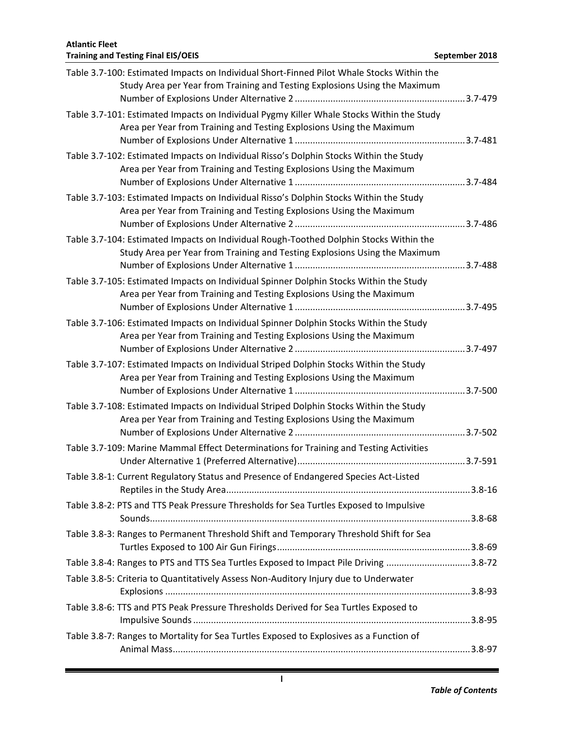| Table 3.7-100: Estimated Impacts on Individual Short-Finned Pilot Whale Stocks Within the<br>Study Area per Year from Training and Testing Explosions Using the Maximum |  |
|-------------------------------------------------------------------------------------------------------------------------------------------------------------------------|--|
| Table 3.7-101: Estimated Impacts on Individual Pygmy Killer Whale Stocks Within the Study<br>Area per Year from Training and Testing Explosions Using the Maximum       |  |
| Table 3.7-102: Estimated Impacts on Individual Risso's Dolphin Stocks Within the Study<br>Area per Year from Training and Testing Explosions Using the Maximum          |  |
| Table 3.7-103: Estimated Impacts on Individual Risso's Dolphin Stocks Within the Study<br>Area per Year from Training and Testing Explosions Using the Maximum          |  |
| Table 3.7-104: Estimated Impacts on Individual Rough-Toothed Dolphin Stocks Within the<br>Study Area per Year from Training and Testing Explosions Using the Maximum    |  |
| Table 3.7-105: Estimated Impacts on Individual Spinner Dolphin Stocks Within the Study<br>Area per Year from Training and Testing Explosions Using the Maximum          |  |
| Table 3.7-106: Estimated Impacts on Individual Spinner Dolphin Stocks Within the Study<br>Area per Year from Training and Testing Explosions Using the Maximum          |  |
| Table 3.7-107: Estimated Impacts on Individual Striped Dolphin Stocks Within the Study<br>Area per Year from Training and Testing Explosions Using the Maximum          |  |
| Table 3.7-108: Estimated Impacts on Individual Striped Dolphin Stocks Within the Study<br>Area per Year from Training and Testing Explosions Using the Maximum          |  |
| Table 3.7-109: Marine Mammal Effect Determinations for Training and Testing Activities                                                                                  |  |
| Table 3.8-1: Current Regulatory Status and Presence of Endangered Species Act-Listed                                                                                    |  |
| Table 3.8-2: PTS and TTS Peak Pressure Thresholds for Sea Turtles Exposed to Impulsive                                                                                  |  |
| Table 3.8-3: Ranges to Permanent Threshold Shift and Temporary Threshold Shift for Sea                                                                                  |  |
| Table 3.8-4: Ranges to PTS and TTS Sea Turtles Exposed to Impact Pile Driving 3.8-72                                                                                    |  |
| Table 3.8-5: Criteria to Quantitatively Assess Non-Auditory Injury due to Underwater                                                                                    |  |
| Table 3.8-6: TTS and PTS Peak Pressure Thresholds Derived for Sea Turtles Exposed to                                                                                    |  |
| Table 3.8-7: Ranges to Mortality for Sea Turtles Exposed to Explosives as a Function of                                                                                 |  |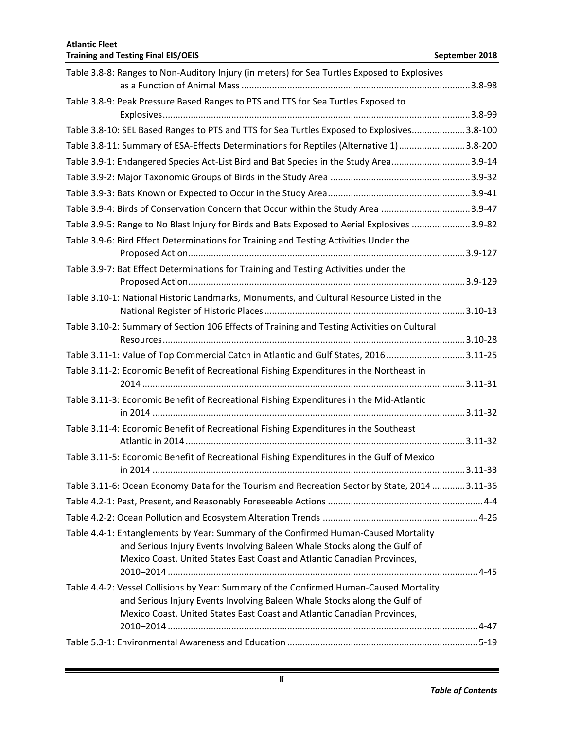| Table 3.8-8: Ranges to Non-Auditory Injury (in meters) for Sea Turtles Exposed to Explosives                                                                                                                                                |  |
|---------------------------------------------------------------------------------------------------------------------------------------------------------------------------------------------------------------------------------------------|--|
| Table 3.8-9: Peak Pressure Based Ranges to PTS and TTS for Sea Turtles Exposed to                                                                                                                                                           |  |
| Table 3.8-10: SEL Based Ranges to PTS and TTS for Sea Turtles Exposed to Explosives3.8-100                                                                                                                                                  |  |
| Table 3.8-11: Summary of ESA-Effects Determinations for Reptiles (Alternative 1)3.8-200                                                                                                                                                     |  |
| Table 3.9-1: Endangered Species Act-List Bird and Bat Species in the Study Area3.9-14                                                                                                                                                       |  |
|                                                                                                                                                                                                                                             |  |
|                                                                                                                                                                                                                                             |  |
| Table 3.9-4: Birds of Conservation Concern that Occur within the Study Area 3.9-47                                                                                                                                                          |  |
| Table 3.9-5: Range to No Blast Injury for Birds and Bats Exposed to Aerial Explosives 3.9-82                                                                                                                                                |  |
| Table 3.9-6: Bird Effect Determinations for Training and Testing Activities Under the                                                                                                                                                       |  |
| Table 3.9-7: Bat Effect Determinations for Training and Testing Activities under the                                                                                                                                                        |  |
| Table 3.10-1: National Historic Landmarks, Monuments, and Cultural Resource Listed in the                                                                                                                                                   |  |
| Table 3.10-2: Summary of Section 106 Effects of Training and Testing Activities on Cultural                                                                                                                                                 |  |
| Table 3.11-1: Value of Top Commercial Catch in Atlantic and Gulf States, 20163.11-25                                                                                                                                                        |  |
| Table 3.11-2: Economic Benefit of Recreational Fishing Expenditures in the Northeast in                                                                                                                                                     |  |
| Table 3.11-3: Economic Benefit of Recreational Fishing Expenditures in the Mid-Atlantic                                                                                                                                                     |  |
| Table 3.11-4: Economic Benefit of Recreational Fishing Expenditures in the Southeast                                                                                                                                                        |  |
| Table 3.11-5: Economic Benefit of Recreational Fishing Expenditures in the Gulf of Mexico                                                                                                                                                   |  |
| Table 3.11-6: Ocean Economy Data for the Tourism and Recreation Sector by State, 2014 3.11-36                                                                                                                                               |  |
|                                                                                                                                                                                                                                             |  |
|                                                                                                                                                                                                                                             |  |
| Table 4.4-1: Entanglements by Year: Summary of the Confirmed Human-Caused Mortality<br>and Serious Injury Events Involving Baleen Whale Stocks along the Gulf of<br>Mexico Coast, United States East Coast and Atlantic Canadian Provinces, |  |
| Table 4.4-2: Vessel Collisions by Year: Summary of the Confirmed Human-Caused Mortality                                                                                                                                                     |  |
| and Serious Injury Events Involving Baleen Whale Stocks along the Gulf of<br>Mexico Coast, United States East Coast and Atlantic Canadian Provinces,                                                                                        |  |
|                                                                                                                                                                                                                                             |  |
|                                                                                                                                                                                                                                             |  |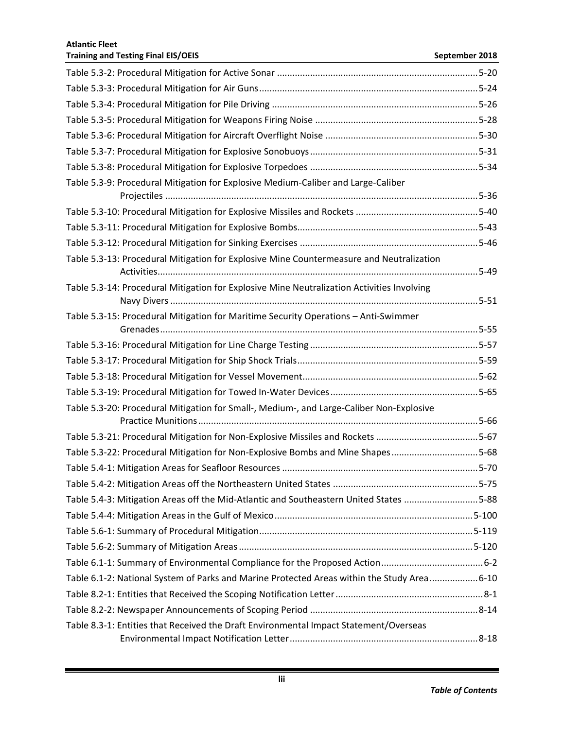| Table 5.3-9: Procedural Mitigation for Explosive Medium-Caliber and Large-Caliber          |  |
|--------------------------------------------------------------------------------------------|--|
|                                                                                            |  |
|                                                                                            |  |
|                                                                                            |  |
|                                                                                            |  |
| Table 5.3-13: Procedural Mitigation for Explosive Mine Countermeasure and Neutralization   |  |
|                                                                                            |  |
| Table 5.3-14: Procedural Mitigation for Explosive Mine Neutralization Activities Involving |  |
| Table 5.3-15: Procedural Mitigation for Maritime Security Operations - Anti-Swimmer        |  |
|                                                                                            |  |
|                                                                                            |  |
|                                                                                            |  |
|                                                                                            |  |
|                                                                                            |  |
| Table 5.3-20: Procedural Mitigation for Small-, Medium-, and Large-Caliber Non-Explosive   |  |
|                                                                                            |  |
| Table 5.3-21: Procedural Mitigation for Non-Explosive Missiles and Rockets 5-67            |  |
| Table 5.3-22: Procedural Mitigation for Non-Explosive Bombs and Mine Shapes5-68            |  |
|                                                                                            |  |
|                                                                                            |  |
| Table 5.4-3: Mitigation Areas off the Mid-Atlantic and Southeastern United States 5-88     |  |
|                                                                                            |  |
|                                                                                            |  |
|                                                                                            |  |
|                                                                                            |  |
| Table 6.1-2: National System of Parks and Marine Protected Areas within the Study Area6-10 |  |
|                                                                                            |  |
|                                                                                            |  |
| Table 8.3-1: Entities that Received the Draft Environmental Impact Statement/Overseas      |  |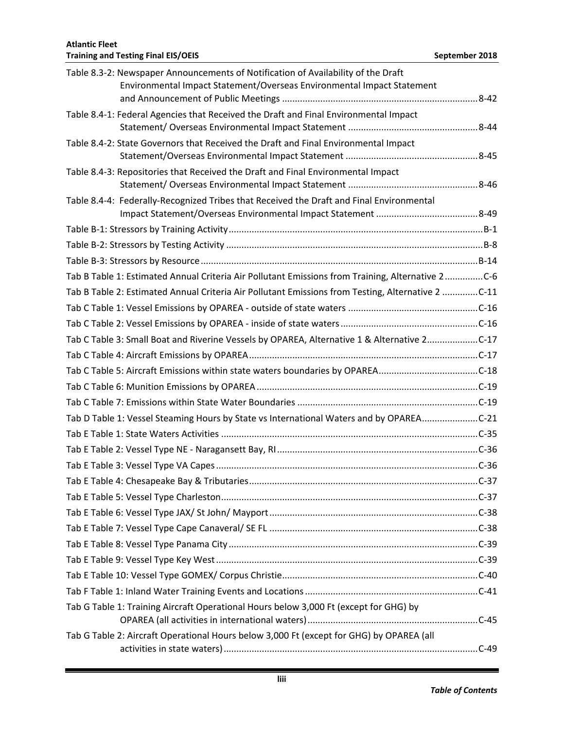| Table 8.3-2: Newspaper Announcements of Notification of Availability of the Draft                 |  |
|---------------------------------------------------------------------------------------------------|--|
| Environmental Impact Statement/Overseas Environmental Impact Statement                            |  |
| Table 8.4-1: Federal Agencies that Received the Draft and Final Environmental Impact              |  |
|                                                                                                   |  |
| Table 8.4-2: State Governors that Received the Draft and Final Environmental Impact               |  |
| Table 8.4-3: Repositories that Received the Draft and Final Environmental Impact                  |  |
|                                                                                                   |  |
| Table 8.4-4: Federally-Recognized Tribes that Received the Draft and Final Environmental          |  |
|                                                                                                   |  |
|                                                                                                   |  |
|                                                                                                   |  |
|                                                                                                   |  |
| Tab B Table 1: Estimated Annual Criteria Air Pollutant Emissions from Training, Alternative 2C-6  |  |
| Tab B Table 2: Estimated Annual Criteria Air Pollutant Emissions from Testing, Alternative 2 C-11 |  |
|                                                                                                   |  |
|                                                                                                   |  |
| Tab C Table 3: Small Boat and Riverine Vessels by OPAREA, Alternative 1 & Alternative 2C-17       |  |
|                                                                                                   |  |
|                                                                                                   |  |
|                                                                                                   |  |
|                                                                                                   |  |
| Tab D Table 1: Vessel Steaming Hours by State vs International Waters and by OPAREAC-21           |  |
|                                                                                                   |  |
|                                                                                                   |  |
|                                                                                                   |  |
|                                                                                                   |  |
|                                                                                                   |  |
|                                                                                                   |  |
|                                                                                                   |  |
|                                                                                                   |  |
|                                                                                                   |  |
|                                                                                                   |  |
|                                                                                                   |  |
| Tab G Table 1: Training Aircraft Operational Hours below 3,000 Ft (except for GHG) by             |  |
|                                                                                                   |  |
| Tab G Table 2: Aircraft Operational Hours below 3,000 Ft (except for GHG) by OPAREA (all          |  |
|                                                                                                   |  |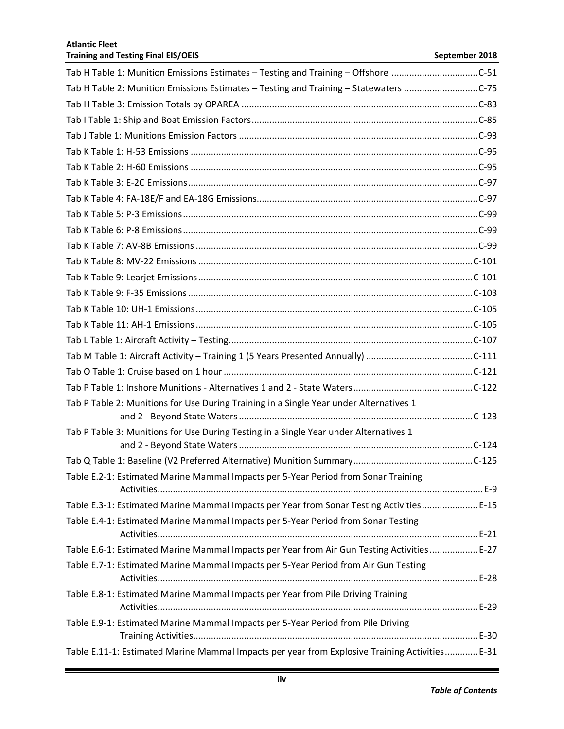| Tab H Table 1: Munition Emissions Estimates - Testing and Training - Offshore C-51             |
|------------------------------------------------------------------------------------------------|
| Tab H Table 2: Munition Emissions Estimates - Testing and Training - Statewaters C-75          |
|                                                                                                |
|                                                                                                |
|                                                                                                |
|                                                                                                |
|                                                                                                |
|                                                                                                |
|                                                                                                |
|                                                                                                |
|                                                                                                |
|                                                                                                |
|                                                                                                |
|                                                                                                |
|                                                                                                |
|                                                                                                |
|                                                                                                |
|                                                                                                |
|                                                                                                |
|                                                                                                |
|                                                                                                |
| Tab P Table 2: Munitions for Use During Training in a Single Year under Alternatives 1         |
| Tab P Table 3: Munitions for Use During Testing in a Single Year under Alternatives 1          |
|                                                                                                |
|                                                                                                |
| Table E.2-1: Estimated Marine Mammal Impacts per 5-Year Period from Sonar Training             |
| Table E.3-1: Estimated Marine Mammal Impacts per Year from Sonar Testing Activities E-15       |
| Table E.4-1: Estimated Marine Mammal Impacts per 5-Year Period from Sonar Testing              |
| Table E.6-1: Estimated Marine Mammal Impacts per Year from Air Gun Testing Activities E-27     |
| Table E.7-1: Estimated Marine Mammal Impacts per 5-Year Period from Air Gun Testing            |
| Table E.8-1: Estimated Marine Mammal Impacts per Year from Pile Driving Training               |
| Table E.9-1: Estimated Marine Mammal Impacts per 5-Year Period from Pile Driving               |
| Table E.11-1: Estimated Marine Mammal Impacts per year from Explosive Training Activities E-31 |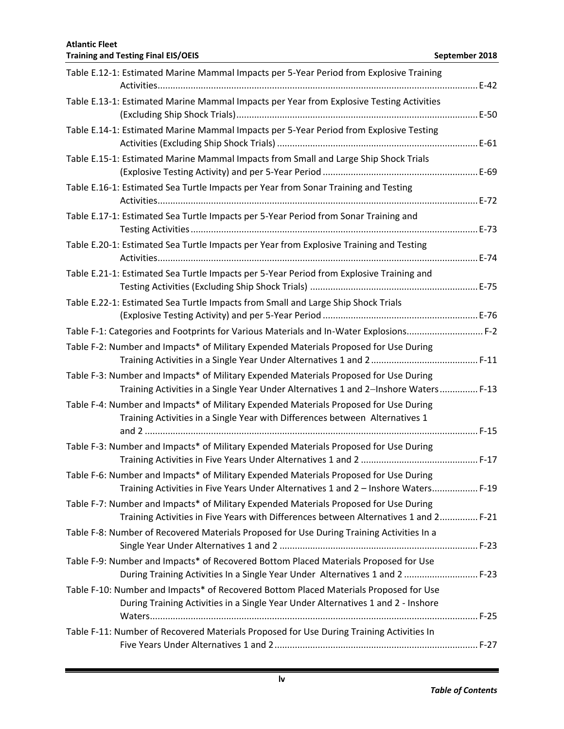| Table E.12-1: Estimated Marine Mammal Impacts per 5-Year Period from Explosive Training                                                                                       |
|-------------------------------------------------------------------------------------------------------------------------------------------------------------------------------|
| Table E.13-1: Estimated Marine Mammal Impacts per Year from Explosive Testing Activities                                                                                      |
| Table E.14-1: Estimated Marine Mammal Impacts per 5-Year Period from Explosive Testing                                                                                        |
| Table E.15-1: Estimated Marine Mammal Impacts from Small and Large Ship Shock Trials                                                                                          |
| Table E.16-1: Estimated Sea Turtle Impacts per Year from Sonar Training and Testing                                                                                           |
| Table E.17-1: Estimated Sea Turtle Impacts per 5-Year Period from Sonar Training and                                                                                          |
| Table E.20-1: Estimated Sea Turtle Impacts per Year from Explosive Training and Testing                                                                                       |
| Table E.21-1: Estimated Sea Turtle Impacts per 5-Year Period from Explosive Training and                                                                                      |
| Table E.22-1: Estimated Sea Turtle Impacts from Small and Large Ship Shock Trials                                                                                             |
| Table F-1: Categories and Footprints for Various Materials and In-Water Explosions F-2                                                                                        |
| Table F-2: Number and Impacts* of Military Expended Materials Proposed for Use During                                                                                         |
| Table F-3: Number and Impacts* of Military Expended Materials Proposed for Use During<br>Training Activities in a Single Year Under Alternatives 1 and 2-Inshore Waters F-13  |
| Table F-4: Number and Impacts* of Military Expended Materials Proposed for Use During<br>Training Activities in a Single Year with Differences between Alternatives 1         |
| Table F-3: Number and Impacts* of Military Expended Materials Proposed for Use During                                                                                         |
| Table F-6: Number and Impacts* of Military Expended Materials Proposed for Use During<br>Training Activities in Five Years Under Alternatives 1 and 2 - Inshore Waters F-19   |
| Table F-7: Number and Impacts* of Military Expended Materials Proposed for Use During<br>Training Activities in Five Years with Differences between Alternatives 1 and 2 F-21 |
| Table F-8: Number of Recovered Materials Proposed for Use During Training Activities In a                                                                                     |
| Table F-9: Number and Impacts* of Recovered Bottom Placed Materials Proposed for Use<br>During Training Activities In a Single Year Under Alternatives 1 and 2  F-23          |
| Table F-10: Number and Impacts* of Recovered Bottom Placed Materials Proposed for Use<br>During Training Activities in a Single Year Under Alternatives 1 and 2 - Inshore     |
| Table F-11: Number of Recovered Materials Proposed for Use During Training Activities In                                                                                      |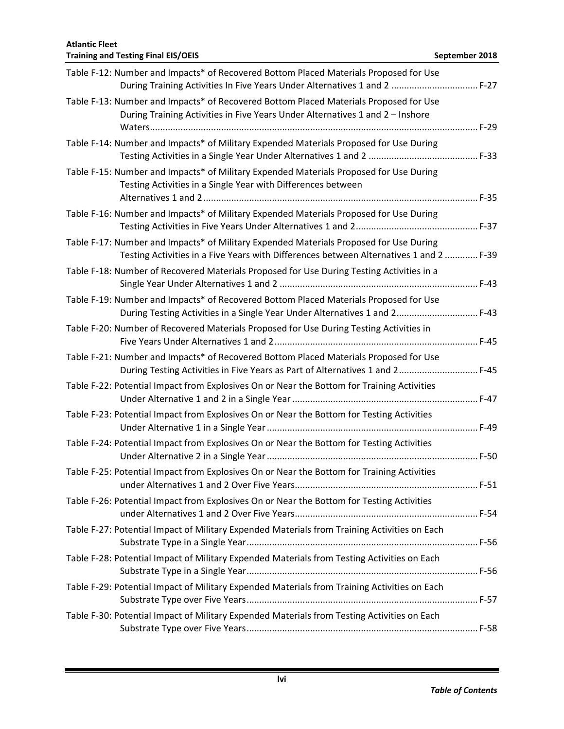## **Training and Testing Final EIS/OEIS September 2018 September 2018** Table F-12: Number and Impacts\* of Recovered Bottom Placed Materials Proposed for Use During Training Activities In Five Years Under Alternatives 1 and 2 .................................. F-27 Table F-13: Number and Impacts\* of Recovered Bottom Placed Materials Proposed for Use During Training Activities in Five Years Under Alternatives 1 and 2 – Inshore Waters................................................................................................................................. F-29 Table F-14: Number and Impacts\* of Military Expended Materials Proposed for Use During Testing Activities in a Single Year Under Alternatives 1 and 2 ........................................... F-33 Table F-15: Number and Impacts\* of Military Expended Materials Proposed for Use During Testing Activities in a Single Year with Differences between Alternatives 1 and 2............................................................................................................ F-35 Table F-16: Number and Impacts\* of Military Expended Materials Proposed for Use During Testing Activities in Five Years Under Alternatives 1 and 2................................................ F-37 Table F-17: Number and Impacts\* of Military Expended Materials Proposed for Use During Testing Activities in a Five Years with Differences between Alternatives 1 and 2 ............. F-39 Table F-18: Number of Recovered Materials Proposed for Use During Testing Activities in a Single Year Under Alternatives 1 and 2 .............................................................................. F-43 Table F-19: Number and Impacts\* of Recovered Bottom Placed Materials Proposed for Use During Testing Activities in a Single Year Under Alternatives 1 and 2................................ F-43 Table F-20: Number of Recovered Materials Proposed for Use During Testing Activities in Five Years Under Alternatives 1 and 2................................................................................ F-45 Table F-21: Number and Impacts\* of Recovered Bottom Placed Materials Proposed for Use During Testing Activities in Five Years as Part of Alternatives 1 and 2............................... F-45 Table F-22: Potential Impact from Explosives On or Near the Bottom for Training Activities Under Alternative 1 and 2 in a Single Year......................................................................... F-47 Table F-23: Potential Impact from Explosives On or Near the Bottom for Testing Activities Under Alternative 1 in a Single Year................................................................................... F-49 Table F-24: Potential Impact from Explosives On or Near the Bottom for Testing Activities Under Alternative 2 in a Single Year................................................................................... F-50 Table F-25: Potential Impact from Explosives On or Near the Bottom for Training Activities under Alternatives 1 and 2 Over Five Years........................................................................ F-51 Table F-26: Potential Impact from Explosives On or Near the Bottom for Testing Activities under Alternatives 1 and 2 Over Five Years........................................................................ F-54 Table F-27: Potential Impact of Military Expended Materials from Training Activities on Each Substrate Type in a Single Year........................................................................................... F-56 Table F-28: Potential Impact of Military Expended Materials from Testing Activities on Each Substrate Type in a Single Year........................................................................................... F-56 Table F-29: Potential Impact of Military Expended Materials from Training Activities on Each Substrate Type over Five Years........................................................................................... F-57 Table F-30: Potential Impact of Military Expended Materials from Testing Activities on Each Substrate Type over Five Years........................................................................................... F-58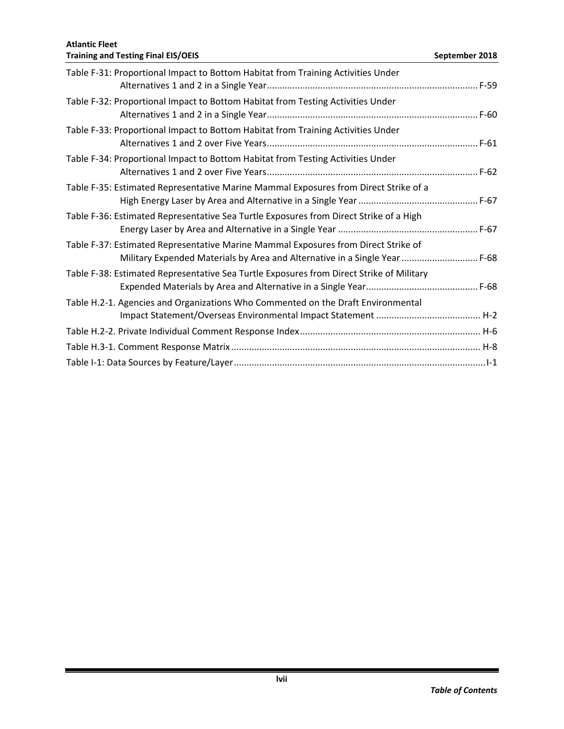| Table F-31: Proportional Impact to Bottom Habitat from Training Activities Under                                                                                 |  |
|------------------------------------------------------------------------------------------------------------------------------------------------------------------|--|
| Table F-32: Proportional Impact to Bottom Habitat from Testing Activities Under                                                                                  |  |
| Table F-33: Proportional Impact to Bottom Habitat from Training Activities Under                                                                                 |  |
| Table F-34: Proportional Impact to Bottom Habitat from Testing Activities Under                                                                                  |  |
| Table F-35: Estimated Representative Marine Mammal Exposures from Direct Strike of a                                                                             |  |
| Table F-36: Estimated Representative Sea Turtle Exposures from Direct Strike of a High                                                                           |  |
| Table F-37: Estimated Representative Marine Mammal Exposures from Direct Strike of<br>Military Expended Materials by Area and Alternative in a Single Year  F-68 |  |
| Table F-38: Estimated Representative Sea Turtle Exposures from Direct Strike of Military                                                                         |  |
| Table H.2-1. Agencies and Organizations Who Commented on the Draft Environmental                                                                                 |  |
|                                                                                                                                                                  |  |
|                                                                                                                                                                  |  |
|                                                                                                                                                                  |  |